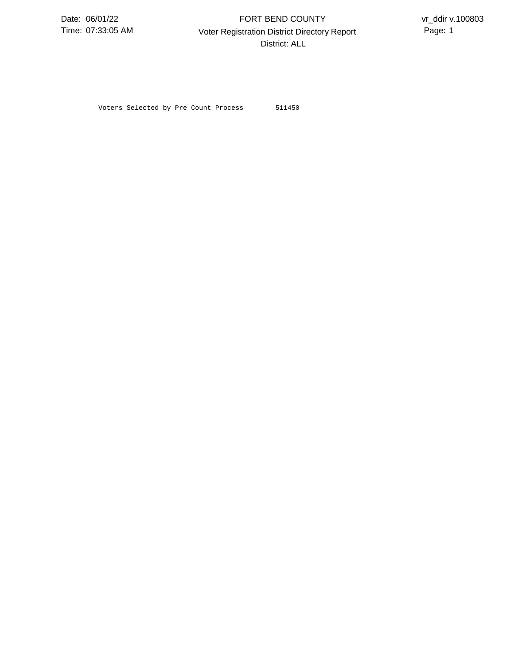07:33:05 AM **Page:** 1 Voter Registration District Directory Report **Page:** 1 FORT BEND COUNTY District: ALL

Voters Selected by Pre Count Process 511450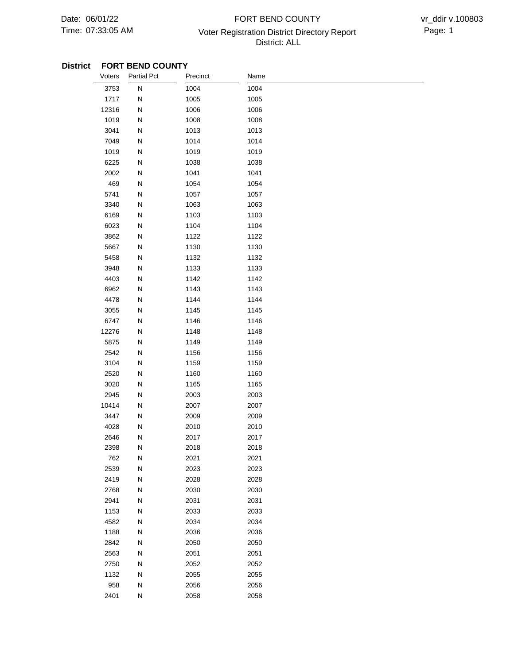## 07:33:05 AM **Page: 1** Voter Registration District Directory Report Page: 1 FORT BEND COUNTY District: ALL

| Voters | <b>Partial Pct</b> | Precinct | Name |  |
|--------|--------------------|----------|------|--|
| 3753   | ${\sf N}$          | 1004     | 1004 |  |
| 1717   | N                  | 1005     | 1005 |  |
| 12316  | N                  | 1006     | 1006 |  |
| 1019   | N                  | 1008     | 1008 |  |
| 3041   | N                  | 1013     | 1013 |  |
| 7049   | ${\sf N}$          | 1014     | 1014 |  |
| 1019   | N                  | 1019     | 1019 |  |
| 6225   | N                  | 1038     | 1038 |  |
| 2002   | N                  | 1041     | 1041 |  |
| 469    | ${\sf N}$          | 1054     | 1054 |  |
| 5741   | ${\sf N}$          | 1057     | 1057 |  |
| 3340   | ${\sf N}$          | 1063     | 1063 |  |
| 6169   | N                  | 1103     | 1103 |  |
| 6023   | N                  | 1104     | 1104 |  |
| 3862   | ${\sf N}$          | 1122     | 1122 |  |
| 5667   | ${\sf N}$          | 1130     | 1130 |  |
| 5458   | N                  | 1132     | 1132 |  |
| 3948   | N                  | 1133     | 1133 |  |
| 4403   | N                  | 1142     | 1142 |  |
| 6962   | N                  | 1143     | 1143 |  |
| 4478   | ${\sf N}$          | 1144     | 1144 |  |
| 3055   | N                  | 1145     | 1145 |  |
| 6747   | N                  | 1146     | 1146 |  |
| 12276  | N                  | 1148     | 1148 |  |
| 5875   | N                  | 1149     | 1149 |  |
| 2542   | ${\sf N}$          | 1156     | 1156 |  |
| 3104   | N                  | 1159     | 1159 |  |
| 2520   | N                  | 1160     | 1160 |  |
| 3020   | N                  | 1165     | 1165 |  |
| 2945   | ${\sf N}$          | 2003     | 2003 |  |
| 10414  | ${\sf N}$          | 2007     | 2007 |  |
| 3447   | N                  | 2009     | 2009 |  |
| 4028   | N                  | 2010     | 2010 |  |
| 2646   | N                  | 2017     | 2017 |  |
| 2398   | N                  | 2018     | 2018 |  |
| 762    | N                  | 2021     | 2021 |  |
| 2539   | ${\sf N}$          | 2023     | 2023 |  |
| 2419   | ${\sf N}$          | 2028     | 2028 |  |
| 2768   | N                  | 2030     | 2030 |  |
| 2941   | ${\sf N}$          | 2031     | 2031 |  |
| 1153   | ${\sf N}$          | 2033     | 2033 |  |
| 4582   | ${\sf N}$          | 2034     | 2034 |  |
| 1188   | ${\sf N}$          | 2036     | 2036 |  |
| 2842   | N                  | 2050     | 2050 |  |
| 2563   | ${\sf N}$          | 2051     | 2051 |  |
| 2750   | ${\sf N}$          | 2052     | 2052 |  |
| 1132   | N                  | 2055     | 2055 |  |
| 958    | N                  | 2056     | 2056 |  |
| 2401   | ${\sf N}$          | 2058     | 2058 |  |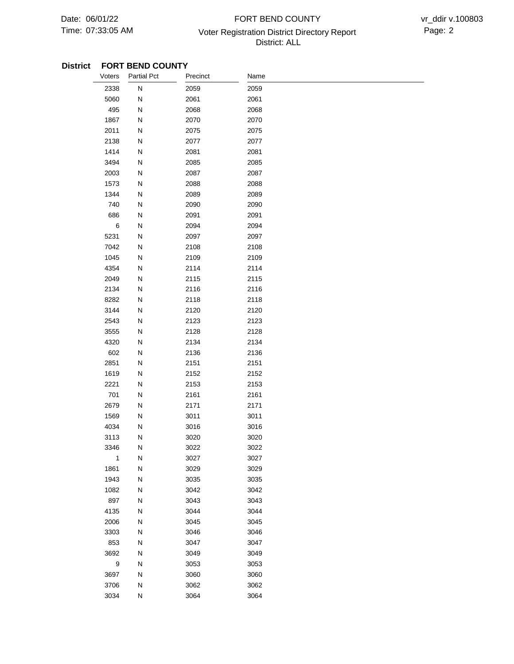## 07:33:05 AM Voter Registration District Directory Report Page: 2 FORT BEND COUNTY District: ALL

| Voters | <b>Partial Pct</b>            | Precinct | Name |  |
|--------|-------------------------------|----------|------|--|
|        | ${\sf N}$<br>2338             | 2059     | 2059 |  |
|        | 5060<br>${\sf N}$             | 2061     | 2061 |  |
|        | 495<br>N                      | 2068     | 2068 |  |
|        | 1867<br>N                     | 2070     | 2070 |  |
|        | ${\sf N}$<br>2011             | 2075     | 2075 |  |
|        | 2138<br>N                     | 2077     | 2077 |  |
|        | 1414<br>N                     | 2081     | 2081 |  |
|        | 3494<br>N                     | 2085     | 2085 |  |
|        | 2003<br>N                     | 2087     | 2087 |  |
|        | 1573<br>${\sf N}$             | 2088     | 2088 |  |
|        | 1344<br>${\sf N}$             | 2089     | 2089 |  |
|        | 740<br>${\sf N}$              | 2090     | 2090 |  |
|        | 686<br>N                      | 2091     | 2091 |  |
|        | $\,6$<br>${\sf N}$            | 2094     | 2094 |  |
|        | 5231<br>N                     | 2097     | 2097 |  |
|        | 7042<br>${\sf N}$             | 2108     | 2108 |  |
|        | 1045<br>${\sf N}$             | 2109     | 2109 |  |
|        | 4354<br>Ν                     | 2114     | 2114 |  |
|        | 2049<br>N                     | 2115     | 2115 |  |
|        | 2134<br>N                     | 2116     | 2116 |  |
|        | 8282<br>N                     | 2118     | 2118 |  |
|        | 3144<br>N                     | 2120     | 2120 |  |
|        | 2543<br>N                     | 2123     | 2123 |  |
|        | 3555<br>N                     | 2128     | 2128 |  |
|        | 4320<br>N                     | 2134     | 2134 |  |
|        | 602<br>N                      | 2136     | 2136 |  |
|        | 2851<br>N                     | 2151     | 2151 |  |
|        | 1619<br>N                     | 2152     | 2152 |  |
|        | 2221<br>${\sf N}$             | 2153     | 2153 |  |
|        | 701<br>N                      | 2161     | 2161 |  |
|        | 2679<br>${\sf N}$             | 2171     | 2171 |  |
|        | 1569<br>${\sf N}$             | 3011     | 3011 |  |
|        | 4034<br>Ν                     | 3016     | 3016 |  |
|        | 3113<br>N                     | 3020     | 3020 |  |
|        | 3346<br>N                     | 3022     | 3022 |  |
|        | $\mathbf{1}$<br>N             | 3027     | 3027 |  |
|        | ${\sf N}$<br>1861             | 3029     | 3029 |  |
|        | 1943<br>${\sf N}$             | 3035     | 3035 |  |
|        | 1082<br>${\sf N}$             | 3042     | 3042 |  |
|        | 897<br>${\sf N}$              | 3043     | 3043 |  |
|        | 4135<br>${\sf N}$             | 3044     | 3044 |  |
|        | 2006<br>${\sf N}$             | 3045     | 3045 |  |
|        | 3303<br>${\sf N}$             | 3046     | 3046 |  |
|        | 853<br>N                      | 3047     | 3047 |  |
|        | 3692<br>${\sf N}$             | 3049     | 3049 |  |
|        | $\boldsymbol{9}$<br>${\sf N}$ | 3053     | 3053 |  |
|        | 3697<br>N                     | 3060     | 3060 |  |
|        | 3706<br>${\sf N}$             | 3062     | 3062 |  |
|        | 3034<br>${\sf N}$             | 3064     | 3064 |  |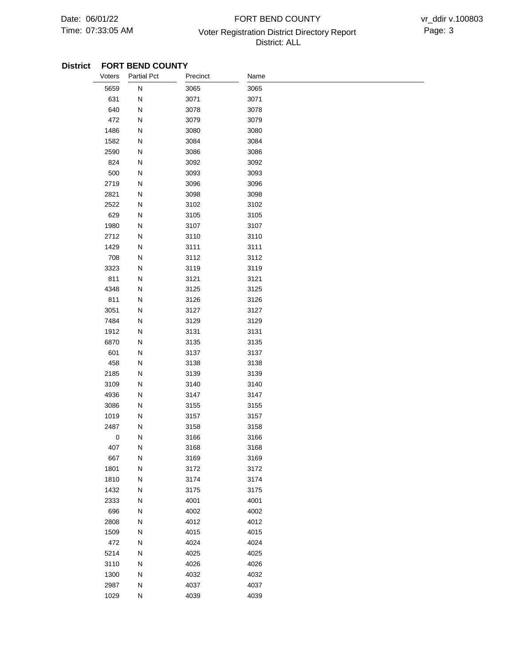## 07:33:05 AM **Page: 3** Voter Registration District Directory Report **Page: 3** FORT BEND COUNTY District: ALL

| Voters    | <b>Partial Pct</b> | Precinct | Name |
|-----------|--------------------|----------|------|
| 5659      | ${\sf N}$          | 3065     | 3065 |
| 631       | N                  | 3071     | 3071 |
| 640       | N                  | 3078     | 3078 |
| 472       | N                  | 3079     | 3079 |
| 1486      | N                  | 3080     | 3080 |
| 1582      | N                  | 3084     | 3084 |
| 2590      | N                  | 3086     | 3086 |
| 824       | N                  | 3092     | 3092 |
| 500       | N                  | 3093     | 3093 |
| 2719      | N                  | 3096     | 3096 |
| 2821      | N                  | 3098     | 3098 |
| 2522      | N                  | 3102     | 3102 |
| 629       | N                  | 3105     | 3105 |
| 1980      | N                  | 3107     | 3107 |
| 2712      | N                  | 3110     | 3110 |
| 1429      | N                  | 3111     | 3111 |
| 708       | N                  | 3112     | 3112 |
| 3323      | N                  | 3119     | 3119 |
| 811       | N                  | 3121     | 3121 |
| 4348      | N                  | 3125     | 3125 |
| 811       | N                  | 3126     | 3126 |
| 3051      | N                  | 3127     | 3127 |
| 7484      | N                  | 3129     | 3129 |
| 1912      | N                  | 3131     | 3131 |
| 6870      | N                  | 3135     | 3135 |
| 601       | N                  | 3137     | 3137 |
| 458       | N                  | 3138     | 3138 |
| 2185      | N                  | 3139     | 3139 |
| 3109      | N                  | 3140     | 3140 |
| 4936      | N                  | 3147     | 3147 |
| 3086      | N                  | 3155     | 3155 |
| 1019      | N                  | 3157     | 3157 |
| 2487      | N                  | 3158     | 3158 |
| $\pmb{0}$ | N                  | 3166     | 3166 |
| 407       | N                  | 3168     | 3168 |
| 667       | N                  | 3169     | 3169 |
| 1801      | N                  | 3172     | 3172 |
| 1810      | ${\sf N}$          | 3174     | 3174 |
| 1432      | ${\sf N}$          | 3175     | 3175 |
| 2333      | N                  | 4001     | 4001 |
| 696       | N                  | 4002     | 4002 |
| 2808      | N                  | 4012     | 4012 |
| 1509      | ${\sf N}$          | 4015     | 4015 |
| 472       | ${\sf N}$          | 4024     | 4024 |
| 5214      | ${\sf N}$          | 4025     | 4025 |
| 3110      | ${\sf N}$          | 4026     | 4026 |
| 1300      | N                  | 4032     | 4032 |
| 2987      | N                  | 4037     | 4037 |
| 1029      | ${\sf N}$          | 4039     | 4039 |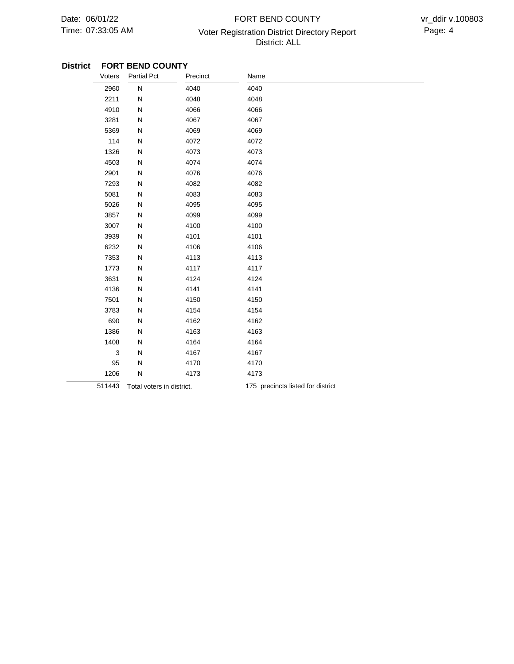## 07:33:05 AM **Page: 4** Voter Registration District Directory Report **Page: 4** FORT BEND COUNTY District: ALL

| Voters | <b>Partial Pct</b>        | Precinct | Name                              |
|--------|---------------------------|----------|-----------------------------------|
| 2960   | ${\sf N}$                 | 4040     | 4040                              |
| 2211   | N                         | 4048     | 4048                              |
| 4910   | N                         | 4066     | 4066                              |
| 3281   | N                         | 4067     | 4067                              |
| 5369   | N                         | 4069     | 4069                              |
| 114    | N                         | 4072     | 4072                              |
| 1326   | N                         | 4073     | 4073                              |
| 4503   | N                         | 4074     | 4074                              |
| 2901   | N                         | 4076     | 4076                              |
| 7293   | N                         | 4082     | 4082                              |
| 5081   | N                         | 4083     | 4083                              |
| 5026   | N                         | 4095     | 4095                              |
| 3857   | N                         | 4099     | 4099                              |
| 3007   | N                         | 4100     | 4100                              |
| 3939   | N                         | 4101     | 4101                              |
| 6232   | N                         | 4106     | 4106                              |
| 7353   | N                         | 4113     | 4113                              |
| 1773   | N                         | 4117     | 4117                              |
| 3631   | N                         | 4124     | 4124                              |
| 4136   | N                         | 4141     | 4141                              |
| 7501   | N                         | 4150     | 4150                              |
| 3783   | N                         | 4154     | 4154                              |
| 690    | N                         | 4162     | 4162                              |
| 1386   | N                         | 4163     | 4163                              |
| 1408   | N                         | 4164     | 4164                              |
| 3      | N                         | 4167     | 4167                              |
| 95     | N                         | 4170     | 4170                              |
| 1206   | N                         | 4173     | 4173                              |
| 511443 | Total voters in district. |          | 175 precincts listed for district |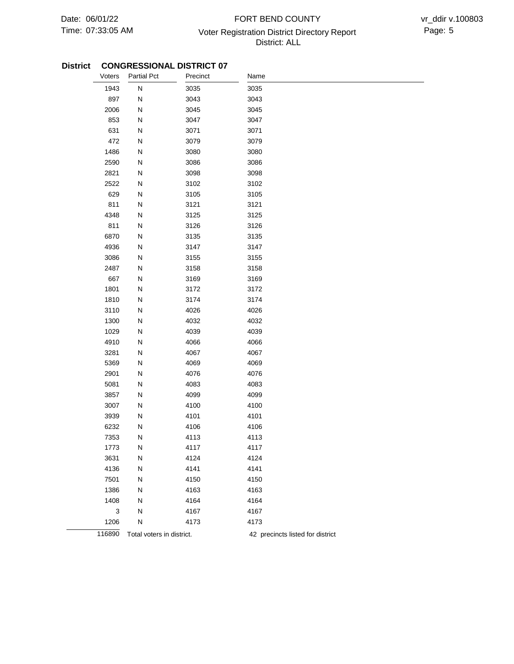## 07:33:05 AM **Page: 5** Voter Registration District Directory Report **Page: 5** FORT BEND COUNTY District: ALL

| Voters | <b>Partial Pct</b>        | Precinct | Name                             |
|--------|---------------------------|----------|----------------------------------|
| 1943   | ${\sf N}$                 | 3035     | 3035                             |
| 897    | ${\sf N}$                 | 3043     | 3043                             |
| 2006   | ${\sf N}$                 | 3045     | 3045                             |
| 853    | ${\sf N}$                 | 3047     | 3047                             |
| 631    | ${\sf N}$                 | 3071     | 3071                             |
| 472    | ${\sf N}$                 | 3079     | 3079                             |
| 1486   | ${\sf N}$                 | 3080     | 3080                             |
| 2590   | ${\sf N}$                 | 3086     | 3086                             |
| 2821   | ${\sf N}$                 | 3098     | 3098                             |
| 2522   | ${\sf N}$                 | 3102     | 3102                             |
| 629    | ${\sf N}$                 | 3105     | 3105                             |
| 811    | ${\sf N}$                 | 3121     | 3121                             |
| 4348   | ${\sf N}$                 | 3125     | 3125                             |
| 811    | N                         | 3126     | 3126                             |
| 6870   | ${\sf N}$                 | 3135     | 3135                             |
| 4936   | ${\sf N}$                 | 3147     | 3147                             |
| 3086   | ${\sf N}$                 | 3155     | 3155                             |
| 2487   | ${\sf N}$                 | 3158     | 3158                             |
| 667    | N                         | 3169     | 3169                             |
| 1801   | ${\sf N}$                 | 3172     | 3172                             |
| 1810   | ${\sf N}$                 | 3174     | 3174                             |
| 3110   | N                         | 4026     | 4026                             |
| 1300   | ${\sf N}$                 | 4032     | 4032                             |
| 1029   | N                         | 4039     | 4039                             |
| 4910   | ${\sf N}$                 | 4066     | 4066                             |
| 3281   | ${\sf N}$                 | 4067     | 4067                             |
| 5369   | ${\sf N}$                 | 4069     | 4069                             |
| 2901   | ${\sf N}$                 | 4076     | 4076                             |
| 5081   | ${\sf N}$                 | 4083     | 4083                             |
| 3857   | ${\sf N}$                 | 4099     | 4099                             |
| 3007   | ${\sf N}$                 | 4100     | 4100                             |
| 3939   | ${\sf N}$                 | 4101     | 4101                             |
| 6232   | N                         | 4106     | 4106                             |
| 7353   | N                         | 4113     | 4113                             |
| 1773   | N                         | 4117     | 4117                             |
| 3631   | N                         | 4124     | 4124                             |
| 4136   | N                         | 4141     | 4141                             |
| 7501   | N                         | 4150     | 4150                             |
| 1386   | N                         | 4163     | 4163                             |
| 1408   | ${\sf N}$                 | 4164     | 4164                             |
| 3      | ${\sf N}$                 | 4167     | 4167                             |
| 1206   | N                         | 4173     | 4173                             |
| 116890 | Total voters in district. |          | 42 precincts listed for district |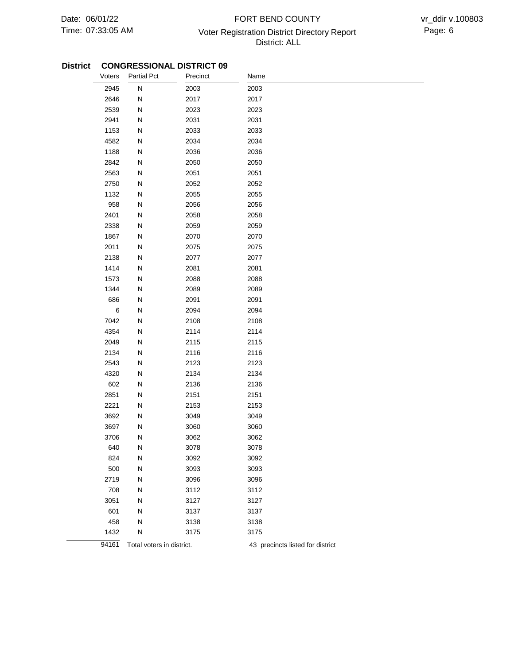## 07:33:05 AM Voter Registration District Directory Report Page: 6 FORT BEND COUNTY District: ALL

| Voters  | <b>Partial Pct</b>        | Precinct | Name                             |
|---------|---------------------------|----------|----------------------------------|
| 2945    | ${\sf N}$                 | 2003     | 2003                             |
| 2646    | N                         | 2017     | 2017                             |
| 2539    | ${\sf N}$                 | 2023     | 2023                             |
| 2941    | N                         | 2031     | 2031                             |
| 1153    | ${\sf N}$                 | 2033     | 2033                             |
| 4582    | ${\sf N}$                 | 2034     | 2034                             |
| 1188    | ${\sf N}$                 | 2036     | 2036                             |
| 2842    | ${\sf N}$                 | 2050     | 2050                             |
| 2563    | N                         | 2051     | 2051                             |
| 2750    | ${\sf N}$                 | 2052     | 2052                             |
| 1132    | ${\sf N}$                 | 2055     | 2055                             |
| 958     | ${\sf N}$                 | 2056     | 2056                             |
| 2401    | ${\sf N}$                 | 2058     | 2058                             |
| 2338    | N                         | 2059     | 2059                             |
| 1867    | N                         | 2070     | 2070                             |
| 2011    | N                         | 2075     | 2075                             |
| 2138    | N                         | 2077     | 2077                             |
| 1414    | N                         | 2081     | 2081                             |
| 1573    | N                         | 2088     | 2088                             |
| 1344    | ${\sf N}$                 | 2089     | 2089                             |
| 686     | ${\sf N}$                 | 2091     | 2091                             |
| $\,6\,$ | ${\sf N}$                 | 2094     | 2094                             |
| 7042    | ${\sf N}$                 | 2108     | 2108                             |
| 4354    | N                         | 2114     | 2114                             |
| 2049    | ${\sf N}$                 | 2115     | 2115                             |
| 2134    | N                         | 2116     | 2116                             |
| 2543    | N                         | 2123     | 2123                             |
| 4320    | ${\sf N}$                 | 2134     | 2134                             |
| 602     | ${\sf N}$                 | 2136     | 2136                             |
| 2851    | ${\sf N}$                 | 2151     | 2151                             |
| 2221    | ${\sf N}$                 | 2153     | 2153                             |
| 3692    | N                         | 3049     | 3049                             |
| 3697    | N                         | 3060     | 3060                             |
| 3706    | N                         | 3062     | 3062                             |
| 640     | N                         | 3078     | 3078                             |
| 824     | N                         | 3092     | 3092                             |
| 500     | ${\sf N}$                 | 3093     | 3093                             |
| 2719    | ${\sf N}$                 | 3096     | 3096                             |
| 708     | N                         | 3112     | 3112                             |
| 3051    | N                         | 3127     | 3127                             |
| 601     | N                         | 3137     | 3137                             |
| 458     | ${\sf N}$                 | 3138     | 3138                             |
| 1432    | N                         | 3175     | 3175                             |
| 94161   | Total voters in district. |          | 43 precincts listed for district |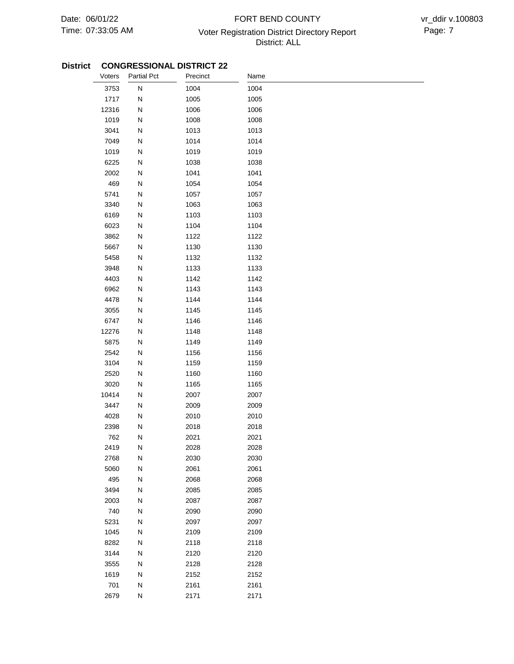## 07:33:05 AM Voter Registration District Directory Report Page: 7 FORT BEND COUNTY District: ALL

| Voters | <b>Partial Pct</b> | Precinct | Name |
|--------|--------------------|----------|------|
| 3753   | ${\sf N}$          | 1004     | 1004 |
| 1717   | N                  | 1005     | 1005 |
| 12316  | ${\sf N}$          | 1006     | 1006 |
| 1019   | N                  | 1008     | 1008 |
| 3041   | ${\sf N}$          | 1013     | 1013 |
| 7049   | ${\sf N}$          | 1014     | 1014 |
| 1019   | ${\sf N}$          | 1019     | 1019 |
| 6225   | ${\sf N}$          | 1038     | 1038 |
| 2002   | ${\sf N}$          | 1041     | 1041 |
| 469    | ${\sf N}$          | 1054     | 1054 |
| 5741   | ${\sf N}$          | 1057     | 1057 |
| 3340   | ${\sf N}$          | 1063     | 1063 |
| 6169   | ${\sf N}$          | 1103     | 1103 |
| 6023   | N                  | 1104     | 1104 |
| 3862   | ${\sf N}$          | 1122     | 1122 |
| 5667   | N                  | 1130     | 1130 |
| 5458   | N                  | 1132     | 1132 |
| 3948   | N                  | 1133     | 1133 |
| 4403   | N                  | 1142     | 1142 |
| 6962   | ${\sf N}$          | 1143     | 1143 |
| 4478   | ${\sf N}$          | 1144     | 1144 |
| 3055   | ${\sf N}$          | 1145     | 1145 |
| 6747   | ${\sf N}$          | 1146     | 1146 |
| 12276  | N                  | 1148     | 1148 |
| 5875   | ${\sf N}$          | 1149     | 1149 |
| 2542   | N                  | 1156     | 1156 |
| 3104   | ${\sf N}$          | 1159     | 1159 |
| 2520   | ${\sf N}$          | 1160     | 1160 |
| 3020   | ${\sf N}$          | 1165     | 1165 |
| 10414  | ${\sf N}$          | 2007     | 2007 |
| 3447   | ${\sf N}$          | 2009     | 2009 |
| 4028   | ${\sf N}$          | 2010     | 2010 |
| 2398   | N                  | 2018     | 2018 |
| 762    | N                  | 2021     | 2021 |
| 2419   | N                  | 2028     | 2028 |
| 2768   | ${\sf N}$          | 2030     | 2030 |
| 5060   | ${\sf N}$          | 2061     | 2061 |
| 495    | ${\sf N}$          | 2068     | 2068 |
| 3494   | ${\sf N}$          | 2085     | 2085 |
| 2003   | ${\sf N}$          | 2087     | 2087 |
| 740    | ${\sf N}$          | 2090     | 2090 |
| 5231   | ${\sf N}$          | 2097     | 2097 |
| 1045   | ${\sf N}$          | 2109     | 2109 |
| 8282   | N                  | 2118     | 2118 |
| 3144   | ${\sf N}$          | 2120     | 2120 |
| 3555   | N                  | 2128     | 2128 |
| 1619   | N                  | 2152     | 2152 |
| 701    | N                  | 2161     | 2161 |
| 2679   | ${\sf N}$          | 2171     | 2171 |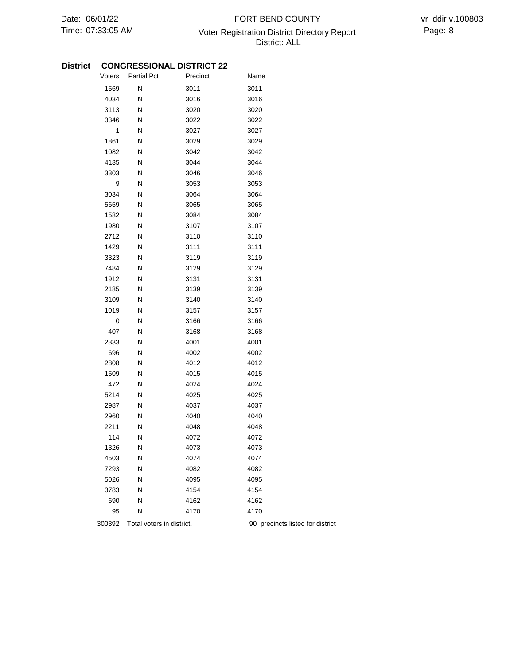## 07:33:05 AM **Page: 8** Voter Registration District Directory Report **Page: 8** FORT BEND COUNTY District: ALL

| Voters           | <b>Partial Pct</b>        | Precinct | Name                             |
|------------------|---------------------------|----------|----------------------------------|
| 1569             | N                         | 3011     | 3011                             |
| 4034             | N                         | 3016     | 3016                             |
| 3113             | N                         | 3020     | 3020                             |
| 3346             | N                         | 3022     | 3022                             |
| $\mathbf{1}$     | N                         | 3027     | 3027                             |
| 1861             | N                         | 3029     | 3029                             |
| 1082             | N                         | 3042     | 3042                             |
| 4135             | N                         | 3044     | 3044                             |
| 3303             | N                         | 3046     | 3046                             |
| $\boldsymbol{9}$ | N                         | 3053     | 3053                             |
| 3034             | N                         | 3064     | 3064                             |
| 5659             | N                         | 3065     | 3065                             |
| 1582             | N                         | 3084     | 3084                             |
| 1980             | N                         | 3107     | 3107                             |
| 2712             | N                         | 3110     | 3110                             |
| 1429             | N                         | 3111     | 3111                             |
| 3323             | N                         | 3119     | 3119                             |
| 7484             | N                         | 3129     | 3129                             |
| 1912             | N                         | 3131     | 3131                             |
| 2185             | N                         | 3139     | 3139                             |
| 3109             | N                         | 3140     | 3140                             |
| 1019             | N                         | 3157     | 3157                             |
| $\pmb{0}$        | N                         | 3166     | 3166                             |
| 407              | N                         | 3168     | 3168                             |
| 2333             | N                         | 4001     | 4001                             |
| 696              | N                         | 4002     | 4002                             |
| 2808             | N                         | 4012     | 4012                             |
| 1509             | N                         | 4015     | 4015                             |
| 472              | N                         | 4024     | 4024                             |
| 5214             | N                         | 4025     | 4025                             |
| 2987             | N                         | 4037     | 4037                             |
| 2960             | N                         | 4040     | 4040                             |
| 2211             | N                         | 4048     | 4048                             |
| 114              | N                         | 4072     | 4072                             |
| 1326             | Ν                         | 4073     | 4073                             |
| 4503             | Ν                         | 4074     | 4074                             |
| 7293             | N                         | 4082     | 4082                             |
| 5026             | N                         | 4095     | 4095                             |
| 3783             | N                         | 4154     | 4154                             |
| 690              | N                         | 4162     | 4162                             |
| 95               | N                         | 4170     | 4170                             |
| 300392           | Total voters in district. |          | 90 precincts listed for district |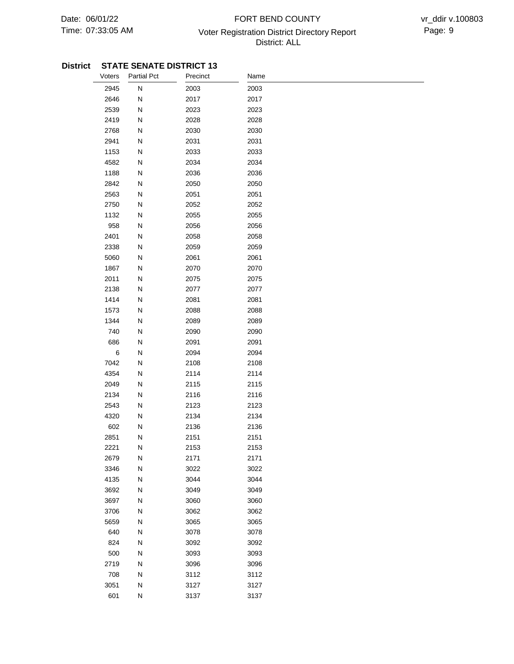## 07:33:05 AM **Page: 9** Voter Registration District Directory Report Page: 9 FORT BEND COUNTY District: ALL

| Voters       | <b>Partial Pct</b>     | Precinct     | Name         |  |
|--------------|------------------------|--------------|--------------|--|
| 2945         | ${\sf N}$              | 2003         | 2003         |  |
| 2646         | N                      | 2017         | 2017         |  |
| 2539         | ${\sf N}$              | 2023         | 2023         |  |
| 2419         | N                      | 2028         | 2028         |  |
| 2768         | ${\sf N}$              | 2030         | 2030         |  |
| 2941         | N                      | 2031         | 2031         |  |
| 1153         | N                      | 2033         | 2033         |  |
| 4582         | N                      | 2034         | 2034         |  |
| 1188         | ${\sf N}$              | 2036         | 2036         |  |
| 2842         | N                      | 2050         | 2050         |  |
| 2563         | N                      | 2051         | 2051         |  |
| 2750         | N                      | 2052         | 2052         |  |
| 1132         | N                      | 2055         | 2055         |  |
| 958          | N                      | 2056         | 2056         |  |
| 2401         | ${\sf N}$              | 2058         | 2058         |  |
| 2338         | N                      | 2059         | 2059         |  |
| 5060         | N                      | 2061         | 2061         |  |
| 1867         | N                      | 2070         | 2070         |  |
| 2011         | N                      | 2075         | 2075         |  |
| 2138         | N                      | 2077         | 2077         |  |
| 1414         | N                      | 2081         | 2081         |  |
| 1573         | N                      | 2088         | 2088         |  |
| 1344         | ${\sf N}$              | 2089         | 2089         |  |
| 740          | N                      | 2090         | 2090         |  |
| 686          | N                      | 2091         | 2091         |  |
| $\,6$        | N                      | 2094         | 2094         |  |
| 7042         | N                      | 2108         | 2108         |  |
| 4354         | ${\sf N}$              | 2114         | 2114         |  |
| 2049         | ${\sf N}$              | 2115         | 2115         |  |
| 2134         | N                      | 2116         | 2116         |  |
| 2543         | N                      | 2123         | 2123         |  |
| 4320         | ${\sf N}$              | 2134         | 2134         |  |
| 602          | N                      | 2136         | 2136         |  |
| 2851         | N                      | 2151         | 2151         |  |
| 2221         | N                      | 2153         | 2153         |  |
| 2679         | N                      | 2171         | 2171         |  |
| 3346         | ${\sf N}$              | 3022         | 3022         |  |
| 4135         | ${\sf N}$              | 3044         | 3044         |  |
| 3692         | ${\sf N}$              | 3049         | 3049         |  |
| 3697         | ${\sf N}$              | 3060         | 3060         |  |
| 3706<br>5659 | ${\sf N}$<br>${\sf N}$ | 3062<br>3065 | 3062         |  |
| 640          | ${\sf N}$              | 3078         | 3065<br>3078 |  |
| 824          |                        |              |              |  |
| 500          | N<br>N                 | 3092<br>3093 | 3092<br>3093 |  |
| 2719         | ${\sf N}$              | 3096         | 3096         |  |
| 708          | N                      | 3112         | 3112         |  |
| 3051         | ${\sf N}$              | 3127         | 3127         |  |
| 601          | ${\sf N}$              | 3137         | 3137         |  |
|              |                        |              |              |  |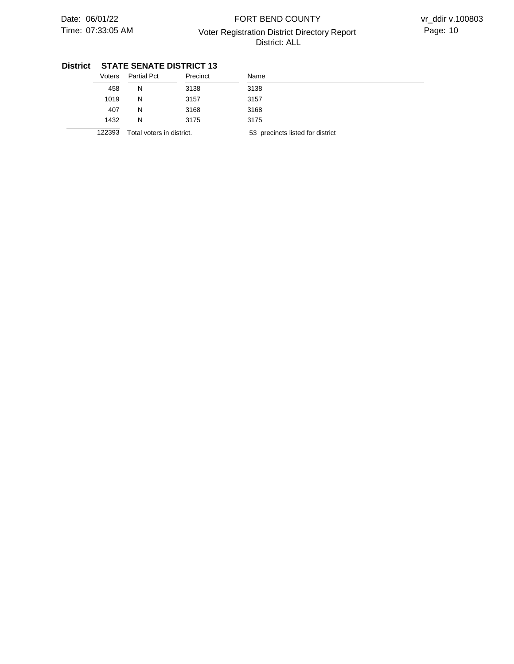## 07:33:05 AM Voter Registration District Directory Report Page: 10 FORT BEND COUNTY District: ALL

| Voters | <b>Partial Pct</b>        | Precinct | Name                             |
|--------|---------------------------|----------|----------------------------------|
| 458    | N                         | 3138     | 3138                             |
| 1019   | N                         | 3157     | 3157                             |
| 407    | N                         | 3168     | 3168                             |
| 1432   | N                         | 3175     | 3175                             |
| 122393 | Total voters in district. |          | 53 precincts listed for district |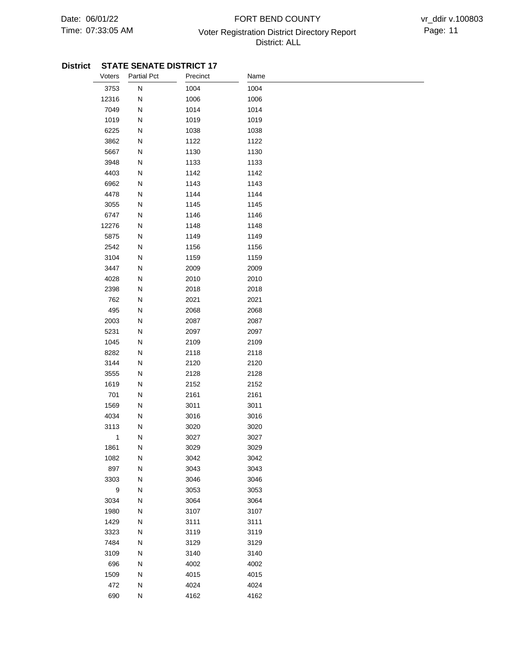## 07:33:05 AM **Page: 11** Voter Registration District Directory Report Page: 11 FORT BEND COUNTY District: ALL

| Voters           | Partial Pct  | Precinct | Name |
|------------------|--------------|----------|------|
| 3753             | ${\sf N}$    | 1004     | 1004 |
| 12316            | N            | 1006     | 1006 |
| 7049             | N            | 1014     | 1014 |
| 1019             | N            | 1019     | 1019 |
| 6225             | N            | 1038     | 1038 |
| 3862             | N            | 1122     | 1122 |
| 5667             | ${\sf N}$    | 1130     | 1130 |
| 3948             | N            | 1133     | 1133 |
| 4403             | N            | 1142     | 1142 |
| 6962             | ${\sf N}$    | 1143     | 1143 |
| 4478             | ${\sf N}$    | 1144     | 1144 |
| 3055             | ${\sf N}$    | 1145     | 1145 |
| 6747             | ${\sf N}$    | 1146     | 1146 |
| 12276            | N            | 1148     | 1148 |
| 5875             | ${\sf N}$    | 1149     | 1149 |
| 2542             | ${\sf N}$    | 1156     | 1156 |
| 3104             | ${\sf N}$    | 1159     | 1159 |
| 3447             | N            | 2009     | 2009 |
| 4028             | N            | 2010     | 2010 |
| 2398             | N            | 2018     | 2018 |
| 762              | N            | 2021     | 2021 |
| 495              | N            | 2068     | 2068 |
| 2003             | N            | 2087     | 2087 |
| 5231             | N            | 2097     | 2097 |
| 1045             | N            | 2109     | 2109 |
| 8282             | N            | 2118     | 2118 |
| 3144             | ${\sf N}$    | 2120     | 2120 |
| 3555             | ${\sf N}$    | 2128     | 2128 |
| 1619             | N            | 2152     | 2152 |
| 701              | ${\sf N}$    | 2161     | 2161 |
| 1569             | ${\sf N}$    | 3011     | 3011 |
| 4034             | N            | 3016     | 3016 |
| 3113             | N            | 3020     | 3020 |
| $\mathbf{1}$     | N            | 3027     | 3027 |
| 1861             | N            | 3029     | 3029 |
| 1082             | ${\sf N}$    | 3042     | 3042 |
| 897              | ${\sf N}$    | 3043     | 3043 |
| 3303             | $\mathsf{N}$ | 3046     | 3046 |
| $\boldsymbol{9}$ | ${\sf N}$    | 3053     | 3053 |
| 3034             | ${\sf N}$    | 3064     | 3064 |
| 1980             | ${\sf N}$    | 3107     | 3107 |
| 1429             | ${\sf N}$    | 3111     | 3111 |
| 3323             | ${\sf N}$    | 3119     | 3119 |
| 7484             | ${\sf N}$    | 3129     | 3129 |
| 3109             | ${\sf N}$    | 3140     | 3140 |
| 696              | ${\sf N}$    | 4002     | 4002 |
| 1509             | ${\sf N}$    | 4015     | 4015 |
| 472              | ${\sf N}$    | 4024     | 4024 |
| 690              | ${\sf N}$    | 4162     | 4162 |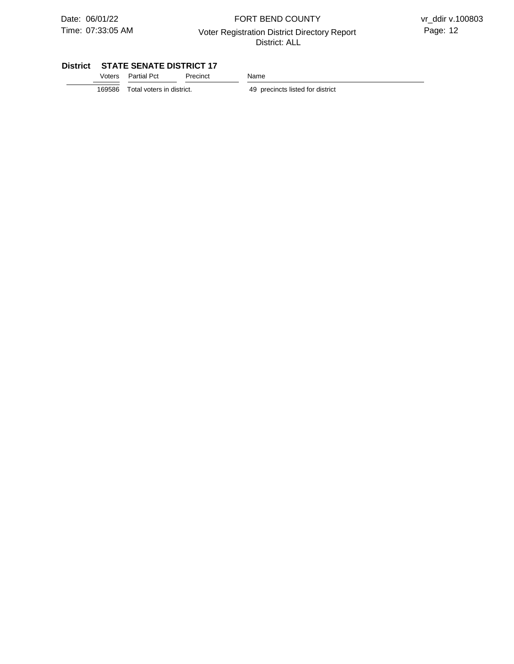### 07:33:05 AM Voter Registration District Directory Report Page: 12 FORT BEND COUNTY District: ALL

#### **District STATE SENATE DISTRICT 17**

| Voters Partial Pct | Precinct | Name |
|--------------------|----------|------|
|                    |          |      |

 $\overline{169586}$  Total voters in district.

49 precincts listed for district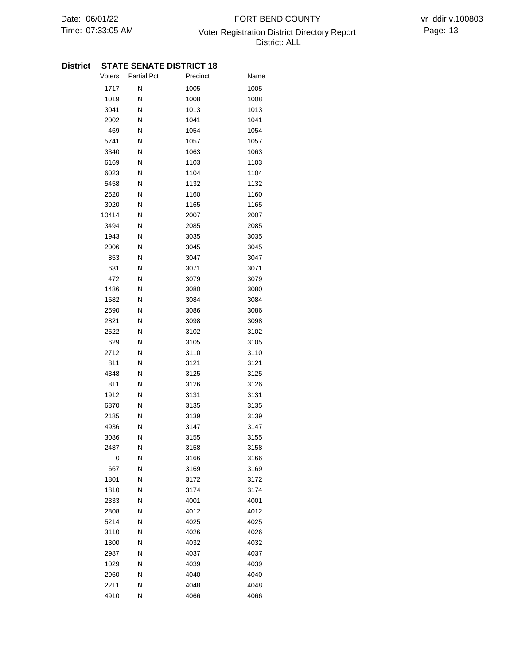## 07:33:05 AM Voter Registration District Directory Report Page: 13 FORT BEND COUNTY District: ALL

| Voters    | <b>Partial Pct</b> | Precinct | Name |  |
|-----------|--------------------|----------|------|--|
| 1717      | ${\sf N}$          | 1005     | 1005 |  |
| 1019      | N                  | 1008     | 1008 |  |
| 3041      | N                  | 1013     | 1013 |  |
| 2002      | N                  | 1041     | 1041 |  |
| 469       | N                  | 1054     | 1054 |  |
| 5741      | N                  | 1057     | 1057 |  |
| 3340      | N                  | 1063     | 1063 |  |
| 6169      | N                  | 1103     | 1103 |  |
| 6023      | ${\sf N}$          | 1104     | 1104 |  |
| 5458      | N                  | 1132     | 1132 |  |
| 2520      | N                  | 1160     | 1160 |  |
| 3020      | N                  | 1165     | 1165 |  |
| 10414     | N                  | 2007     | 2007 |  |
| 3494      | ${\sf N}$          | 2085     | 2085 |  |
| 1943      | ${\sf N}$          | 3035     | 3035 |  |
| 2006      | N                  | 3045     | 3045 |  |
| 853       | N                  | 3047     | 3047 |  |
| 631       | N                  | 3071     | 3071 |  |
| 472       | N                  | 3079     | 3079 |  |
| 1486      | N                  | 3080     | 3080 |  |
| 1582      | N                  | 3084     | 3084 |  |
| 2590      | N                  | 3086     | 3086 |  |
| 2821      | N                  | 3098     | 3098 |  |
| 2522      | N                  | 3102     | 3102 |  |
| 629       | N                  | 3105     | 3105 |  |
| 2712      | N                  | 3110     | 3110 |  |
| 811       | N                  | 3121     | 3121 |  |
| 4348      | N                  | 3125     | 3125 |  |
| 811       | ${\sf N}$          | 3126     | 3126 |  |
| 1912      | ${\sf N}$          | 3131     | 3131 |  |
| 6870      | N                  | 3135     | 3135 |  |
| 2185      | N                  | 3139     | 3139 |  |
| 4936      | N                  | 3147     | 3147 |  |
| 3086      | N                  | 3155     | 3155 |  |
| 2487      | ${\sf N}$          | 3158     | 3158 |  |
| $\pmb{0}$ | N                  | 3166     | 3166 |  |
| 667       | ${\sf N}$          | 3169     | 3169 |  |
| 1801      | ${\sf N}$          | 3172     | 3172 |  |
| 1810      | ${\sf N}$          | 3174     | 3174 |  |
| 2333      | ${\sf N}$          | 4001     | 4001 |  |
| 2808      | ${\sf N}$          | 4012     | 4012 |  |
| 5214      | ${\sf N}$          | 4025     | 4025 |  |
| 3110      | ${\sf N}$          | 4026     | 4026 |  |
| 1300      | ${\sf N}$          | 4032     | 4032 |  |
| 2987      | ${\sf N}$          | 4037     | 4037 |  |
| 1029      | ${\sf N}$          | 4039     | 4039 |  |
| 2960      | ${\sf N}$          | 4040     | 4040 |  |
| 2211      | ${\sf N}$          | 4048     | 4048 |  |
| 4910      | N                  | 4066     | 4066 |  |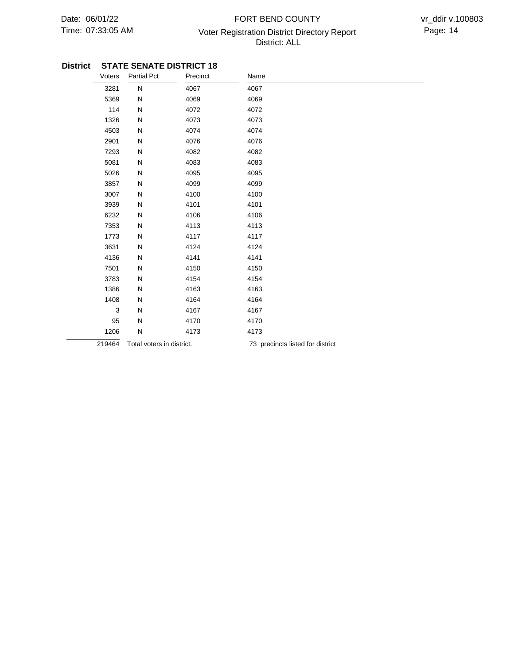## 07:33:05 AM Voter Registration District Directory Report Page: 14 FORT BEND COUNTY District: ALL

| Voters | <b>Partial Pct</b>        | Precinct | Name                             |
|--------|---------------------------|----------|----------------------------------|
| 3281   | N                         | 4067     | 4067                             |
| 5369   | N                         | 4069     | 4069                             |
| 114    | N                         | 4072     | 4072                             |
| 1326   | N                         | 4073     | 4073                             |
| 4503   | N                         | 4074     | 4074                             |
| 2901   | N                         | 4076     | 4076                             |
| 7293   | N                         | 4082     | 4082                             |
| 5081   | N                         | 4083     | 4083                             |
| 5026   | N                         | 4095     | 4095                             |
| 3857   | N                         | 4099     | 4099                             |
| 3007   | N                         | 4100     | 4100                             |
| 3939   | N                         | 4101     | 4101                             |
| 6232   | N                         | 4106     | 4106                             |
| 7353   | N                         | 4113     | 4113                             |
| 1773   | N                         | 4117     | 4117                             |
| 3631   | N                         | 4124     | 4124                             |
| 4136   | N                         | 4141     | 4141                             |
| 7501   | N                         | 4150     | 4150                             |
| 3783   | N                         | 4154     | 4154                             |
| 1386   | N                         | 4163     | 4163                             |
| 1408   | N                         | 4164     | 4164                             |
| 3      | N                         | 4167     | 4167                             |
| 95     | N                         | 4170     | 4170                             |
| 1206   | N                         | 4173     | 4173                             |
| 219464 | Total voters in district. |          | 73 precincts listed for district |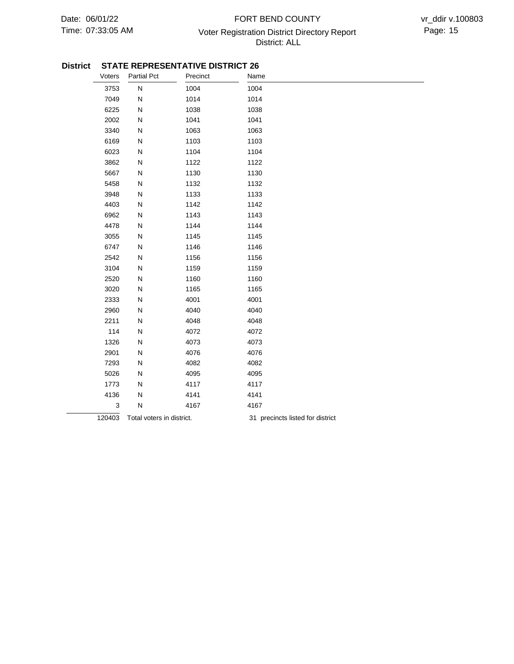### 07:33:05 AM **Page: 15** Voter Registration District Directory Report Page: 15 FORT BEND COUNTY District: ALL

#### **District STATE REPRESENTATIVE DISTRICT 26**

| Voters | <b>Partial Pct</b>        | Precinct | Name                             |
|--------|---------------------------|----------|----------------------------------|
| 3753   | ${\sf N}$                 | 1004     | 1004                             |
| 7049   | N                         | 1014     | 1014                             |
| 6225   | N                         | 1038     | 1038                             |
| 2002   | N                         | 1041     | 1041                             |
| 3340   | N                         | 1063     | 1063                             |
| 6169   | N                         | 1103     | 1103                             |
| 6023   | N                         | 1104     | 1104                             |
| 3862   | N                         | 1122     | 1122                             |
| 5667   | N                         | 1130     | 1130                             |
| 5458   | N                         | 1132     | 1132                             |
| 3948   | N                         | 1133     | 1133                             |
| 4403   | N                         | 1142     | 1142                             |
| 6962   | N                         | 1143     | 1143                             |
| 4478   | N                         | 1144     | 1144                             |
| 3055   | N                         | 1145     | 1145                             |
| 6747   | N                         | 1146     | 1146                             |
| 2542   | N                         | 1156     | 1156                             |
| 3104   | N                         | 1159     | 1159                             |
| 2520   | N                         | 1160     | 1160                             |
| 3020   | N                         | 1165     | 1165                             |
| 2333   | N                         | 4001     | 4001                             |
| 2960   | N                         | 4040     | 4040                             |
| 2211   | N                         | 4048     | 4048                             |
| 114    | N                         | 4072     | 4072                             |
| 1326   | N                         | 4073     | 4073                             |
| 2901   | N                         | 4076     | 4076                             |
| 7293   | N                         | 4082     | 4082                             |
| 5026   | N                         | 4095     | 4095                             |
| 1773   | N                         | 4117     | 4117                             |
| 4136   | N                         | 4141     | 4141                             |
| 3      | N                         | 4167     | 4167                             |
| 120403 | Total voters in district. |          | 31 precincts listed for district |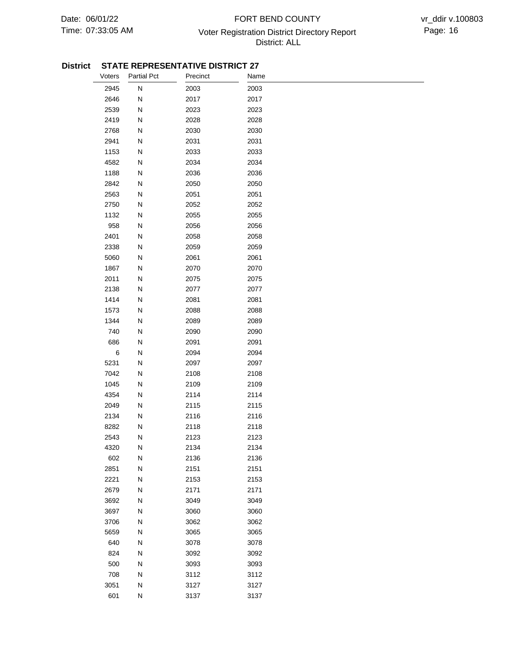### 07:33:05 AM Voter Registration District Directory Report Page: 16 FORT BEND COUNTY District: ALL

#### **District STATE REPRESENTATIVE DISTRICT 27**

| Voters | <b>Partial Pct</b> | Precinct | Name |
|--------|--------------------|----------|------|
| 2945   | ${\sf N}$          | 2003     | 2003 |
| 2646   | N                  | 2017     | 2017 |
| 2539   | N                  | 2023     | 2023 |
| 2419   | Ν                  | 2028     | 2028 |
| 2768   | N                  | 2030     | 2030 |
| 2941   | N                  | 2031     | 2031 |
| 1153   | N                  | 2033     | 2033 |
| 4582   | N                  | 2034     | 2034 |
| 1188   | N                  | 2036     | 2036 |
| 2842   | N                  | 2050     | 2050 |
| 2563   | N                  | 2051     | 2051 |
| 2750   | N                  | 2052     | 2052 |
| 1132   | N                  | 2055     | 2055 |
| 958    | Ν                  | 2056     | 2056 |
| 2401   | N                  | 2058     | 2058 |
| 2338   | N                  | 2059     | 2059 |
| 5060   | N                  | 2061     | 2061 |
| 1867   | N                  | 2070     | 2070 |
| 2011   | N                  | 2075     | 2075 |
| 2138   | N                  | 2077     | 2077 |
| 1414   | N                  | 2081     | 2081 |
| 1573   | N                  | 2088     | 2088 |
| 1344   | N                  | 2089     | 2089 |
| 740    | Ν                  | 2090     | 2090 |
| 686    | N                  | 2091     | 2091 |
| $\,6$  | N                  | 2094     | 2094 |
| 5231   | N                  | 2097     | 2097 |
| 7042   | N                  | 2108     | 2108 |
| 1045   | N                  | 2109     | 2109 |
| 4354   | N                  | 2114     | 2114 |
| 2049   | N                  | 2115     | 2115 |
| 2134   | Ν                  | 2116     | 2116 |
| 8282   | N                  | 2118     | 2118 |
| 2543   | Ν                  | 2123     | 2123 |
| 4320   | N                  | 2134     | 2134 |
| 602    | N                  | 2136     | 2136 |
| 2851   | N                  | 2151     | 2151 |
| 2221   | N                  | 2153     | 2153 |
| 2679   | N                  | 2171     | 2171 |
| 3692   | N                  | 3049     | 3049 |
| 3697   | ${\sf N}$          | 3060     | 3060 |
| 3706   | N                  | 3062     | 3062 |
| 5659   | N                  | 3065     | 3065 |
| 640    | N                  | 3078     | 3078 |
| 824    | N                  | 3092     | 3092 |
| 500    | N                  | 3093     | 3093 |
| 708    | N                  | 3112     | 3112 |
| 3051   | N                  | 3127     | 3127 |
| 601    | N                  | 3137     | 3137 |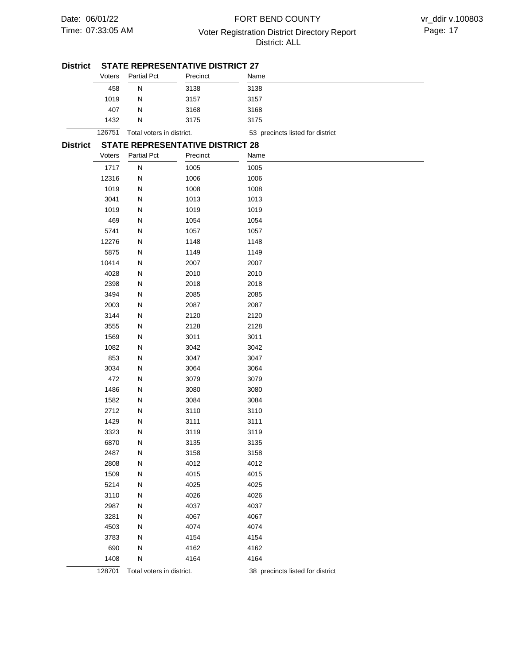#### 07:33:05 AM **Page: 17** Voter Registration District Directory Report Page: 17 FORT BEND COUNTY District: ALL

| <b>District</b> |        |                           | <b>STATE REPRESENTATIVE DISTRICT 27</b> |                                  |  |  |
|-----------------|--------|---------------------------|-----------------------------------------|----------------------------------|--|--|
|                 | Voters | <b>Partial Pct</b>        | Precinct                                | Name                             |  |  |
|                 | 458    | N                         | 3138                                    | 3138                             |  |  |
|                 | 1019   | N                         | 3157                                    | 3157                             |  |  |
|                 | 407    | N                         | 3168                                    | 3168                             |  |  |
|                 | 1432   | N                         | 3175                                    | 3175                             |  |  |
|                 | 126751 | Total voters in district. |                                         | 53 precincts listed for district |  |  |
| <b>District</b> |        |                           | <b>STATE REPRESENTATIVE DISTRICT 28</b> |                                  |  |  |
|                 | Voters | <b>Partial Pct</b>        | Precinct                                | Name                             |  |  |
|                 | 1717   | N                         | 1005                                    | 1005                             |  |  |
|                 | 12316  | N                         | 1006                                    | 1006                             |  |  |
|                 | 1019   | N                         | 1008                                    | 1008                             |  |  |
|                 | 3041   | N                         | 1013                                    | 1013                             |  |  |
|                 | 1019   | N                         | 1019                                    | 1019                             |  |  |
|                 | 469    | N                         | 1054                                    | 1054                             |  |  |
|                 | 5741   | N                         | 1057                                    | 1057                             |  |  |
|                 | 12276  | N                         | 1148                                    | 1148                             |  |  |
|                 | 5875   | N                         | 1149                                    | 1149                             |  |  |
|                 | 10414  | N                         | 2007                                    | 2007                             |  |  |
|                 | 4028   | N                         | 2010                                    | 2010                             |  |  |
|                 | 2398   | N                         | 2018                                    | 2018                             |  |  |
|                 | 3494   | N                         | 2085                                    | 2085                             |  |  |
|                 | 2003   | N                         | 2087                                    | 2087                             |  |  |
|                 | 3144   | N                         | 2120                                    | 2120                             |  |  |
|                 | 3555   | N                         | 2128                                    | 2128                             |  |  |
|                 | 1569   | N                         | 3011                                    | 3011                             |  |  |
|                 | 1082   | N                         | 3042                                    | 3042                             |  |  |
|                 | 853    | N                         | 3047                                    | 3047                             |  |  |
|                 | 3034   | N                         | 3064                                    | 3064                             |  |  |
|                 | 472    | N                         | 3079                                    | 3079                             |  |  |
|                 | 1486   | N                         | 3080                                    | 3080                             |  |  |
|                 | 1582   | N                         | 3084                                    | 3084                             |  |  |
|                 | 2712   | N                         | 3110                                    | 3110                             |  |  |
|                 | 1429   | N                         | 3111                                    | 3111                             |  |  |
|                 | 3323   | N                         | 3119                                    | 3119                             |  |  |
|                 | 6870   | N                         | 3135                                    | 3135                             |  |  |
|                 | 2487   | N                         | 3158                                    | 3158                             |  |  |
|                 | 2808   | N                         | 4012                                    | 4012                             |  |  |
|                 | 1509   | N                         | 4015                                    | 4015                             |  |  |
|                 | 5214   | N                         | 4025                                    | 4025                             |  |  |
|                 | 3110   | N                         | 4026                                    | 4026                             |  |  |
|                 | 2987   | N                         | 4037                                    | 4037                             |  |  |
|                 | 3281   | N                         | 4067                                    | 4067                             |  |  |
|                 | 4503   | N                         | 4074                                    | 4074                             |  |  |
|                 | 3783   | N                         | 4154                                    | 4154                             |  |  |
|                 | 690    | N                         | 4162                                    | 4162                             |  |  |
|                 | 1408   | N                         | 4164                                    | 4164                             |  |  |
|                 | 128701 | Total voters in district. |                                         | 38 precincts listed for district |  |  |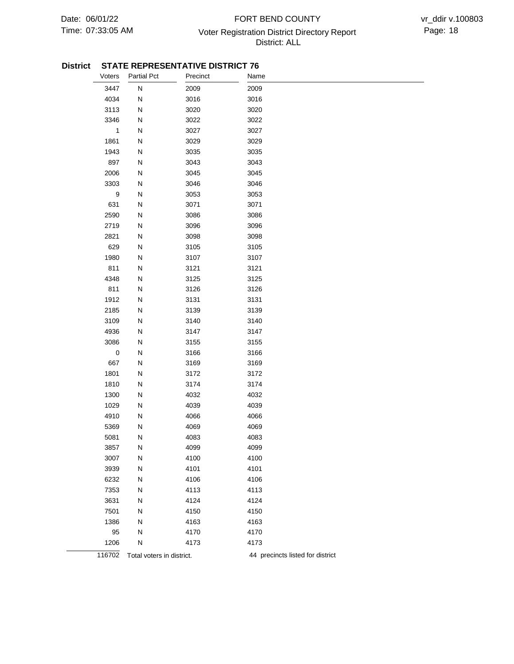### 07:33:05 AM Voter Registration District Directory Report Page: 18 FORT BEND COUNTY District: ALL

#### **District STATE REPRESENTATIVE DISTRICT 76**

| Voters           | Partial Pct               | Precinct | Name                             |
|------------------|---------------------------|----------|----------------------------------|
| 3447             | ${\sf N}$                 | 2009     | 2009                             |
| 4034             | ${\sf N}$                 | 3016     | 3016                             |
| 3113             | ${\sf N}$                 | 3020     | 3020                             |
| 3346             | ${\sf N}$                 | 3022     | 3022                             |
| $\mathbf{1}$     | ${\sf N}$                 | 3027     | 3027                             |
| 1861             | ${\sf N}$                 | 3029     | 3029                             |
| 1943             | ${\sf N}$                 | 3035     | 3035                             |
| 897              | ${\sf N}$                 | 3043     | 3043                             |
| 2006             | ${\sf N}$                 | 3045     | 3045                             |
| 3303             | ${\sf N}$                 | 3046     | 3046                             |
| $\boldsymbol{9}$ | ${\sf N}$                 | 3053     | 3053                             |
| 631              | ${\sf N}$                 | 3071     | 3071                             |
| 2590             | ${\sf N}$                 | 3086     | 3086                             |
| 2719             | ${\sf N}$                 | 3096     | 3096                             |
| 2821             | ${\sf N}$                 | 3098     | 3098                             |
| 629              | ${\sf N}$                 | 3105     | 3105                             |
| 1980             | ${\sf N}$                 | 3107     | 3107                             |
| 811              | N                         | 3121     | 3121                             |
| 4348             | ${\sf N}$                 | 3125     | 3125                             |
| 811              | ${\sf N}$                 | 3126     | 3126                             |
| 1912             | ${\sf N}$                 | 3131     | 3131                             |
| 2185             | ${\sf N}$                 | 3139     | 3139                             |
| 3109             | ${\sf N}$                 | 3140     | 3140                             |
| 4936             | ${\sf N}$                 | 3147     | 3147                             |
| 3086             | ${\sf N}$                 | 3155     | 3155                             |
| $\pmb{0}$        | ${\sf N}$                 | 3166     | 3166                             |
| 667              | ${\sf N}$                 | 3169     | 3169                             |
| 1801             | ${\sf N}$                 | 3172     | 3172                             |
| 1810             | ${\sf N}$                 | 3174     | 3174                             |
| 1300             | ${\sf N}$                 | 4032     | 4032                             |
| 1029             | ${\sf N}$                 | 4039     | 4039                             |
| 4910             | N                         | 4066     | 4066                             |
| 5369             | ${\sf N}$                 | 4069     | 4069                             |
| 5081             | N                         | 4083     | 4083                             |
| 3857             | N                         | 4099     | 4099                             |
| 3007             | N                         | 4100     | 4100                             |
| 3939             | N                         | 4101     | 4101                             |
| 6232             | N                         | 4106     | 4106                             |
| 7353             | N                         | 4113     | 4113                             |
| 3631             | N                         | 4124     | 4124                             |
| 7501             | N                         | 4150     | 4150                             |
| 1386             | N                         | 4163     | 4163                             |
| 95               | N                         | 4170     | 4170                             |
| 1206             | N                         | 4173     | 4173                             |
| 116702           | Total voters in district. |          | 44 precincts listed for district |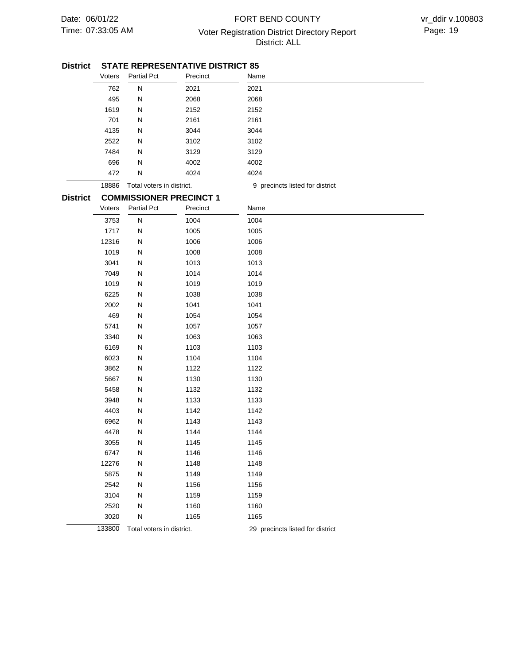### 07:33:05 AM Voter Registration District Directory Report Page: 19 FORT BEND COUNTY District: ALL

#### **STATE REPRESENTATIVE DISTRICT 85 District**

|                 | Voters | <b>Partial Pct</b>        | Precinct                       | Name                             |
|-----------------|--------|---------------------------|--------------------------------|----------------------------------|
|                 | 762    | ${\sf N}$                 | 2021                           | 2021                             |
|                 | 495    | N                         | 2068                           | 2068                             |
|                 | 1619   | N                         | 2152                           | 2152                             |
|                 | 701    | N                         | 2161                           | 2161                             |
|                 | 4135   | N                         | 3044                           | 3044                             |
|                 | 2522   | N                         | 3102                           | 3102                             |
|                 | 7484   | N                         | 3129                           | 3129                             |
|                 | 696    | N                         | 4002                           | 4002                             |
|                 | 472    | N                         | 4024                           | 4024                             |
|                 | 18886  | Total voters in district. |                                | 9 precincts listed for district  |
| <b>District</b> |        |                           | <b>COMMISSIONER PRECINCT 1</b> |                                  |
|                 | Voters | <b>Partial Pct</b>        | Precinct                       | Name                             |
|                 | 3753   | ${\sf N}$                 | 1004                           | 1004                             |
|                 | 1717   | N                         | 1005                           | 1005                             |
|                 | 12316  | N                         | 1006                           | 1006                             |
|                 | 1019   | N                         | 1008                           | 1008                             |
|                 | 3041   | N                         | 1013                           | 1013                             |
|                 | 7049   | N                         | 1014                           | 1014                             |
|                 | 1019   | N                         | 1019                           | 1019                             |
|                 | 6225   | N                         | 1038                           | 1038                             |
|                 | 2002   | N                         | 1041                           | 1041                             |
|                 | 469    | N                         | 1054                           | 1054                             |
|                 | 5741   | N                         | 1057                           | 1057                             |
|                 | 3340   | N                         | 1063                           | 1063                             |
|                 | 6169   | N                         | 1103                           | 1103                             |
|                 | 6023   | N                         | 1104                           | 1104                             |
|                 | 3862   | N                         | 1122                           | 1122                             |
|                 | 5667   | N                         | 1130                           | 1130                             |
|                 | 5458   | N                         | 1132                           | 1132                             |
|                 | 3948   | N                         | 1133                           | 1133                             |
|                 | 4403   | N                         | 1142                           | 1142                             |
|                 | 6962   | N                         | 1143                           | 1143                             |
|                 | 4478   | N                         | 1144                           | 1144                             |
|                 | 3055   | N                         | 1145                           | 1145                             |
|                 | 6747   | N                         | 1146                           | 1146                             |
|                 | 12276  | N                         | 1148                           | 1148                             |
|                 | 5875   | N                         | 1149                           | 1149                             |
|                 | 2542   | N                         | 1156                           | 1156                             |
|                 | 3104   | N                         | 1159                           | 1159                             |
|                 | 2520   | N                         | 1160                           | 1160                             |
|                 | 3020   | N                         | 1165                           | 1165                             |
|                 | 133800 | Total voters in district. |                                | 29 precincts listed for district |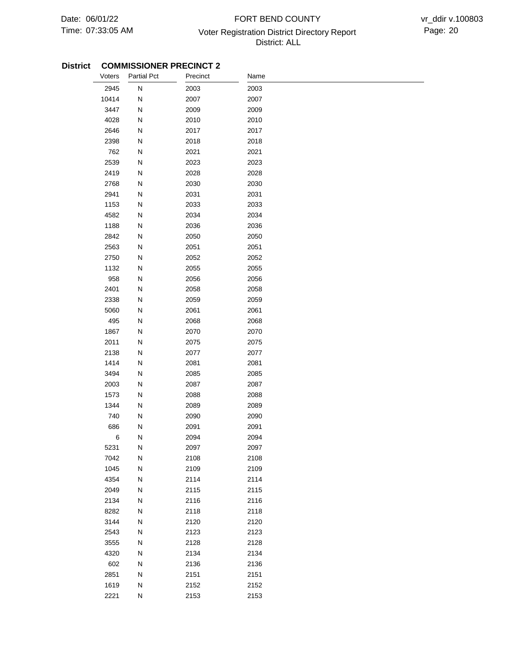## 07:33:05 AM Voter Registration District Directory Report Page: 20 FORT BEND COUNTY District: ALL

| Voters | <b>Partial Pct</b> | Precinct | Name |
|--------|--------------------|----------|------|
| 2945   | ${\sf N}$          | 2003     | 2003 |
| 10414  | N                  | 2007     | 2007 |
| 3447   | N                  | 2009     | 2009 |
| 4028   | N                  | 2010     | 2010 |
| 2646   | N                  | 2017     | 2017 |
| 2398   | ${\sf N}$          | 2018     | 2018 |
| 762    | ${\sf N}$          | 2021     | 2021 |
| 2539   | ${\sf N}$          | 2023     | 2023 |
| 2419   | ${\sf N}$          | 2028     | 2028 |
| 2768   | ${\sf N}$          | 2030     | 2030 |
| 2941   | ${\sf N}$          | 2031     | 2031 |
| 1153   | ${\sf N}$          | 2033     | 2033 |
| 4582   | N                  | 2034     | 2034 |
| 1188   | Ν                  | 2036     | 2036 |
| 2842   | Ν                  | 2050     | 2050 |
| 2563   | N                  | 2051     | 2051 |
| 2750   | N                  | 2052     | 2052 |
| 1132   | ${\sf N}$          | 2055     | 2055 |
| 958    | N                  | 2056     | 2056 |
| 2401   | N                  | 2058     | 2058 |
| 2338   | ${\sf N}$          | 2059     | 2059 |
| 5060   | ${\sf N}$          | 2061     | 2061 |
| 495    | N                  | 2068     | 2068 |
| 1867   | Ν                  | 2070     | 2070 |
| 2011   | N                  | 2075     | 2075 |
| 2138   | ${\sf N}$          | 2077     | 2077 |
| 1414   | ${\sf N}$          | 2081     | 2081 |
| 3494   | ${\sf N}$          | 2085     | 2085 |
| 2003   | ${\sf N}$          | 2087     | 2087 |
| 1573   | ${\sf N}$          | 2088     | 2088 |
| 1344   | ${\sf N}$          | 2089     | 2089 |
| 740    | ${\sf N}$          | 2090     | 2090 |
| 686    | N                  | 2091     | 2091 |
| 6      | N                  | 2094     | 2094 |
| 5231   | N                  | 2097     | 2097 |
| 7042   | ${\sf N}$          | 2108     | 2108 |
| 1045   | ${\sf N}$          | 2109     | 2109 |
| 4354   | ${\sf N}$          | 2114     | 2114 |
| 2049   | ${\sf N}$          | 2115     | 2115 |
| 2134   | ${\sf N}$          | 2116     | 2116 |
| 8282   | ${\sf N}$          | 2118     | 2118 |
| 3144   | ${\sf N}$          | 2120     | 2120 |
| 2543   | ${\sf N}$          | 2123     | 2123 |
| 3555   | ${\sf N}$          | 2128     | 2128 |
| 4320   | ${\sf N}$          | 2134     | 2134 |
| 602    | ${\sf N}$          | 2136     | 2136 |
| 2851   | N                  | 2151     | 2151 |
| 1619   | ${\sf N}$          | 2152     | 2152 |
| 2221   | ${\sf N}$          | 2153     | 2153 |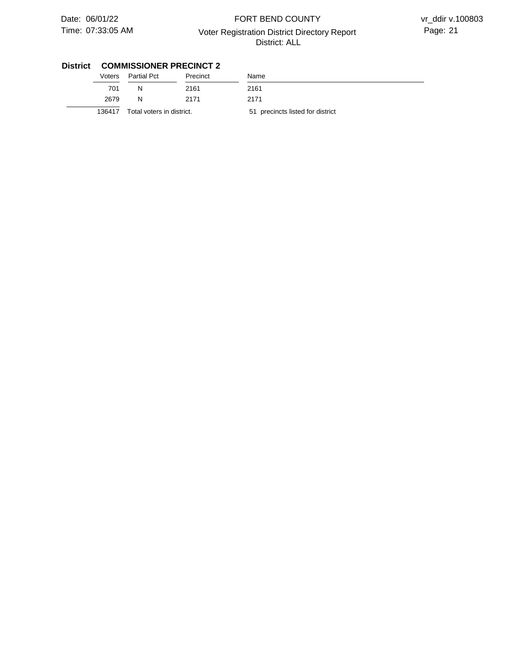### 07:33:05 AM Voter Registration District Directory Report Page: 21 FORT BEND COUNTY District: ALL

vr\_ddir v.100803

| Voters | <b>Partial Pct</b>        | Precinct | Name                             |
|--------|---------------------------|----------|----------------------------------|
| 701    | N                         | 2161     | 2161                             |
| 2679   | N                         | 2171     | 2171                             |
| 136417 | Total voters in district. |          | 51 precincts listed for district |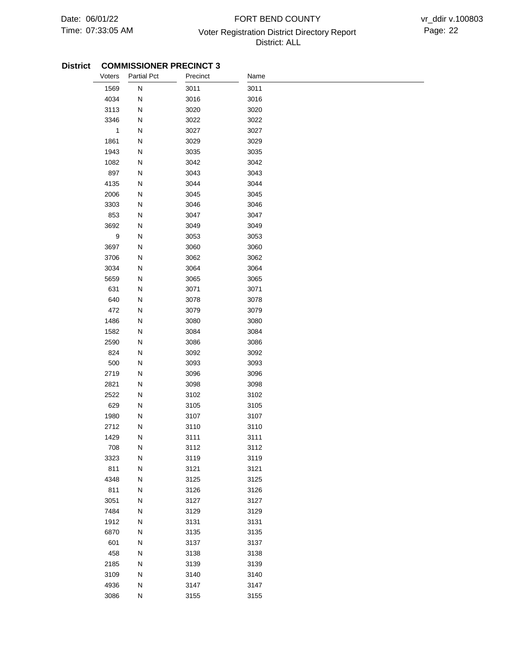## 07:33:05 AM Voter Registration District Directory Report Page: 22 FORT BEND COUNTY District: ALL

| Voters           | <b>Partial Pct</b> | Precinct | Name |
|------------------|--------------------|----------|------|
| 1569             | ${\sf N}$          | 3011     | 3011 |
| 4034             | N                  | 3016     | 3016 |
| 3113             | ${\sf N}$          | 3020     | 3020 |
| 3346             | N                  | 3022     | 3022 |
| $\mathbf{1}$     | N                  | 3027     | 3027 |
| 1861             | N                  | 3029     | 3029 |
| 1943             | ${\sf N}$          | 3035     | 3035 |
| 1082             | N                  | 3042     | 3042 |
| 897              | ${\sf N}$          | 3043     | 3043 |
| 4135             | ${\sf N}$          | 3044     | 3044 |
| 2006             | ${\sf N}$          | 3045     | 3045 |
| 3303             | ${\sf N}$          | 3046     | 3046 |
| 853              | ${\sf N}$          | 3047     | 3047 |
| 3692             | ${\sf N}$          | 3049     | 3049 |
| $\boldsymbol{9}$ | N                  | 3053     | 3053 |
| 3697             | N                  | 3060     | 3060 |
| 3706             | N                  | 3062     | 3062 |
| 3034             | N                  | 3064     | 3064 |
| 5659             | ${\sf N}$          | 3065     | 3065 |
| 631              | N                  | 3071     | 3071 |
| 640              | N                  | 3078     | 3078 |
| 472              | ${\sf N}$          | 3079     | 3079 |
| 1486             | N                  | 3080     | 3080 |
| 1582             | N                  | 3084     | 3084 |
| 2590             | N                  | 3086     | 3086 |
| 824              | N                  | 3092     | 3092 |
| 500              | ${\sf N}$          | 3093     | 3093 |
| 2719             | ${\sf N}$          | 3096     | 3096 |
| 2821             | ${\sf N}$          | 3098     | 3098 |
| 2522             | ${\sf N}$          | 3102     | 3102 |
| 629              | N                  | 3105     | 3105 |
| 1980             | ${\sf N}$          | 3107     | 3107 |
| 2712             | N                  | 3110     | 3110 |
| 1429             | ${\sf N}$          | 3111     | 3111 |
| 708              | N                  | 3112     | 3112 |
| 3323             | N                  | 3119     | 3119 |
| 811              | ${\sf N}$          | 3121     | 3121 |
| 4348             | ${\sf N}$          | 3125     | 3125 |
| 811              | ${\sf N}$          | 3126     | 3126 |
| 3051             | ${\sf N}$          | 3127     | 3127 |
| 7484             | ${\sf N}$          | 3129     | 3129 |
| 1912             | ${\sf N}$          | 3131     | 3131 |
| 6870             | ${\sf N}$          | 3135     | 3135 |
| 601              | ${\sf N}$          | 3137     | 3137 |
| 458              | N                  | 3138     | 3138 |
| 2185             | ${\sf N}$          | 3139     | 3139 |
| 3109             | N                  | 3140     | 3140 |
| 4936             | ${\sf N}$          | 3147     | 3147 |
| 3086             | ${\sf N}$          | 3155     | 3155 |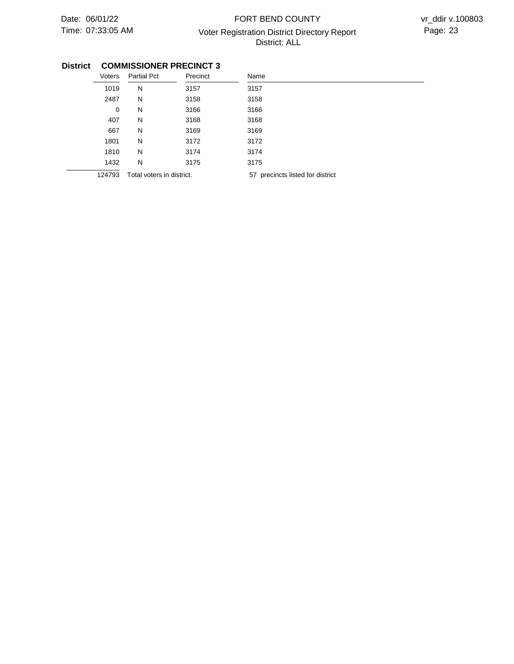## 07:33:05 AM Voter Registration District Directory Report Page: 23 FORT BEND COUNTY District: ALL

| Voters      | <b>Partial Pct</b>        | Precinct | Name                             |
|-------------|---------------------------|----------|----------------------------------|
| 1019        | N                         | 3157     | 3157                             |
| 2487        | N                         | 3158     | 3158                             |
| $\mathbf 0$ | N                         | 3166     | 3166                             |
| 407         | N                         | 3168     | 3168                             |
| 667         | N                         | 3169     | 3169                             |
| 1801        | N                         | 3172     | 3172                             |
| 1810        | N                         | 3174     | 3174                             |
| 1432        | N                         | 3175     | 3175                             |
| 124793      | Total voters in district. |          | 57 precincts listed for district |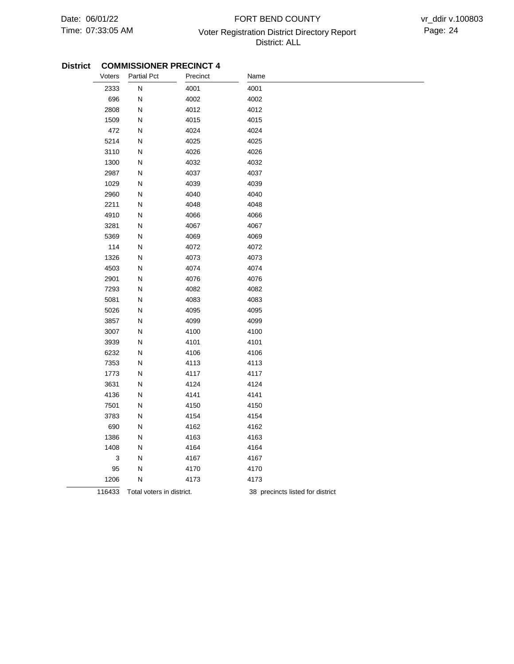## 07:33:05 AM Voter Registration District Directory Report Page: 24 FORT BEND COUNTY District: ALL

| Voters | <b>Partial Pct</b>        | Precinct | Name                             |
|--------|---------------------------|----------|----------------------------------|
| 2333   | ${\sf N}$                 | 4001     | 4001                             |
| 696    | N                         | 4002     | 4002                             |
| 2808   | ${\sf N}$                 | 4012     | 4012                             |
| 1509   | ${\sf N}$                 | 4015     | 4015                             |
| 472    | ${\sf N}$                 | 4024     | 4024                             |
| 5214   | ${\sf N}$                 | 4025     | 4025                             |
| 3110   | N                         | 4026     | 4026                             |
| 1300   | ${\sf N}$                 | 4032     | 4032                             |
| 2987   | N                         | 4037     | 4037                             |
| 1029   | N                         | 4039     | 4039                             |
| 2960   | N                         | 4040     | 4040                             |
| 2211   | N                         | 4048     | 4048                             |
| 4910   | N                         | 4066     | 4066                             |
| 3281   | N                         | 4067     | 4067                             |
| 5369   | Ν                         | 4069     | 4069                             |
| 114    | ${\sf N}$                 | 4072     | 4072                             |
| 1326   | ${\sf N}$                 | 4073     | 4073                             |
| 4503   | N                         | 4074     | 4074                             |
| 2901   | ${\sf N}$                 | 4076     | 4076                             |
| 7293   | ${\sf N}$                 | 4082     | 4082                             |
| 5081   | N                         | 4083     | 4083                             |
| 5026   | N                         | 4095     | 4095                             |
| 3857   | ${\sf N}$                 | 4099     | 4099                             |
| 3007   | Ν                         | 4100     | 4100                             |
| 3939   | N                         | 4101     | 4101                             |
| 6232   | ${\sf N}$                 | 4106     | 4106                             |
| 7353   | ${\sf N}$                 | 4113     | 4113                             |
| 1773   | ${\sf N}$                 | 4117     | 4117                             |
| 3631   | ${\sf N}$                 | 4124     | 4124                             |
| 4136   | ${\sf N}$                 | 4141     | 4141                             |
| 7501   | ${\sf N}$                 | 4150     | 4150                             |
| 3783   | ${\sf N}$                 | 4154     | 4154                             |
| 690    | ${\sf N}$                 | 4162     | 4162                             |
| 1386   | ${\sf N}$                 | 4163     | 4163                             |
| 1408   | N                         | 4164     | 4164                             |
| 3      | ${\sf N}$                 | 4167     | 4167                             |
| 95     | Ν                         | 4170     | 4170                             |
| 1206   | $\mathsf{N}$              | 4173     | 4173                             |
| 116433 | Total voters in district. |          | 38 precincts listed for district |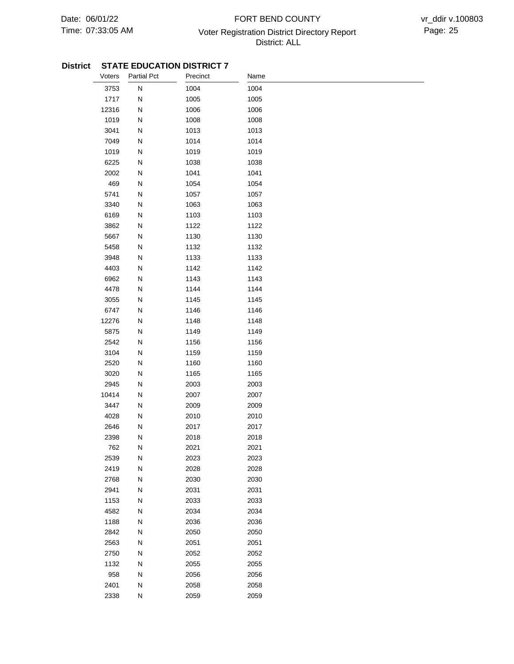## 07:33:05 AM Voter Registration District Directory Report Page: 25 FORT BEND COUNTY District: ALL

| Voters | <b>Partial Pct</b> | Precinct | Name |
|--------|--------------------|----------|------|
| 3753   | N                  | 1004     | 1004 |
| 1717   | Ν                  | 1005     | 1005 |
| 12316  | N                  | 1006     | 1006 |
| 1019   | N                  | 1008     | 1008 |
| 3041   | N                  | 1013     | 1013 |
| 7049   | N                  | 1014     | 1014 |
| 1019   | N                  | 1019     | 1019 |
| 6225   | N                  | 1038     | 1038 |
| 2002   | N                  | 1041     | 1041 |
| 469    | N                  | 1054     | 1054 |
| 5741   | N                  | 1057     | 1057 |
| 3340   | N                  | 1063     | 1063 |
| 6169   | N                  | 1103     | 1103 |
| 3862   | N                  | 1122     | 1122 |
| 5667   | Ν                  | 1130     | 1130 |
| 5458   | N                  | 1132     | 1132 |
| 3948   | N                  | 1133     | 1133 |
| 4403   | N                  | 1142     | 1142 |
| 6962   | N                  | 1143     | 1143 |
| 4478   | N                  | 1144     | 1144 |
| 3055   | N                  | 1145     | 1145 |
| 6747   | N                  | 1146     | 1146 |
| 12276  | N                  | 1148     | 1148 |
| 5875   | N                  | 1149     | 1149 |
| 2542   | N                  | 1156     | 1156 |
| 3104   | N                  | 1159     | 1159 |
| 2520   | N                  | 1160     | 1160 |
| 3020   | N                  | 1165     | 1165 |
| 2945   | N                  | 2003     | 2003 |
| 10414  | N                  | 2007     | 2007 |
| 3447   | N                  | 2009     | 2009 |
| 4028   | Ν                  | 2010     | 2010 |
| 2646   | N                  | 2017     | 2017 |
| 2398   | Ν                  | 2018     | 2018 |
| 762    | N                  | 2021     | 2021 |
| 2539   | N                  | 2023     | 2023 |
| 2419   | N                  | 2028     | 2028 |
| 2768   | N                  | 2030     | 2030 |
| 2941   | N                  | 2031     | 2031 |
| 1153   | N                  | 2033     | 2033 |
| 4582   | N                  | 2034     | 2034 |
| 1188   | ${\sf N}$          | 2036     | 2036 |
| 2842   | N                  | 2050     | 2050 |
| 2563   | Ν                  | 2051     | 2051 |
| 2750   | N                  | 2052     | 2052 |
| 1132   | N                  | 2055     | 2055 |
| 958    | N                  | 2056     | 2056 |
| 2401   | N                  | 2058     | 2058 |
| 2338   | N                  | 2059     | 2059 |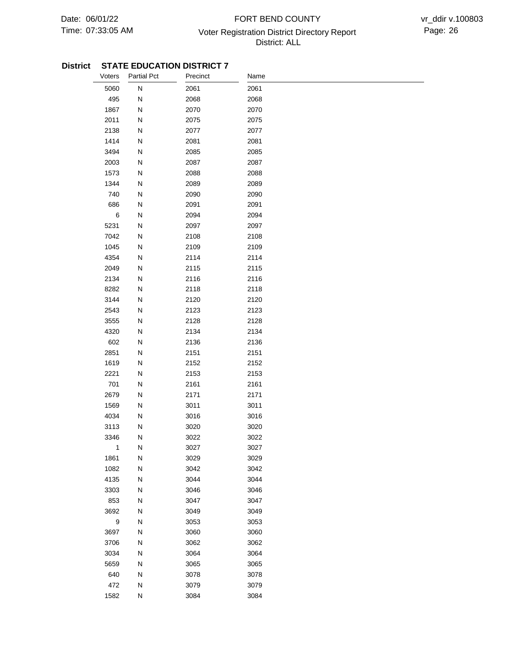## 07:33:05 AM Voter Registration District Directory Report Page: 26 FORT BEND COUNTY District: ALL

| Voters           | <b>Partial Pct</b> | Precinct | Name |  |
|------------------|--------------------|----------|------|--|
| 5060             | N                  | 2061     | 2061 |  |
| 495              | Ν                  | 2068     | 2068 |  |
| 1867             | N                  | 2070     | 2070 |  |
| 2011             | N                  | 2075     | 2075 |  |
| 2138             | N                  | 2077     | 2077 |  |
| 1414             | N                  | 2081     | 2081 |  |
| 3494             | N                  | 2085     | 2085 |  |
| 2003             | N                  | 2087     | 2087 |  |
| 1573             | N                  | 2088     | 2088 |  |
| 1344             | N                  | 2089     | 2089 |  |
| 740              | N                  | 2090     | 2090 |  |
| 686              | N                  | 2091     | 2091 |  |
| $\,6\,$          | N                  | 2094     | 2094 |  |
| 5231             | Ν                  | 2097     | 2097 |  |
| 7042             | N                  | 2108     | 2108 |  |
| 1045             | N                  | 2109     | 2109 |  |
| 4354             | N                  | 2114     | 2114 |  |
| 2049             | N                  | 2115     | 2115 |  |
| 2134             | Ν                  | 2116     | 2116 |  |
| 8282             | N                  | 2118     | 2118 |  |
| 3144             | N                  | 2120     | 2120 |  |
| 2543             | N                  | 2123     | 2123 |  |
| 3555             | N                  | 2128     | 2128 |  |
| 4320             | Ν                  | 2134     | 2134 |  |
| 602              | N                  | 2136     | 2136 |  |
| 2851             | N                  | 2151     | 2151 |  |
| 1619             | N                  | 2152     | 2152 |  |
| 2221             | N                  | 2153     | 2153 |  |
| 701              | N                  | 2161     | 2161 |  |
| 2679             | N                  | 2171     | 2171 |  |
| 1569             | N                  | 3011     | 3011 |  |
| 4034             | N                  | 3016     | 3016 |  |
| 3113             | N                  | 3020     | 3020 |  |
| 3346             | Ν                  | 3022     | 3022 |  |
| 1                | N                  | 3027     | 3027 |  |
| 1861             | N                  | 3029     | 3029 |  |
| 1082             | N                  | 3042     | 3042 |  |
| 4135             | N                  | 3044     | 3044 |  |
| 3303             | ${\sf N}$          | 3046     | 3046 |  |
| 853              | ${\sf N}$          | 3047     | 3047 |  |
| 3692             | ${\sf N}$          | 3049     | 3049 |  |
| $\boldsymbol{9}$ | ${\sf N}$          | 3053     | 3053 |  |
| 3697             | ${\sf N}$          | 3060     | 3060 |  |
| 3706             | Ν                  | 3062     | 3062 |  |
| 3034             | N                  | 3064     | 3064 |  |
| 5659             | N                  | 3065     | 3065 |  |
| 640              | N                  | 3078     | 3078 |  |
| 472              | N                  | 3079     | 3079 |  |
| 1582             | N                  | 3084     | 3084 |  |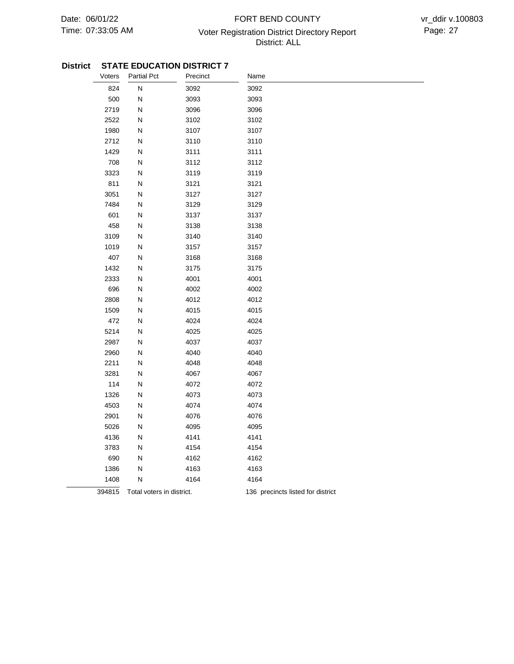## 07:33:05 AM Voter Registration District Directory Report Page: 27 FORT BEND COUNTY District: ALL

| Voters | <b>Partial Pct</b>        | Precinct | Name                              |
|--------|---------------------------|----------|-----------------------------------|
| 824    | N                         | 3092     | 3092                              |
| 500    | ${\sf N}$                 | 3093     | 3093                              |
| 2719   | N                         | 3096     | 3096                              |
| 2522   | ${\sf N}$                 | 3102     | 3102                              |
| 1980   | ${\sf N}$                 | 3107     | 3107                              |
| 2712   | ${\sf N}$                 | 3110     | 3110                              |
| 1429   | N                         | 3111     | 3111                              |
| 708    | Ν                         | 3112     | 3112                              |
| 3323   | ${\sf N}$                 | 3119     | 3119                              |
| 811    | ${\sf N}$                 | 3121     | 3121                              |
| 3051   | ${\sf N}$                 | 3127     | 3127                              |
| 7484   | ${\sf N}$                 | 3129     | 3129                              |
| 601    | Ν                         | 3137     | 3137                              |
| 458    | N                         | 3138     | 3138                              |
| 3109   | N                         | 3140     | 3140                              |
| 1019   | N                         | 3157     | 3157                              |
| 407    | ${\sf N}$                 | 3168     | 3168                              |
| 1432   | ${\sf N}$                 | 3175     | 3175                              |
| 2333   | ${\sf N}$                 | 4001     | 4001                              |
| 696    | N                         | 4002     | 4002                              |
| 2808   | Ν                         | 4012     | 4012                              |
| 1509   | ${\sf N}$                 | 4015     | 4015                              |
| 472    | ${\sf N}$                 | 4024     | 4024                              |
| 5214   | N                         | 4025     | 4025                              |
| 2987   | Ν                         | 4037     | 4037                              |
| 2960   | Ν                         | 4040     | 4040                              |
| 2211   | N                         | 4048     | 4048                              |
| 3281   | ${\sf N}$                 | 4067     | 4067                              |
| 114    | N                         | 4072     | 4072                              |
| 1326   | ${\sf N}$                 | 4073     | 4073                              |
| 4503   | ${\sf N}$                 | 4074     | 4074                              |
| 2901   | ${\sf N}$                 | 4076     | 4076                              |
| 5026   | Ν                         | 4095     | 4095                              |
| 4136   | Ν                         | 4141     | 4141                              |
| 3783   | ${\sf N}$                 | 4154     | 4154                              |
| 690    | ${\sf N}$                 | 4162     | 4162                              |
| 1386   | N                         | 4163     | 4163                              |
| 1408   | ${\sf N}$                 | 4164     | 4164                              |
| 394815 | Total voters in district. |          | 136 precincts listed for district |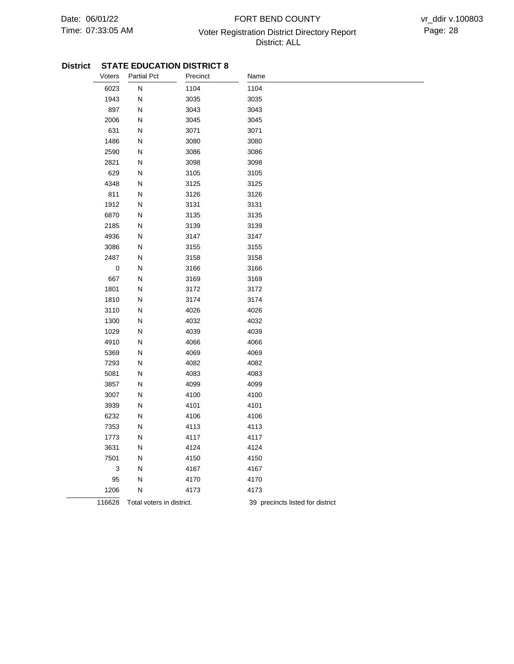## 07:33:05 AM Voter Registration District Directory Report Page: 28 FORT BEND COUNTY District: ALL

| Voters    | <b>Partial Pct</b>        | Precinct | Name                             |
|-----------|---------------------------|----------|----------------------------------|
| 6023      | Ν                         | 1104     | 1104                             |
| 1943      | N                         | 3035     | 3035                             |
| 897       | ${\sf N}$                 | 3043     | 3043                             |
| 2006      | N                         | 3045     | 3045                             |
| 631       | ${\sf N}$                 | 3071     | 3071                             |
| 1486      | N                         | 3080     | 3080                             |
| 2590      | N                         | 3086     | 3086                             |
| 2821      | Ν                         | 3098     | 3098                             |
| 629       | Ν                         | 3105     | 3105                             |
| 4348      | ${\sf N}$                 | 3125     | 3125                             |
| 811       | Ν                         | 3126     | 3126                             |
| 1912      | Ν                         | 3131     | 3131                             |
| 6870      | N                         | 3135     | 3135                             |
| 2185      | N                         | 3139     | 3139                             |
| 4936      | ${\sf N}$                 | 3147     | 3147                             |
| 3086      | Ν                         | 3155     | 3155                             |
| 2487      | N                         | 3158     | 3158                             |
| $\pmb{0}$ | Ν                         | 3166     | 3166                             |
| 667       | Ν                         | 3169     | 3169                             |
| 1801      | Ν                         | 3172     | 3172                             |
| 1810      | N                         | 3174     | 3174                             |
| 3110      | N                         | 4026     | 4026                             |
| 1300      | ${\sf N}$                 | 4032     | 4032                             |
| 1029      | N                         | 4039     | 4039                             |
| 4910      | ${\sf N}$                 | 4066     | 4066                             |
| 5369      | Ν                         | 4069     | 4069                             |
| 7293      | N                         | 4082     | 4082                             |
| 5081      | ${\sf N}$                 | 4083     | 4083                             |
| 3857      | ${\sf N}$                 | 4099     | 4099                             |
| 3007      | Ν                         | 4100     | 4100                             |
| 3939      | N                         | 4101     | 4101                             |
| 6232      | N                         | 4106     | 4106                             |
| 7353      | ${\sf N}$                 | 4113     | 4113                             |
| 1773      | Ν                         | 4117     | 4117                             |
| 3631      | N                         | 4124     | 4124                             |
| 7501      | Ν                         | 4150     | 4150                             |
| 3         | N                         | 4167     | 4167                             |
| 95        | Ν                         | 4170     | 4170                             |
| 1206      | N                         | 4173     | 4173                             |
| 116628    | Total voters in district. |          | 39 precincts listed for district |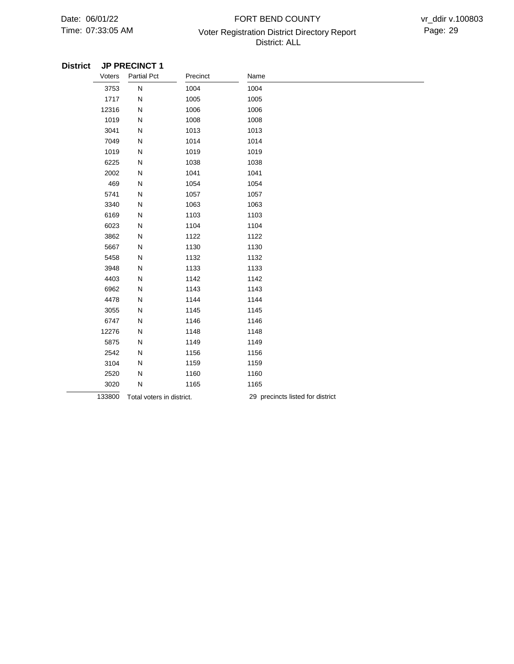## 07:33:05 AM Voter Registration District Directory Report Page: 29 FORT BEND COUNTY District: ALL

| Voters | <b>Partial Pct</b>        | Precinct | Name                             |
|--------|---------------------------|----------|----------------------------------|
| 3753   | $\overline{\mathsf{N}}$   | 1004     | 1004                             |
| 1717   | N                         | 1005     | 1005                             |
| 12316  | N                         | 1006     | 1006                             |
| 1019   | N                         | 1008     | 1008                             |
| 3041   | N                         | 1013     | 1013                             |
| 7049   | N                         | 1014     | 1014                             |
| 1019   | N                         | 1019     | 1019                             |
| 6225   | N                         | 1038     | 1038                             |
| 2002   | N                         | 1041     | 1041                             |
| 469    | N                         | 1054     | 1054                             |
| 5741   | N                         | 1057     | 1057                             |
| 3340   | N                         | 1063     | 1063                             |
| 6169   | N                         | 1103     | 1103                             |
| 6023   | N                         | 1104     | 1104                             |
| 3862   | N                         | 1122     | 1122                             |
| 5667   | N                         | 1130     | 1130                             |
| 5458   | N                         | 1132     | 1132                             |
| 3948   | N                         | 1133     | 1133                             |
| 4403   | N                         | 1142     | 1142                             |
| 6962   | N                         | 1143     | 1143                             |
| 4478   | N                         | 1144     | 1144                             |
| 3055   | N                         | 1145     | 1145                             |
| 6747   | N                         | 1146     | 1146                             |
| 12276  | N                         | 1148     | 1148                             |
| 5875   | N                         | 1149     | 1149                             |
| 2542   | N                         | 1156     | 1156                             |
| 3104   | N                         | 1159     | 1159                             |
| 2520   | N                         | 1160     | 1160                             |
| 3020   | N                         | 1165     | 1165                             |
| 133800 | Total voters in district. |          | 29 precincts listed for district |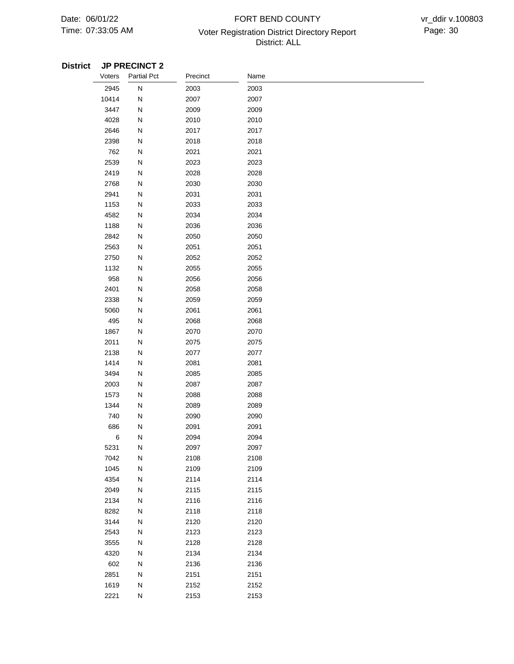## 07:33:05 AM Voter Registration District Directory Report Page: 30 FORT BEND COUNTY District: ALL

| Voters  | <b>Partial Pct</b> | Precinct | Name |  |
|---------|--------------------|----------|------|--|
| 2945    | ${\sf N}$          | 2003     | 2003 |  |
| 10414   | N                  | 2007     | 2007 |  |
| 3447    | N                  | 2009     | 2009 |  |
| 4028    | N                  | 2010     | 2010 |  |
| 2646    | N                  | 2017     | 2017 |  |
| 2398    | N                  | 2018     | 2018 |  |
| 762     | N                  | 2021     | 2021 |  |
| 2539    | N                  | 2023     | 2023 |  |
| 2419    | N                  | 2028     | 2028 |  |
| 2768    | N                  | 2030     | 2030 |  |
| 2941    | N                  | 2031     | 2031 |  |
| 1153    | N                  | 2033     | 2033 |  |
| 4582    | N                  | 2034     | 2034 |  |
| 1188    | N                  | 2036     | 2036 |  |
| 2842    | N                  | 2050     | 2050 |  |
| 2563    | N                  | 2051     | 2051 |  |
| 2750    | N                  | 2052     | 2052 |  |
| 1132    | N                  | 2055     | 2055 |  |
| 958     | N                  | 2056     | 2056 |  |
| 2401    | N                  | 2058     | 2058 |  |
| 2338    | N                  | 2059     | 2059 |  |
| 5060    | N                  | 2061     | 2061 |  |
| 495     | N                  | 2068     | 2068 |  |
| 1867    | N                  | 2070     | 2070 |  |
| 2011    | N                  | 2075     | 2075 |  |
| 2138    | N                  | 2077     | 2077 |  |
| 1414    | N                  | 2081     | 2081 |  |
| 3494    | N                  | 2085     | 2085 |  |
| 2003    | N                  | 2087     | 2087 |  |
| 1573    | N                  | 2088     | 2088 |  |
| 1344    | N                  | 2089     | 2089 |  |
| 740     | N                  | 2090     | 2090 |  |
| 686     | N                  | 2091     | 2091 |  |
| $\,6\,$ | N                  | 2094     | 2094 |  |
| 5231    | N                  | 2097     | 2097 |  |
| 7042    | N                  | 2108     | 2108 |  |
| 1045    | N                  | 2109     | 2109 |  |
| 4354    | N                  | 2114     | 2114 |  |
| 2049    | N                  | 2115     | 2115 |  |
| 2134    | N                  | 2116     | 2116 |  |
| 8282    | N                  | 2118     | 2118 |  |
| 3144    | N                  | 2120     | 2120 |  |
| 2543    | N                  | 2123     | 2123 |  |
| 3555    | N                  | 2128     | 2128 |  |
| 4320    | ${\sf N}$          | 2134     | 2134 |  |
| 602     | N                  | 2136     | 2136 |  |
| 2851    | N                  | 2151     | 2151 |  |
| 1619    | ${\sf N}$          | 2152     | 2152 |  |
| 2221    | ${\sf N}$          | 2153     | 2153 |  |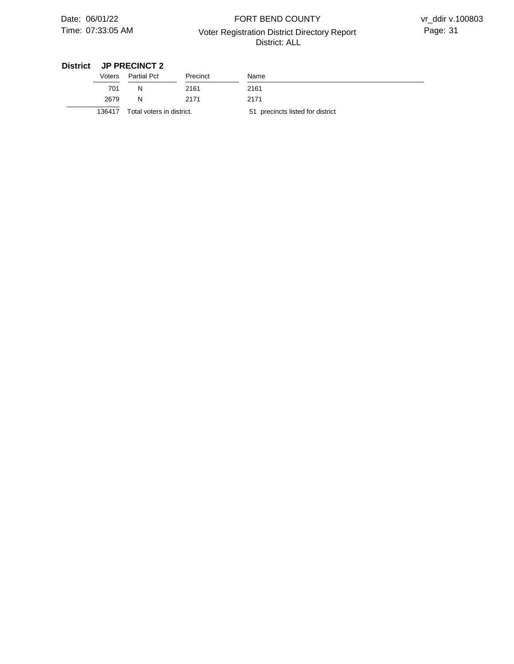## 07:33:05 AM Voter Registration District Directory Report Page: 31 FORT BEND COUNTY District: ALL

vr\_ddir v.100803

| Voters | Partial Pct               | Precinct | Name                             |
|--------|---------------------------|----------|----------------------------------|
| 701    | N                         | 2161     | 2161                             |
| 2679   | N                         | 2171     | 2171                             |
| 136417 | Total voters in district. |          | 51 precincts listed for district |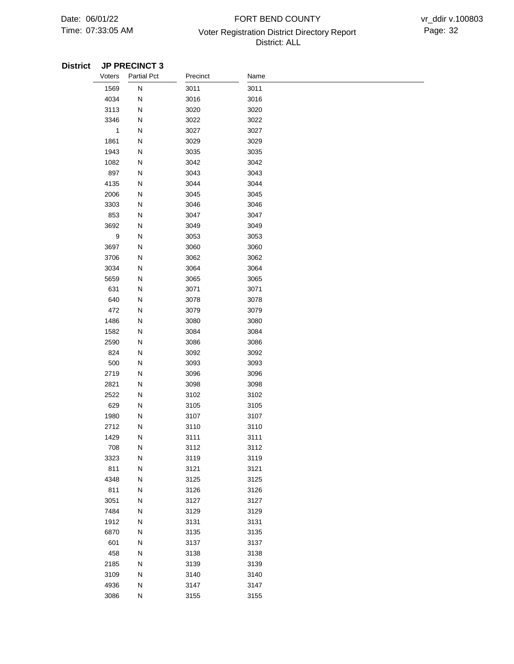## 07:33:05 AM Voter Registration District Directory Report Page: 32 FORT BEND COUNTY District: ALL

| Voters | <b>Partial Pct</b> | Precinct | Name |
|--------|--------------------|----------|------|
| 1569   | ${\sf N}$          | 3011     | 3011 |
| 4034   | N                  | 3016     | 3016 |
| 3113   | N                  | 3020     | 3020 |
| 3346   | N                  | 3022     | 3022 |
| 1      | N                  | 3027     | 3027 |
| 1861   | N                  | 3029     | 3029 |
| 1943   | N                  | 3035     | 3035 |
| 1082   | N                  | 3042     | 3042 |
| 897    | N                  | 3043     | 3043 |
| 4135   | N                  | 3044     | 3044 |
| 2006   | N                  | 3045     | 3045 |
| 3303   | ${\sf N}$          | 3046     | 3046 |
| 853    | N                  | 3047     | 3047 |
| 3692   | N                  | 3049     | 3049 |
| 9      | N                  | 3053     | 3053 |
| 3697   | N                  | 3060     | 3060 |
| 3706   | N                  | 3062     | 3062 |
| 3034   | N                  | 3064     | 3064 |
| 5659   | N                  | 3065     | 3065 |
| 631    | N                  | 3071     | 3071 |
| 640    | N                  | 3078     | 3078 |
| 472    | N                  | 3079     | 3079 |
| 1486   | N                  | 3080     | 3080 |
| 1582   | N                  | 3084     | 3084 |
| 2590   | N                  | 3086     | 3086 |
| 824    | N                  | 3092     | 3092 |
| 500    | N                  | 3093     | 3093 |
| 2719   | N                  | 3096     | 3096 |
| 2821   | N                  | 3098     | 3098 |
| 2522   | N                  | 3102     | 3102 |
| 629    | N                  | 3105     | 3105 |
| 1980   | N                  | 3107     | 3107 |
| 2712   | N                  | 3110     | 3110 |
| 1429   | N                  | 3111     | 3111 |
| 708    | N                  | 3112     | 3112 |
| 3323   | N                  | 3119     | 3119 |
| 811    | ${\sf N}$          | 3121     | 3121 |
| 4348   | N                  | 3125     | 3125 |
| 811    | ${\sf N}$          | 3126     | 3126 |
| 3051   | N                  | 3127     | 3127 |
| 7484   | ${\sf N}$          | 3129     | 3129 |
| 1912   | N                  | 3131     | 3131 |
| 6870   | ${\sf N}$          | 3135     | 3135 |
| 601    | ${\sf N}$          | 3137     | 3137 |
| 458    | ${\sf N}$          | 3138     | 3138 |
| 2185   | ${\sf N}$          | 3139     | 3139 |
| 3109   | N                  | 3140     | 3140 |
| 4936   | ${\sf N}$          | 3147     | 3147 |
| 3086   | N                  | 3155     | 3155 |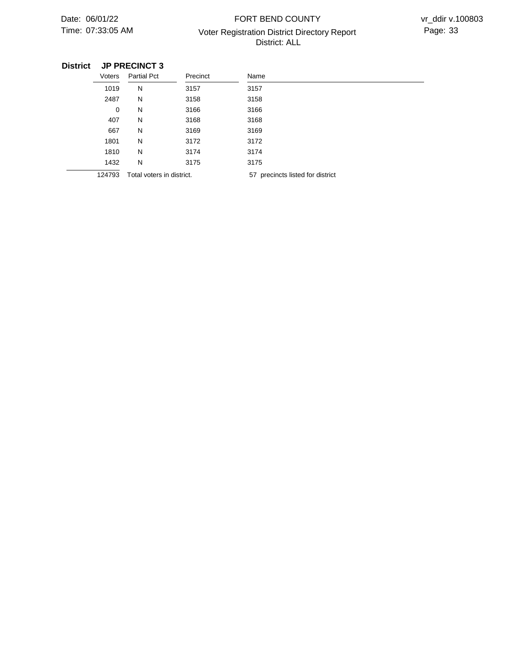## 07:33:05 AM Voter Registration District Directory Report Page: 33 FORT BEND COUNTY District: ALL

| Voters | <b>Partial Pct</b>        | Precinct | Name                                |
|--------|---------------------------|----------|-------------------------------------|
| 1019   | N                         | 3157     | 3157                                |
| 2487   | N                         | 3158     | 3158                                |
| 0      | N                         | 3166     | 3166                                |
| 407    | N                         | 3168     | 3168                                |
| 667    | N                         | 3169     | 3169                                |
| 1801   | N                         | 3172     | 3172                                |
| 1810   | N                         | 3174     | 3174                                |
| 1432   | N                         | 3175     | 3175                                |
| 124793 | Total voters in district. |          | precincts listed for district<br>57 |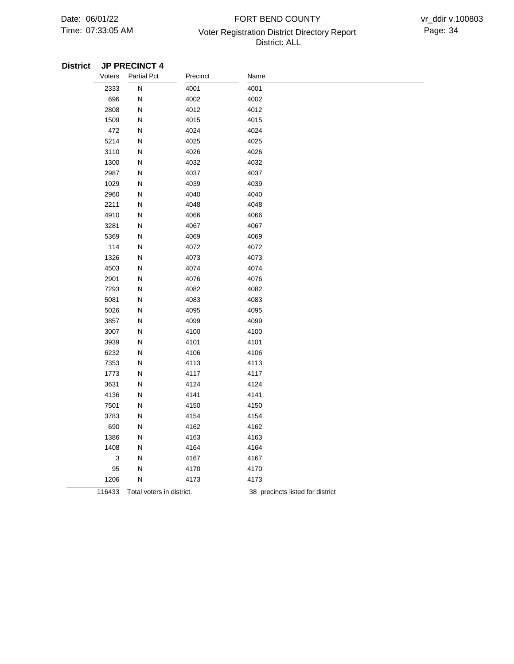## 07:33:05 AM Voter Registration District Directory Report Page: 34 FORT BEND COUNTY District: ALL

| Voters | <b>Partial Pct</b>        | Precinct | Name                             |
|--------|---------------------------|----------|----------------------------------|
| 2333   | ${\sf N}$                 | 4001     | 4001                             |
| 696    | ${\sf N}$                 | 4002     | 4002                             |
| 2808   | ${\sf N}$                 | 4012     | 4012                             |
| 1509   | ${\sf N}$                 | 4015     | 4015                             |
| 472    | ${\sf N}$                 | 4024     | 4024                             |
| 5214   | ${\sf N}$                 | 4025     | 4025                             |
| 3110   | ${\sf N}$                 | 4026     | 4026                             |
| 1300   | N                         | 4032     | 4032                             |
| 2987   | ${\sf N}$                 | 4037     | 4037                             |
| 1029   | ${\sf N}$                 | 4039     | 4039                             |
| 2960   | ${\sf N}$                 | 4040     | 4040                             |
| 2211   | N                         | 4048     | 4048                             |
| 4910   | ${\sf N}$                 | 4066     | 4066                             |
| 3281   | ${\sf N}$                 | 4067     | 4067                             |
| 5369   | N                         | 4069     | 4069                             |
| 114    | ${\sf N}$                 | 4072     | 4072                             |
| 1326   | ${\sf N}$                 | 4073     | 4073                             |
| 4503   | ${\sf N}$                 | 4074     | 4074                             |
| 2901   | ${\sf N}$                 | 4076     | 4076                             |
| 7293   | ${\sf N}$                 | 4082     | 4082                             |
| 5081   | ${\sf N}$                 | 4083     | 4083                             |
| 5026   | ${\sf N}$                 | 4095     | 4095                             |
| 3857   | ${\sf N}$                 | 4099     | 4099                             |
| 3007   | ${\sf N}$                 | 4100     | 4100                             |
| 3939   | ${\sf N}$                 | 4101     | 4101                             |
| 6232   | N                         | 4106     | 4106                             |
| 7353   | N                         | 4113     | 4113                             |
| 1773   | ${\sf N}$                 | 4117     | 4117                             |
| 3631   | ${\sf N}$                 | 4124     | 4124                             |
| 4136   | ${\sf N}$                 | 4141     | 4141                             |
| 7501   | ${\sf N}$                 | 4150     | 4150                             |
| 3783   | ${\sf N}$                 | 4154     | 4154                             |
| 690    | ${\sf N}$                 | 4162     | 4162                             |
| 1386   | ${\sf N}$                 | 4163     | 4163                             |
| 1408   | ${\sf N}$                 | 4164     | 4164                             |
| 3      | N                         | 4167     | 4167                             |
| 95     | Ν                         | 4170     | 4170                             |
| 1206   | ${\sf N}$                 | 4173     | 4173                             |
| 116433 | Total voters in district. |          | 38 precincts listed for district |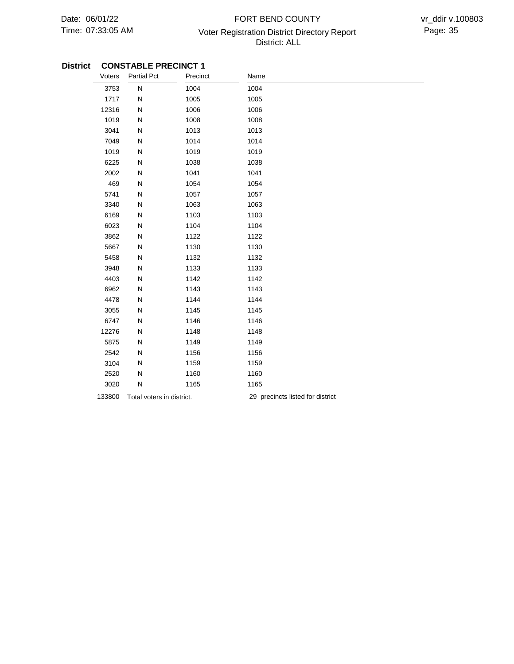÷

## 07:33:05 AM Voter Registration District Directory Report Page: 35 FORT BEND COUNTY District: ALL

#### **District CONSTABLE PRECINCT 1**

| Voters | <b>Partial Pct</b>        | Precinct | Name                             |
|--------|---------------------------|----------|----------------------------------|
| 3753   | N                         | 1004     | 1004                             |
| 1717   | N                         | 1005     | 1005                             |
| 12316  | N                         | 1006     | 1006                             |
| 1019   | N                         | 1008     | 1008                             |
| 3041   | N                         | 1013     | 1013                             |
| 7049   | N                         | 1014     | 1014                             |
| 1019   | N                         | 1019     | 1019                             |
| 6225   | N                         | 1038     | 1038                             |
| 2002   | N                         | 1041     | 1041                             |
| 469    | N                         | 1054     | 1054                             |
| 5741   | N                         | 1057     | 1057                             |
| 3340   | N                         | 1063     | 1063                             |
| 6169   | N                         | 1103     | 1103                             |
| 6023   | N                         | 1104     | 1104                             |
| 3862   | N                         | 1122     | 1122                             |
| 5667   | N                         | 1130     | 1130                             |
| 5458   | N                         | 1132     | 1132                             |
| 3948   | N                         | 1133     | 1133                             |
| 4403   | N                         | 1142     | 1142                             |
| 6962   | N                         | 1143     | 1143                             |
| 4478   | N                         | 1144     | 1144                             |
| 3055   | N                         | 1145     | 1145                             |
| 6747   | N                         | 1146     | 1146                             |
| 12276  | N                         | 1148     | 1148                             |
| 5875   | N                         | 1149     | 1149                             |
| 2542   | N                         | 1156     | 1156                             |
| 3104   | N                         | 1159     | 1159                             |
| 2520   | N                         | 1160     | 1160                             |
| 3020   | N                         | 1165     | 1165                             |
| 133800 | Total voters in district. |          | 29 precincts listed for district |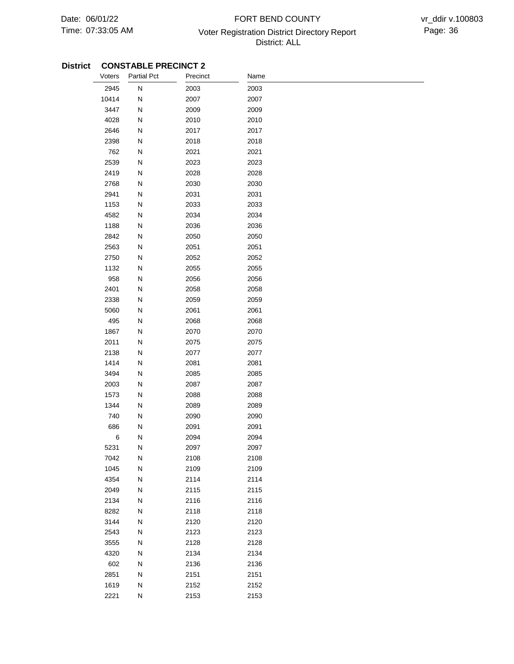# 07:33:05 AM Voter Registration District Directory Report Page: 36 FORT BEND COUNTY District: ALL

| Voters       | <b>Partial Pct</b>     | Precinct     | Name         |  |
|--------------|------------------------|--------------|--------------|--|
| 2945         | N                      | 2003         | 2003         |  |
| 10414        | Ν                      | 2007         | 2007         |  |
| 3447         | N                      | 2009         | 2009         |  |
| 4028         | N                      | 2010         | 2010         |  |
| 2646         | Ν                      | 2017         | 2017         |  |
| 2398         | N                      | 2018         | 2018         |  |
| 762          | N                      | 2021         | 2021         |  |
| 2539         | N                      | 2023         | 2023         |  |
| 2419         | N                      | 2028         | 2028         |  |
| 2768         | N                      | 2030         | 2030         |  |
| 2941         | N                      | 2031         | 2031         |  |
| 1153         | N                      | 2033         | 2033         |  |
| 4582         | N                      | 2034         | 2034         |  |
| 1188         | N                      | 2036         | 2036         |  |
| 2842         | Ν                      | 2050         | 2050         |  |
| 2563         | N                      | 2051         | 2051         |  |
| 2750         | N                      | 2052         | 2052         |  |
| 1132         | N                      | 2055         | 2055         |  |
| 958          | N                      | 2056         | 2056         |  |
| 2401         | N                      | 2058         | 2058         |  |
| 2338         | N                      | 2059         | 2059         |  |
| 5060         | N                      | 2061         | 2061         |  |
| 495          | N                      | 2068         | 2068         |  |
| 1867         | N                      | 2070         | 2070         |  |
| 2011         | Ν                      | 2075         | 2075         |  |
| 2138         | N                      | 2077         | 2077         |  |
| 1414         | N                      | 2081         | 2081         |  |
| 3494         | N                      | 2085         | 2085         |  |
| 2003         | N                      | 2087         | 2087         |  |
| 1573         | N                      | 2088         | 2088         |  |
| 1344         | N                      | 2089         | 2089         |  |
| 740          | N                      | 2090         | 2090         |  |
| 686          | N                      | 2091         | 2091         |  |
| 6            | N                      | 2094         | 2094         |  |
| 5231         | N                      | 2097         | 2097         |  |
| 7042         | ${\sf N}$              | 2108         | 2108         |  |
| 1045         | ${\sf N}$              | 2109         | 2109         |  |
| 4354         | ${\sf N}$              | 2114<br>2115 | 2114         |  |
| 2049         | ${\sf N}$              |              | 2115         |  |
| 2134<br>8282 | ${\sf N}$<br>${\sf N}$ | 2116<br>2118 | 2116         |  |
| 3144         | ${\sf N}$              | 2120         | 2118<br>2120 |  |
| 2543         | ${\sf N}$              | 2123         | 2123         |  |
| 3555         | ${\sf N}$              | 2128         | 2128         |  |
| 4320         | ${\sf N}$              | 2134         | 2134         |  |
| 602          | ${\sf N}$              | 2136         | 2136         |  |
| 2851         | ${\sf N}$              | 2151         | 2151         |  |
| 1619         | N                      | 2152         | 2152         |  |
| 2221         | ${\sf N}$              | 2153         | 2153         |  |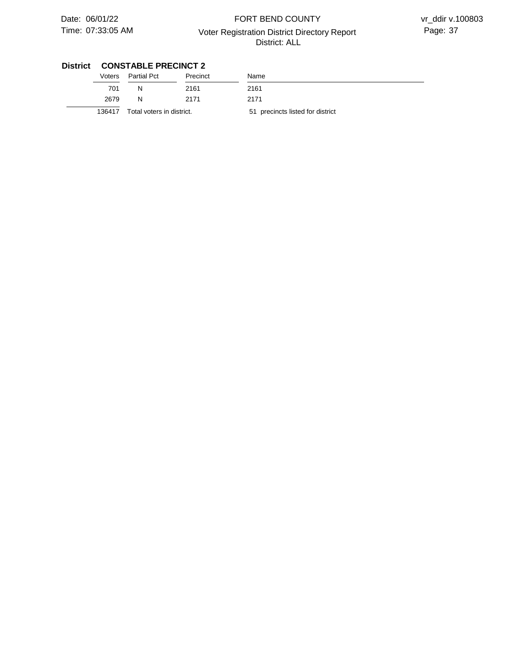# 07:33:05 AM Voter Registration District Directory Report Page: 37 FORT BEND COUNTY District: ALL

vr\_ddir v.100803

| Voters | Partial Pct               | Precinct | Name                             |
|--------|---------------------------|----------|----------------------------------|
| 701    | N                         | 2161     | 2161                             |
| 2679   | N                         | 2171     | 2171                             |
| 136417 | Total voters in district. |          | 51 precincts listed for district |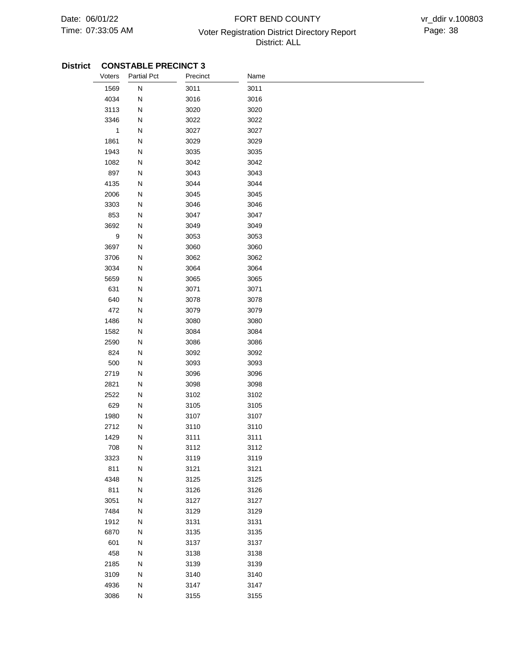# 07:33:05 AM Voter Registration District Directory Report Page: 38 FORT BEND COUNTY District: ALL

| Voters      | <b>Partial Pct</b> | Precinct | Name |
|-------------|--------------------|----------|------|
| 1569        | ${\sf N}$          | 3011     | 3011 |
| 4034        | N                  | 3016     | 3016 |
| 3113        | N                  | 3020     | 3020 |
| 3346        | N                  | 3022     | 3022 |
| $\mathbf 1$ | N                  | 3027     | 3027 |
| 1861        | N                  | 3029     | 3029 |
| 1943        | N                  | 3035     | 3035 |
| 1082        | N                  | 3042     | 3042 |
| 897         | N                  | 3043     | 3043 |
| 4135        | N                  | 3044     | 3044 |
| 2006        | N                  | 3045     | 3045 |
| 3303        | N                  | 3046     | 3046 |
| 853         | N                  | 3047     | 3047 |
| 3692        | N                  | 3049     | 3049 |
| 9           | N                  | 3053     | 3053 |
| 3697        | N                  | 3060     | 3060 |
| 3706        | N                  | 3062     | 3062 |
| 3034        | N                  | 3064     | 3064 |
| 5659        | N                  | 3065     | 3065 |
| 631         | N                  | 3071     | 3071 |
| 640         | N                  | 3078     | 3078 |
| 472         | N                  | 3079     | 3079 |
| 1486        | N                  | 3080     | 3080 |
| 1582        | N                  | 3084     | 3084 |
| 2590        | N                  | 3086     | 3086 |
| 824         | N                  | 3092     | 3092 |
| 500         | N                  | 3093     | 3093 |
| 2719        | N                  | 3096     | 3096 |
| 2821        | N                  | 3098     | 3098 |
| 2522        | N                  | 3102     | 3102 |
| 629         | N                  | 3105     | 3105 |
| 1980        | N                  | 3107     | 3107 |
| 2712        | N                  | 3110     | 3110 |
| 1429        | N                  | 3111     | 3111 |
| 708         | N                  | 3112     | 3112 |
| 3323        | N                  | 3119     | 3119 |
| 811         | ${\sf N}$          | 3121     | 3121 |
| 4348        | ${\sf N}$          | 3125     | 3125 |
| 811         | ${\sf N}$          | 3126     | 3126 |
| 3051        | ${\sf N}$          | 3127     | 3127 |
| 7484        | ${\sf N}$          | 3129     | 3129 |
| 1912        | ${\sf N}$          | 3131     | 3131 |
| 6870        | ${\sf N}$          | 3135     | 3135 |
| 601         | ${\sf N}$          | 3137     | 3137 |
| 458         | N                  | 3138     | 3138 |
| 2185        | N                  | 3139     | 3139 |
| 3109        | N                  | 3140     | 3140 |
| 4936        | N                  | 3147     | 3147 |
| 3086        | ${\sf N}$          | 3155     | 3155 |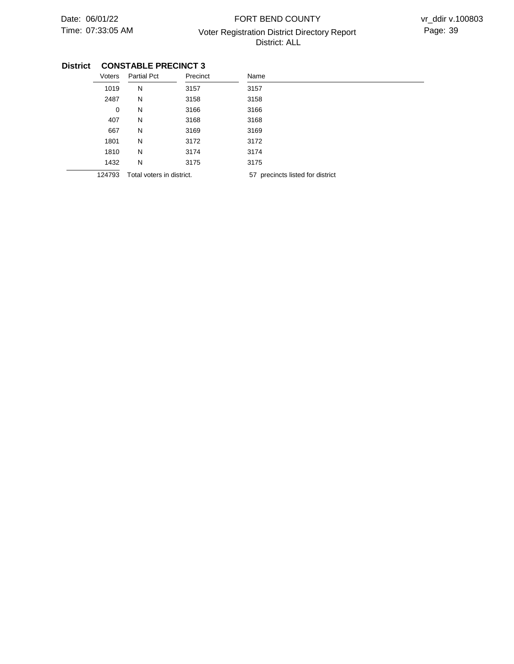# 07:33:05 AM Voter Registration District Directory Report Page: 39 FORT BEND COUNTY District: ALL

| Voters      | <b>Partial Pct</b>        | Precinct | Name                             |
|-------------|---------------------------|----------|----------------------------------|
| 1019        | N                         | 3157     | 3157                             |
| 2487        | N                         | 3158     | 3158                             |
| $\mathbf 0$ | N                         | 3166     | 3166                             |
| 407         | N                         | 3168     | 3168                             |
| 667         | N                         | 3169     | 3169                             |
| 1801        | N                         | 3172     | 3172                             |
| 1810        | N                         | 3174     | 3174                             |
| 1432        | N                         | 3175     | 3175                             |
| 124793      | Total voters in district. |          | 57 precincts listed for district |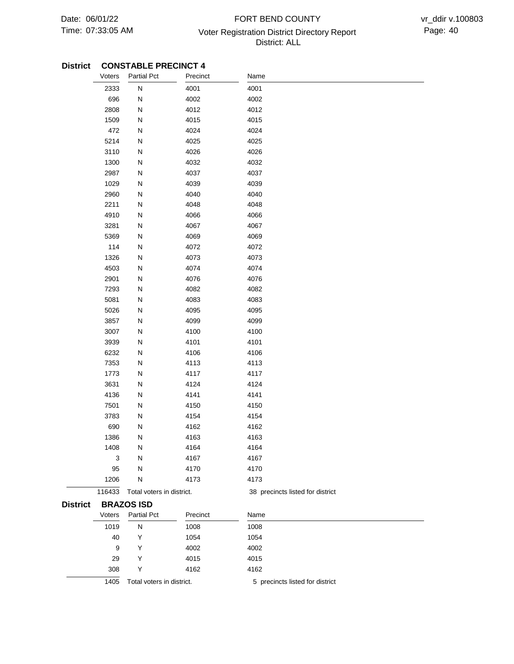# 07:33:05 AM Voter Registration District Directory Report Page: 40 FORT BEND COUNTY District: ALL

### **CONSTABLE PRECINCT 4 District**

|                 | Voters | <b>Partial Pct</b>        | Precinct | Name                             |
|-----------------|--------|---------------------------|----------|----------------------------------|
|                 | 2333   | N                         | 4001     | 4001                             |
|                 | 696    | N                         | 4002     | 4002                             |
|                 | 2808   | N                         | 4012     | 4012                             |
|                 | 1509   | N                         | 4015     | 4015                             |
|                 | 472    | N                         | 4024     | 4024                             |
|                 | 5214   | N                         | 4025     | 4025                             |
|                 | 3110   | N                         | 4026     | 4026                             |
|                 | 1300   | N                         | 4032     | 4032                             |
|                 | 2987   | N                         | 4037     | 4037                             |
|                 | 1029   | N                         | 4039     | 4039                             |
|                 | 2960   | N                         | 4040     | 4040                             |
|                 | 2211   | N                         | 4048     | 4048                             |
|                 | 4910   | N                         | 4066     | 4066                             |
|                 | 3281   | N                         | 4067     | 4067                             |
|                 | 5369   | N                         | 4069     | 4069                             |
|                 | 114    | N                         | 4072     | 4072                             |
|                 | 1326   | N                         | 4073     | 4073                             |
|                 | 4503   | N                         | 4074     | 4074                             |
|                 | 2901   | N                         | 4076     | 4076                             |
|                 | 7293   | Ν                         | 4082     | 4082                             |
|                 | 5081   | N                         | 4083     | 4083                             |
|                 | 5026   | Ν                         | 4095     | 4095                             |
|                 | 3857   | N                         | 4099     | 4099                             |
|                 | 3007   | N                         | 4100     | 4100                             |
|                 | 3939   | N                         | 4101     | 4101                             |
|                 | 6232   | N                         | 4106     | 4106                             |
|                 | 7353   | N                         | 4113     | 4113                             |
|                 | 1773   | N                         | 4117     | 4117                             |
|                 | 3631   | N                         | 4124     | 4124                             |
|                 | 4136   | N                         | 4141     | 4141                             |
|                 | 7501   | N                         | 4150     | 4150                             |
|                 | 3783   | N                         | 4154     | 4154                             |
|                 | 690    | N                         | 4162     | 4162                             |
|                 | 1386   | N                         | 4163     | 4163                             |
|                 | 1408   | N                         | 4164     | 4164                             |
|                 | 3      | N                         | 4167     | 4167                             |
|                 | 95     | N                         | 4170     | 4170                             |
|                 | 1206   | N                         | 4173     | 4173                             |
|                 | 116433 | Total voters in district. |          | 38 precincts listed for district |
| <b>District</b> |        | <b>BRAZOS ISD</b>         |          |                                  |
|                 | Voters | <b>Partial Pct</b>        | Precinct | Name                             |
|                 | 1019   | N                         | 1008     | 1008                             |
|                 | 40     | Y                         | 1054     | 1054                             |
|                 | 9      | Y                         | 4002     | 4002                             |
|                 | 29     | Y                         | 4015     | 4015                             |
|                 | 308    | Υ                         | 4162     | 4162                             |
|                 | 1405   |                           |          |                                  |
|                 |        | Total voters in district. |          | 5 precincts listed for district  |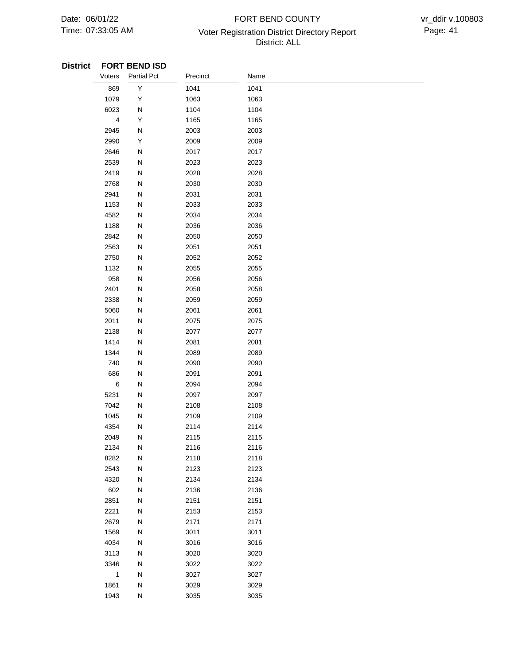# 07:33:05 AM **Page: 41** Voter Registration District Directory Report **Page: 41** FORT BEND COUNTY District: ALL

### **District FORT BEND ISD**

| Voters         | <b>Partial Pct</b> | Precinct | Name |  |  |
|----------------|--------------------|----------|------|--|--|
| 869            | Υ                  | 1041     | 1041 |  |  |
| 1079           | Υ                  | 1063     | 1063 |  |  |
| 6023           | N                  | 1104     | 1104 |  |  |
| $\overline{4}$ | Υ                  | 1165     | 1165 |  |  |
| 2945           | N                  | 2003     | 2003 |  |  |
| 2990           | Υ                  | 2009     | 2009 |  |  |
| 2646           | N                  | 2017     | 2017 |  |  |
| 2539           | N                  | 2023     | 2023 |  |  |
| 2419           | N                  | 2028     | 2028 |  |  |
| 2768           | N                  | 2030     | 2030 |  |  |
| 2941           | N                  | 2031     | 2031 |  |  |
| 1153           | N                  | 2033     | 2033 |  |  |
| 4582           | N                  | 2034     | 2034 |  |  |
| 1188           | N                  | 2036     | 2036 |  |  |
| 2842           | ${\sf N}$          | 2050     | 2050 |  |  |
| 2563           | N                  | 2051     | 2051 |  |  |
| 2750           | N                  | 2052     | 2052 |  |  |
| 1132           | N                  | 2055     | 2055 |  |  |
| 958            | N                  | 2056     | 2056 |  |  |
| 2401           | N                  | 2058     | 2058 |  |  |
| 2338           | N                  | 2059     | 2059 |  |  |
| 5060           | N                  | 2061     | 2061 |  |  |
| 2011           | N                  | 2075     | 2075 |  |  |
| 2138           | N                  | 2077     | 2077 |  |  |
| 1414           | N                  | 2081     | 2081 |  |  |
| 1344           | N                  | 2089     | 2089 |  |  |
| 740            | N                  | 2090     | 2090 |  |  |
| 686            | N                  | 2091     | 2091 |  |  |
| 6              | N                  | 2094     | 2094 |  |  |
| 5231           | N                  | 2097     | 2097 |  |  |
| 7042           | N                  | 2108     | 2108 |  |  |
| 1045           | N                  | 2109     | 2109 |  |  |
| 4354           | N                  | 2114     | 2114 |  |  |
| 2049           | N                  | 2115     | 2115 |  |  |
| 2134           | N                  | 2116     | 2116 |  |  |
| 8282           | N                  | 2118     | 2118 |  |  |
| 2543           | ${\sf N}$          | 2123     | 2123 |  |  |
| 4320           | N                  | 2134     | 2134 |  |  |
| 602            | ${\sf N}$          | 2136     | 2136 |  |  |
| 2851           | ${\sf N}$          | 2151     | 2151 |  |  |
| 2221           | ${\sf N}$          | 2153     | 2153 |  |  |
| 2679           | ${\sf N}$          | 2171     | 2171 |  |  |
| 1569           | ${\sf N}$          | 3011     | 3011 |  |  |
| 4034           | ${\sf N}$          | 3016     | 3016 |  |  |
| 3113           | ${\sf N}$          | 3020     | 3020 |  |  |
| 3346           | ${\sf N}$          | 3022     | 3022 |  |  |
| $\mathbf{1}$   | ${\sf N}$          | 3027     | 3027 |  |  |
| 1861           | ${\sf N}$          | 3029     | 3029 |  |  |
| 1943           | ${\sf N}$          | 3035     | 3035 |  |  |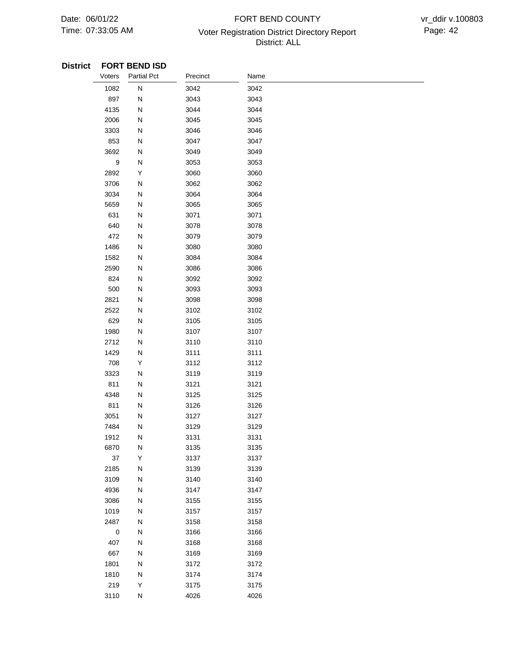# 07:33:05 AM Voter Registration District Directory Report Page: 42 FORT BEND COUNTY District: ALL

### **District FORT BEND ISD**

| Voters      | <b>Partial Pct</b> | Precinct | Name |  |
|-------------|--------------------|----------|------|--|
| 1082        | ${\sf N}$          | 3042     | 3042 |  |
| 897         | N                  | 3043     | 3043 |  |
| 4135        | N                  | 3044     | 3044 |  |
| 2006        | N                  | 3045     | 3045 |  |
| 3303        | N                  | 3046     | 3046 |  |
| 853         | N                  | 3047     | 3047 |  |
| 3692        | N                  | 3049     | 3049 |  |
| 9           | N                  | 3053     | 3053 |  |
| 2892        | Y                  | 3060     | 3060 |  |
| 3706        | N                  | 3062     | 3062 |  |
| 3034        | ${\sf N}$          | 3064     | 3064 |  |
| 5659        | N                  | 3065     | 3065 |  |
| 631         | N                  | 3071     | 3071 |  |
| 640         | ${\sf N}$          | 3078     | 3078 |  |
| 472         | ${\sf N}$          | 3079     | 3079 |  |
| 1486        | N                  | 3080     | 3080 |  |
| 1582        | N                  | 3084     | 3084 |  |
| 2590        | N                  | 3086     | 3086 |  |
| 824         | N                  | 3092     | 3092 |  |
| 500         | N                  | 3093     | 3093 |  |
| 2821        | N                  | 3098     | 3098 |  |
| 2522        | N                  | 3102     | 3102 |  |
| 629         | ${\sf N}$          | 3105     | 3105 |  |
| 1980        | N                  | 3107     | 3107 |  |
| 2712        | N                  | 3110     | 3110 |  |
| 1429        | N                  | 3111     | 3111 |  |
| 708         | Υ                  | 3112     | 3112 |  |
| 3323        | ${\sf N}$          | 3119     | 3119 |  |
| 811         | N                  | 3121     | 3121 |  |
| 4348        | N                  | 3125     | 3125 |  |
| 811         | ${\sf N}$          | 3126     | 3126 |  |
| 3051        | N                  | 3127     | 3127 |  |
| 7484        | Ν                  | 3129     | 3129 |  |
| 1912        | N                  | 3131     | 3131 |  |
| 6870        | N                  | 3135     | 3135 |  |
| 37          | Υ                  | 3137     | 3137 |  |
| 2185        | ${\sf N}$          | 3139     | 3139 |  |
| 3109        | ${\sf N}$          | 3140     | 3140 |  |
| 4936        | ${\sf N}$          | 3147     | 3147 |  |
| 3086        | ${\sf N}$          | 3155     | 3155 |  |
| 1019        | ${\sf N}$          | 3157     | 3157 |  |
| 2487        | ${\sf N}$          | 3158     | 3158 |  |
| $\mathbf 0$ | ${\sf N}$          | 3166     | 3166 |  |
| 407         | ${\sf N}$          | 3168     | 3168 |  |
| 667         | ${\sf N}$          | 3169     | 3169 |  |
| 1801        | N                  | 3172     | 3172 |  |
| 1810        | ${\sf N}$          | 3174     | 3174 |  |
| 219         | Υ                  | 3175     | 3175 |  |
| 3110        | ${\sf N}$          | 4026     | 4026 |  |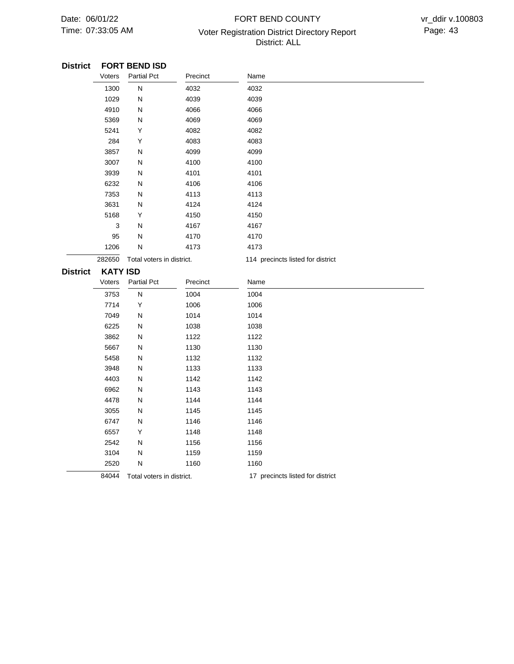# 07:33:05 AM Voter Registration District Directory Report Page: 43 FORT BEND COUNTY District: ALL

#### **FORT BEND ISD District**

|                 | Voters          | <b>Partial Pct</b>        | Precinct | Name                              |
|-----------------|-----------------|---------------------------|----------|-----------------------------------|
|                 | 1300            | ${\sf N}$                 | 4032     | 4032                              |
|                 | 1029            | N                         | 4039     | 4039                              |
|                 | 4910            | N                         | 4066     | 4066                              |
|                 | 5369            | N                         | 4069     | 4069                              |
|                 | 5241            | Υ                         | 4082     | 4082                              |
|                 | 284             | Υ                         | 4083     | 4083                              |
|                 | 3857            | N                         | 4099     | 4099                              |
|                 | 3007            | N                         | 4100     | 4100                              |
|                 | 3939            | N                         | 4101     | 4101                              |
|                 | 6232            | N                         | 4106     | 4106                              |
|                 | 7353            | N                         | 4113     | 4113                              |
|                 | 3631            | ${\sf N}$                 | 4124     | 4124                              |
|                 | 5168            | Υ                         | 4150     | 4150                              |
|                 | 3               | N                         | 4167     | 4167                              |
|                 | 95              | N                         | 4170     | 4170                              |
|                 | 1206            | N                         | 4173     | 4173                              |
|                 | 282650          | Total voters in district. |          | 114 precincts listed for district |
| <b>District</b> | <b>KATY ISD</b> |                           |          |                                   |
|                 |                 |                           |          |                                   |
|                 | Voters          | <b>Partial Pct</b>        | Precinct | Name                              |
|                 | 3753            | N                         | 1004     | 1004                              |
|                 | 7714            | Υ                         | 1006     | 1006                              |
|                 | 7049            | N                         | 1014     | 1014                              |
|                 | 6225            | N                         | 1038     | 1038                              |
|                 | 3862            | N                         | 1122     | 1122                              |
|                 | 5667            | ${\sf N}$                 | 1130     | 1130                              |
|                 | 5458            | ${\sf N}$                 | 1132     | 1132                              |
|                 | 3948            | N                         | 1133     | 1133                              |
|                 | 4403            | N                         | 1142     | 1142                              |
|                 | 6962            | N                         | 1143     | 1143                              |
|                 | 4478            | N                         | 1144     | 1144                              |
|                 | 3055            | N                         | 1145     | 1145                              |
|                 | 6747            | N                         | 1146     | 1146                              |
|                 | 6557            | Υ                         | 1148     | 1148                              |
|                 | 2542            | N                         | 1156     | 1156                              |
|                 | 3104            | N                         | 1159     | 1159                              |
|                 | 2520            | N                         | 1160     | 1160                              |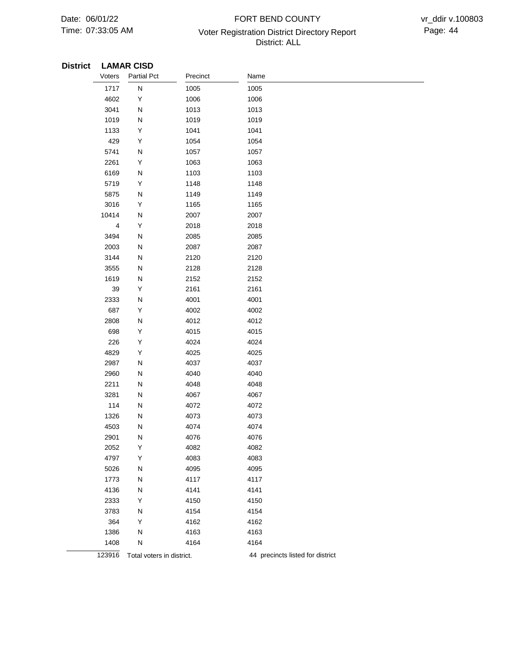# 07:33:05 AM Voter Registration District Directory Report Page: 44 FORT BEND COUNTY District: ALL

## **District LAMAR CISD**

| Voters | <b>Partial Pct</b>        | Precinct | Name                             |
|--------|---------------------------|----------|----------------------------------|
| 1717   | N                         | 1005     | 1005                             |
| 4602   | Υ                         | 1006     | 1006                             |
| 3041   | N                         | 1013     | 1013                             |
| 1019   | N                         | 1019     | 1019                             |
| 1133   | Υ                         | 1041     | 1041                             |
| 429    | Υ                         | 1054     | 1054                             |
| 5741   | N                         | 1057     | 1057                             |
| 2261   | Υ                         | 1063     | 1063                             |
| 6169   | N                         | 1103     | 1103                             |
| 5719   | Υ                         | 1148     | 1148                             |
| 5875   | N                         | 1149     | 1149                             |
| 3016   | Υ                         | 1165     | 1165                             |
| 10414  | N                         | 2007     | 2007                             |
| 4      | Υ                         | 2018     | 2018                             |
| 3494   | N                         | 2085     | 2085                             |
| 2003   | N                         | 2087     | 2087                             |
| 3144   | Ν                         | 2120     | 2120                             |
| 3555   | Ν                         | 2128     | 2128                             |
| 1619   | Ν                         | 2152     | 2152                             |
| 39     | Υ                         | 2161     | 2161                             |
| 2333   | N                         | 4001     | 4001                             |
| 687    | Υ                         | 4002     | 4002                             |
| 2808   | N                         | 4012     | 4012                             |
| 698    | Υ                         | 4015     | 4015                             |
| 226    | Υ                         | 4024     | 4024                             |
| 4829   | Υ                         | 4025     | 4025                             |
| 2987   | N                         | 4037     | 4037                             |
| 2960   | N                         | 4040     | 4040                             |
| 2211   | N                         | 4048     | 4048                             |
| 3281   | N                         | 4067     | 4067                             |
| 114    | N                         | 4072     | 4072                             |
| 1326   | Ν                         | 4073     | 4073                             |
| 4503   | N                         | 4074     | 4074                             |
| 2901   | N                         | 4076     | 4076                             |
| 2052   | Υ                         | 4082     | 4082                             |
| 4797   | Υ                         | 4083     | 4083                             |
| 5026   | N                         | 4095     | 4095                             |
| 1773   | N                         | 4117     | 4117                             |
| 4136   | N                         | 4141     | 4141                             |
| 2333   | Y                         | 4150     | 4150                             |
| 3783   | N                         | 4154     | 4154                             |
| 364    | Y                         | 4162     | 4162                             |
| 1386   | N                         | 4163     | 4163                             |
| 1408   | N                         | 4164     | 4164                             |
| 123916 | Total voters in district. |          | 44 precincts listed for district |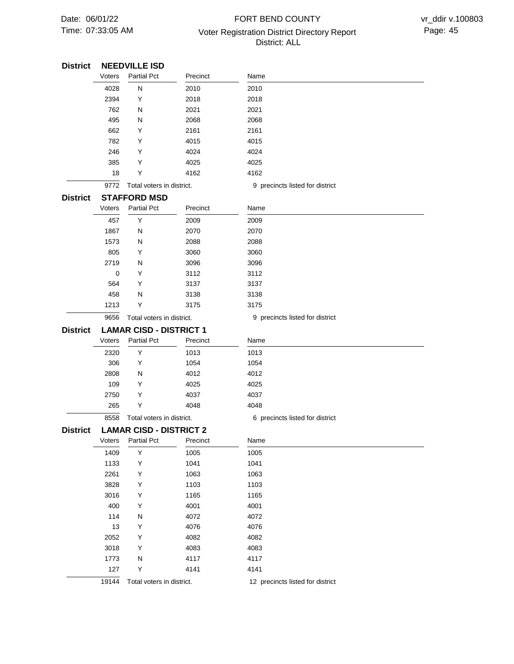# 07:33:05 AM Voter Registration District Directory Report Page: 45 FORT BEND COUNTY District: ALL

| <b>District</b> |        | <b>NEEDVILLE ISD</b>           |                           |                                 |
|-----------------|--------|--------------------------------|---------------------------|---------------------------------|
|                 | Voters | <b>Partial Pct</b>             | Precinct                  | Name                            |
|                 | 4028   | N                              | 2010                      | 2010                            |
|                 | 2394   | Y                              | 2018                      | 2018                            |
|                 | 762    | N                              | 2021                      | 2021                            |
|                 | 495    | N                              | 2068                      | 2068                            |
|                 | 662    | Y                              | 2161                      | 2161                            |
|                 | 782    | Y                              | 4015                      | 4015                            |
|                 | 246    | Y                              | 4024                      | 4024                            |
|                 | 385    | Y                              | 4025                      | 4025                            |
|                 | 18     | Y                              | 4162                      | 4162                            |
|                 | 9772   | Total voters in district.      |                           | 9 precincts listed for district |
| <b>District</b> |        | <b>STAFFORD MSD</b>            |                           |                                 |
|                 | Voters | <b>Partial Pct</b>             | Precinct                  | Name                            |
|                 | 457    | Υ                              | 2009                      | 2009                            |
|                 | 1867   | N                              | 2070                      | 2070                            |
|                 | 1573   | N                              | 2088                      | 2088                            |
|                 | 805    | Y                              | 3060                      | 3060                            |
|                 | 2719   | N                              | 3096                      | 3096                            |
|                 | 0      | Y                              | 3112                      | 3112                            |
|                 | 564    | Y                              | 3137                      | 3137                            |
|                 | 458    | N                              | 3138                      | 3138                            |
|                 | 1213   | Υ                              | 3175                      | 3175                            |
|                 | 9656   | Total voters in district.      |                           | 9 precincts listed for district |
| <b>District</b> |        | <b>LAMAR CISD - DISTRICT 1</b> |                           |                                 |
|                 | Voters | <b>Partial Pct</b>             | Precinct                  | Name                            |
|                 | 2320   | Υ                              | 1013                      | 1013                            |
|                 | 306    | Υ                              | 1054                      | 1054                            |
|                 | 2808   | N                              | 4012                      | 4012                            |
|                 | 109    | Y                              | 4025                      | 4025                            |
|                 | 2750   | Y                              | 4037                      | 4037                            |
|                 | 265    | Y                              | 4048                      | 4048                            |
|                 | 8558   | Total voters in district.      |                           | 6 precincts listed for district |
| <b>District</b> |        | <b>LAMAR CISD - DISTRICT 2</b> |                           |                                 |
|                 | Voters | <b>Partial Pct</b>             | Precinct                  | Name                            |
|                 | 1409   | Υ                              | 1005                      | 1005                            |
|                 | 1133   | Υ                              | 1041                      | 1041                            |
|                 | 2261   | Υ                              | 1063                      | 1063                            |
|                 | 3828   | Υ                              | 1103                      | 1103                            |
|                 | 3016   | Υ                              | 1165                      | 1165                            |
|                 | 400    | Υ                              | 4001                      | 4001                            |
|                 | 114    | N                              | 4072                      | 4072                            |
|                 | 13     | Υ                              | 4076                      | 4076                            |
|                 | 2052   | Υ                              | 4082                      | 4082                            |
|                 | 3018   | Υ                              | 4083                      | 4083                            |
|                 | 1773   | N                              | 4117                      | 4117                            |
|                 | 127    | Υ                              | 4141                      | 4141                            |
|                 | 19144  |                                | Total voters in district. |                                 |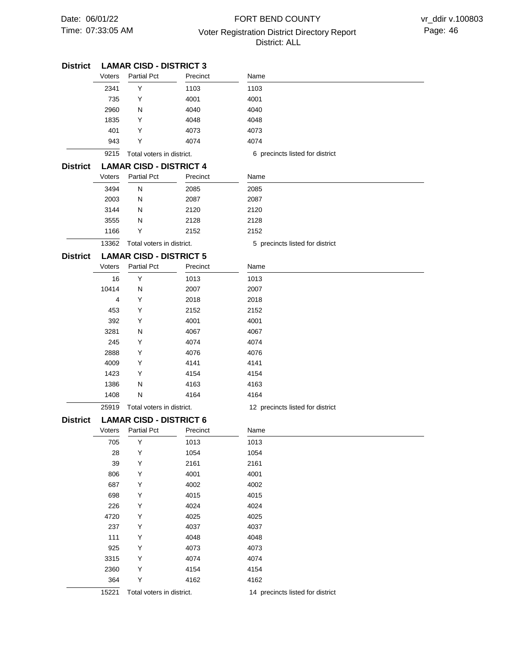# 07:33:05 AM Voter Registration District Directory Report Page: 46 FORT BEND COUNTY District: ALL

| District        |                                | <b>LAMAR CISD - DISTRICT 3</b> |          |                                  |
|-----------------|--------------------------------|--------------------------------|----------|----------------------------------|
|                 | Voters                         | <b>Partial Pct</b>             | Precinct | Name                             |
|                 | 2341                           | Y                              | 1103     | 1103                             |
|                 | 735                            | Y                              | 4001     | 4001                             |
|                 | 2960                           | N                              | 4040     | 4040                             |
|                 | 1835                           | Y                              | 4048     | 4048                             |
|                 | 401                            | Υ                              | 4073     | 4073                             |
|                 | 943                            | Υ                              | 4074     | 4074                             |
|                 | 9215                           | Total voters in district.      |          | 6 precincts listed for district  |
| District        |                                | <b>LAMAR CISD - DISTRICT 4</b> |          |                                  |
|                 | Voters                         | <b>Partial Pct</b>             | Precinct | Name                             |
|                 | 3494                           | N                              | 2085     | 2085                             |
|                 | 2003                           | N                              | 2087     | 2087                             |
|                 | 3144                           | N                              | 2120     | 2120                             |
|                 | 3555                           | N                              | 2128     | 2128                             |
|                 | 1166                           | Y                              | 2152     | 2152                             |
|                 | 13362                          | Total voters in district.      |          | 5 precincts listed for district  |
| <b>District</b> | <b>LAMAR CISD - DISTRICT 5</b> |                                |          |                                  |
|                 | Voters                         | <b>Partial Pct</b>             | Precinct | Name                             |
|                 | 16                             | Υ                              | 1013     | 1013                             |
|                 | 10414                          | N                              | 2007     | 2007                             |
|                 | 4                              | Y                              | 2018     | 2018                             |
|                 | 453                            | Y                              | 2152     | 2152                             |
|                 | 392                            | Y                              | 4001     | 4001                             |
|                 | 3281                           | N                              | 4067     | 4067                             |
|                 | 245                            | Υ                              | 4074     | 4074                             |
|                 | 2888                           | Υ                              | 4076     | 4076                             |
|                 | 4009                           | Υ                              | 4141     | 4141                             |
|                 | 1423                           | Y                              | 4154     | 4154                             |
|                 | 1386                           | N                              | 4163     | 4163                             |
|                 | 1408                           | N                              | 4164     | 4164                             |
|                 | 25919                          | Total voters in district.      |          | 12 precincts listed for district |
| <b>District</b> |                                | <b>LAMAR CISD - DISTRICT 6</b> |          |                                  |
|                 | Voters                         | <b>Partial Pct</b>             | Precinct | Name                             |
|                 | 705                            | Υ                              | 1013     | 1013                             |
|                 | 28                             | Υ                              | 1054     | 1054                             |
|                 | 39                             | Υ                              | 2161     | 2161                             |
|                 | 806                            | Υ                              | 4001     | 4001                             |
|                 | 687                            | Υ                              | 4002     | 4002                             |
|                 | 698                            | Υ                              | 4015     | 4015                             |
|                 | 226                            | Υ                              | 4024     | 4024                             |
|                 | 4720                           | Υ                              | 4025     | 4025                             |
|                 | 237                            | Υ                              | 4037     | 4037                             |
|                 | 111                            | Υ                              | 4048     | 4048                             |
|                 | 925                            | Υ                              | 4073     | 4073                             |
|                 | 3315                           | Υ                              | 4074     | 4074                             |
|                 | 2360                           | Υ                              | 4154     | 4154                             |
|                 | 364                            | Υ                              | 4162     | 4162                             |
|                 | 15221                          | Total voters in district.      |          | 14 precincts listed for district |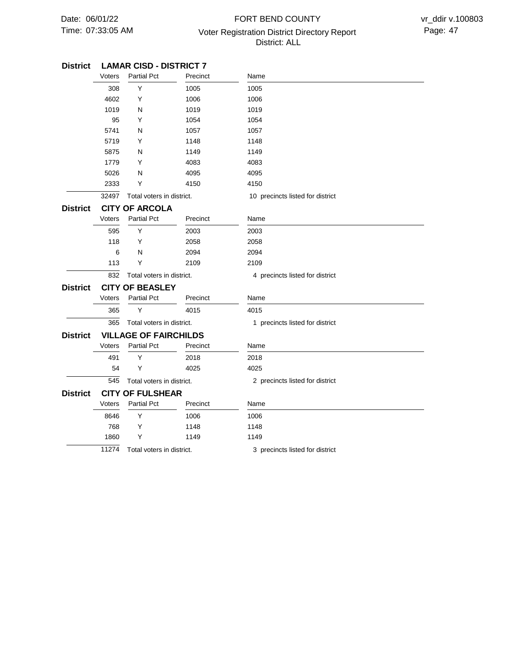# 07:33:05 AM Voter Registration District Directory Report Page: 47 FORT BEND COUNTY District: ALL

| <b>District</b> | <b>LAMAR CISD - DISTRICT 7</b> |                              |              |                                  |  |
|-----------------|--------------------------------|------------------------------|--------------|----------------------------------|--|
|                 | Voters                         | <b>Partial Pct</b>           | Precinct     | Name                             |  |
|                 | 308                            | Υ<br>Υ<br>N                  | 1005<br>1006 | 1005<br>1006                     |  |
|                 | 4602                           |                              |              |                                  |  |
|                 | 1019                           |                              | 1019         | 1019                             |  |
|                 | 95                             | Υ                            | 1054         | 1054                             |  |
|                 | 5741                           | N                            | 1057         | 1057                             |  |
|                 | 5719                           | Υ                            | 1148         | 1148                             |  |
|                 | 5875                           | N                            | 1149         | 1149                             |  |
|                 | 1779                           | Υ                            | 4083         | 4083                             |  |
|                 | 5026                           | N                            | 4095         | 4095                             |  |
|                 | 2333                           | Υ                            | 4150         | 4150                             |  |
|                 | 32497                          | Total voters in district.    |              | 10 precincts listed for district |  |
| <b>District</b> | <b>CITY OF ARCOLA</b>          |                              |              |                                  |  |
|                 | Voters                         | <b>Partial Pct</b>           | Precinct     | Name                             |  |
|                 | 595                            | Y                            | 2003         | 2003                             |  |
|                 | 118                            | Y                            | 2058         | 2058                             |  |
|                 | 6                              | N                            | 2094         | 2094                             |  |
|                 | 113                            | Υ                            | 2109         | 2109                             |  |
|                 | 832                            | Total voters in district.    |              | 4 precincts listed for district  |  |
| <b>District</b> |                                | <b>CITY OF BEASLEY</b>       |              |                                  |  |
|                 | Voters                         | <b>Partial Pct</b>           | Precinct     | Name                             |  |
|                 | 365                            | Υ                            | 4015         | 4015                             |  |
|                 | 365                            | Total voters in district.    |              | 1 precincts listed for district  |  |
| <b>District</b> |                                | <b>VILLAGE OF FAIRCHILDS</b> |              |                                  |  |
|                 | Voters                         | <b>Partial Pct</b>           | Precinct     | Name                             |  |
|                 | 491                            | Υ                            | 2018         | 2018                             |  |
|                 | 54                             | Υ                            | 4025         | 4025                             |  |
|                 | 545                            | Total voters in district.    |              | 2 precincts listed for district  |  |
| <b>District</b> |                                | <b>CITY OF FULSHEAR</b>      |              |                                  |  |
|                 | Voters                         | <b>Partial Pct</b>           | Precinct     | Name                             |  |
|                 | 8646                           | Υ                            | 1006         | 1006                             |  |
|                 | 768                            | Y                            | 1148         | 1148                             |  |
|                 | 1860                           | Y                            | 1149         | 1149                             |  |
|                 | 11274                          | Total voters in district.    |              | 3 precincts listed for district  |  |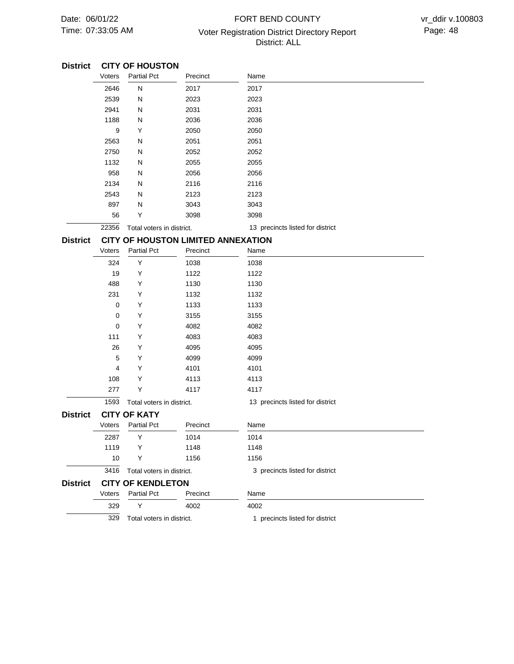# 07:33:05 AM Voter Registration District Directory Report Page: 48 FORT BEND COUNTY District: ALL

| <b>District</b> |             | <b>CITY OF HOUSTON</b>    |                                           |                                  |
|-----------------|-------------|---------------------------|-------------------------------------------|----------------------------------|
|                 | Voters      | <b>Partial Pct</b>        | Precinct                                  | Name                             |
|                 | 2646        | N                         | 2017                                      | 2017                             |
|                 | 2539        | N                         | 2023                                      | 2023                             |
|                 | 2941        | N                         | 2031                                      | 2031                             |
|                 | 1188        | N                         | 2036                                      | 2036                             |
|                 | 9           | Y                         | 2050                                      | 2050                             |
|                 | 2563        | N                         | 2051                                      | 2051                             |
|                 | 2750        | N                         | 2052                                      | 2052                             |
|                 | 1132        | N                         | 2055                                      | 2055                             |
|                 | 958         | N                         | 2056                                      | 2056                             |
|                 | 2134        | N                         | 2116                                      | 2116                             |
|                 | 2543        | N                         | 2123                                      | 2123                             |
|                 | 897         | N                         | 3043                                      | 3043                             |
|                 | 56          | Y                         | 3098                                      | 3098                             |
|                 | 22356       | Total voters in district. |                                           | 13 precincts listed for district |
| <b>District</b> |             |                           | <b>CITY OF HOUSTON LIMITED ANNEXATION</b> |                                  |
|                 | Voters      | <b>Partial Pct</b>        | Precinct                                  | Name                             |
|                 | 324         | Υ                         | 1038                                      | 1038                             |
|                 | 19          | Υ                         | 1122                                      | 1122                             |
|                 | 488         | Υ                         | 1130                                      | 1130                             |
|                 | 231         | Y                         | 1132                                      | 1132                             |
|                 | 0           | Y                         | 1133                                      | 1133                             |
|                 | 0           | Y                         | 3155                                      | 3155                             |
|                 | $\mathbf 0$ | Y                         | 4082                                      | 4082                             |
|                 | 111         | Y                         | 4083                                      | 4083                             |
|                 | 26          | Y                         | 4095                                      | 4095                             |
|                 | 5           | Υ                         | 4099                                      | 4099                             |
|                 | 4           | Y                         | 4101                                      | 4101                             |
|                 | 108         | Y                         | 4113                                      | 4113                             |
|                 | 277         | Υ                         | 4117                                      | 4117                             |
|                 | 1593        | Total voters in district. |                                           | 13 precincts listed for district |
| <b>District</b> |             | <b>CITY OF KATY</b>       |                                           |                                  |
|                 | Voters      | <b>Partial Pct</b>        | Precinct                                  | Name                             |
|                 | 2287        | Y                         | 1014                                      | 1014                             |
|                 | 1119        | Υ                         | 1148                                      | 1148                             |
|                 | 10          | Υ                         | 1156                                      | 1156                             |
|                 | 3416        | Total voters in district. |                                           | 3 precincts listed for district  |
| <b>District</b> |             | <b>CITY OF KENDLETON</b>  |                                           |                                  |
|                 | Voters      | <b>Partial Pct</b>        | Precinct                                  | Name                             |
|                 | 329         | Υ                         | 4002                                      | 4002                             |
|                 | 329         | Total voters in district. |                                           | 1 precincts listed for district  |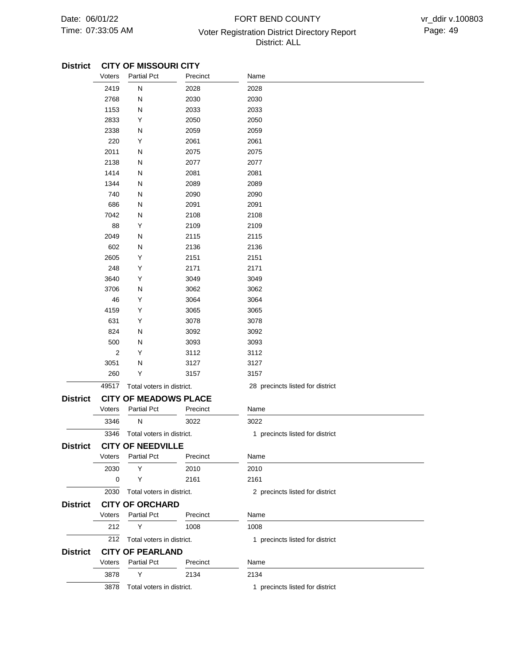# 07:33:05 AM **Page: 49 Voter Registration District Directory Report** Page: 49 FORT BEND COUNTY District: ALL

### **CITY OF MISSOURI CITY District**

|                 | Voters         | <b>Partial Pct</b>           | Precinct | Name                             |
|-----------------|----------------|------------------------------|----------|----------------------------------|
|                 | 2419           | N                            | 2028     | 2028                             |
|                 | 2768           | N                            | 2030     | 2030                             |
|                 | 1153           | Ν                            | 2033     | 2033                             |
|                 | 2833           | Υ                            | 2050     | 2050                             |
|                 | 2338           | Ν                            | 2059     | 2059                             |
|                 | 220            | Υ                            | 2061     | 2061                             |
|                 | 2011           | Ν                            | 2075     | 2075                             |
|                 | 2138           | Ν                            | 2077     | 2077                             |
|                 | 1414           | N                            | 2081     | 2081                             |
|                 | 1344           | Ν                            | 2089     | 2089                             |
|                 | 740            | N                            | 2090     | 2090                             |
|                 | 686            | Ν                            | 2091     | 2091                             |
|                 | 7042           | N                            | 2108     | 2108                             |
|                 | 88             | Υ                            | 2109     | 2109                             |
|                 | 2049           | N                            | 2115     | 2115                             |
|                 | 602            | Ν                            | 2136     | 2136                             |
|                 | 2605           | Υ                            | 2151     | 2151                             |
|                 | 248            | Υ                            | 2171     | 2171                             |
|                 | 3640           | Υ                            | 3049     | 3049                             |
|                 | 3706           | N                            | 3062     | 3062                             |
|                 | 46             | Υ                            | 3064     | 3064                             |
|                 | 4159           | Υ                            | 3065     | 3065                             |
|                 | 631            | Υ                            | 3078     | 3078                             |
|                 | 824            | N                            | 3092     | 3092                             |
|                 | 500            | Ν                            | 3093     | 3093                             |
|                 | $\overline{2}$ | Υ                            | 3112     | 3112                             |
|                 | 3051           | N                            | 3127     | 3127                             |
|                 | 260            | Υ                            | 3157     | 3157                             |
|                 | 49517          | Total voters in district.    |          | 28 precincts listed for district |
| <b>District</b> |                | <b>CITY OF MEADOWS PLACE</b> |          |                                  |
|                 | Voters         | <b>Partial Pct</b>           | Precinct | Name                             |
|                 | 3346           | N                            | 3022     | 3022                             |
|                 | 3346           | Total voters in district.    |          | 1 precincts listed for district  |
| <b>DISTRICT</b> |                | <b>CITY OF NEEDVILLE</b>     |          |                                  |
|                 | Voters         | <b>Partial Pct</b>           | Precinct | Name                             |
|                 | 2030           | Υ                            | 2010     | 2010                             |
|                 | 0              | Y                            | 2161     | 2161                             |
|                 | 2030           | Total voters in district.    |          | 2 precincts listed for district  |
|                 |                |                              |          |                                  |
| <b>District</b> |                | <b>CITY OF ORCHARD</b>       |          |                                  |
|                 | Voters         | Partial Pct                  | Precinct | Name                             |
|                 | 212            | Y                            | 1008     | 1008                             |
|                 | 212            | Total voters in district.    |          | 1 precincts listed for district  |
| <b>District</b> |                | <b>CITY OF PEARLAND</b>      |          |                                  |
|                 | Voters         | <b>Partial Pct</b>           | Precinct | Name                             |
|                 | 3878           | Y                            | 2134     | 2134                             |
|                 | 3878           | Total voters in district.    |          | 1 precincts listed for district  |
|                 |                |                              |          |                                  |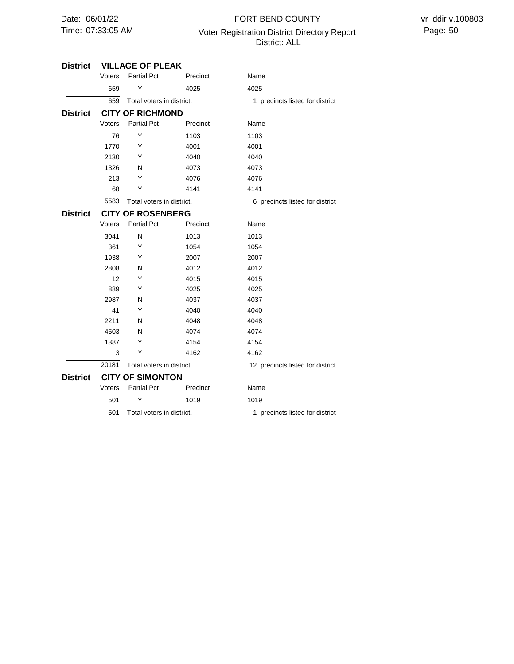# 07:33:05 AM Voter Registration District Directory Report Page: 50 FORT BEND COUNTY District: ALL

| <b>District</b> | <b>VILLAGE OF PLEAK</b>  |                           |          |                                  |  |  |
|-----------------|--------------------------|---------------------------|----------|----------------------------------|--|--|
|                 | Voters                   | <b>Partial Pct</b>        | Precinct | Name                             |  |  |
|                 | 659                      | Y                         | 4025     | 4025                             |  |  |
|                 | 659                      | Total voters in district. |          | 1 precincts listed for district  |  |  |
| <b>District</b> |                          | <b>CITY OF RICHMOND</b>   |          |                                  |  |  |
|                 | Voters                   | <b>Partial Pct</b>        | Precinct | Name                             |  |  |
|                 | 76                       | Y                         | 1103     | 1103                             |  |  |
|                 | 1770                     | Υ                         | 4001     | 4001                             |  |  |
|                 | 2130                     | Y                         | 4040     | 4040                             |  |  |
|                 | 1326                     | N                         | 4073     | 4073                             |  |  |
|                 | 213                      | Υ                         | 4076     | 4076                             |  |  |
|                 | 68                       | Υ                         | 4141     | 4141                             |  |  |
|                 | 5583                     | Total voters in district. |          | 6 precincts listed for district  |  |  |
| <b>District</b> | <b>CITY OF ROSENBERG</b> |                           |          |                                  |  |  |
|                 | Voters                   | <b>Partial Pct</b>        | Precinct | Name                             |  |  |
|                 | 3041                     | N                         | 1013     | 1013                             |  |  |
|                 | 361                      | Υ                         | 1054     | 1054                             |  |  |
|                 | 1938                     | Y                         | 2007     | 2007                             |  |  |
|                 | 2808                     | N                         | 4012     | 4012                             |  |  |
|                 | 12                       | Υ                         | 4015     | 4015                             |  |  |
|                 | 889                      | Y                         | 4025     | 4025                             |  |  |
|                 | 2987                     | N                         | 4037     | 4037                             |  |  |
|                 | 41                       | Y                         | 4040     | 4040                             |  |  |
|                 | 2211                     | N                         | 4048     | 4048                             |  |  |
|                 | 4503                     | N                         | 4074     | 4074                             |  |  |
|                 | 1387                     | Υ                         | 4154     | 4154                             |  |  |
|                 | 3                        | Υ                         | 4162     | 4162                             |  |  |
|                 | 20181                    | Total voters in district. |          | 12 precincts listed for district |  |  |
| <b>District</b> |                          | <b>CITY OF SIMONTON</b>   |          |                                  |  |  |
|                 | Voters                   | <b>Partial Pct</b>        | Precinct | Name                             |  |  |
|                 | 501                      | Y                         | 1019     | 1019                             |  |  |
|                 | 501                      | Total voters in district. |          | 1 precincts listed for district  |  |  |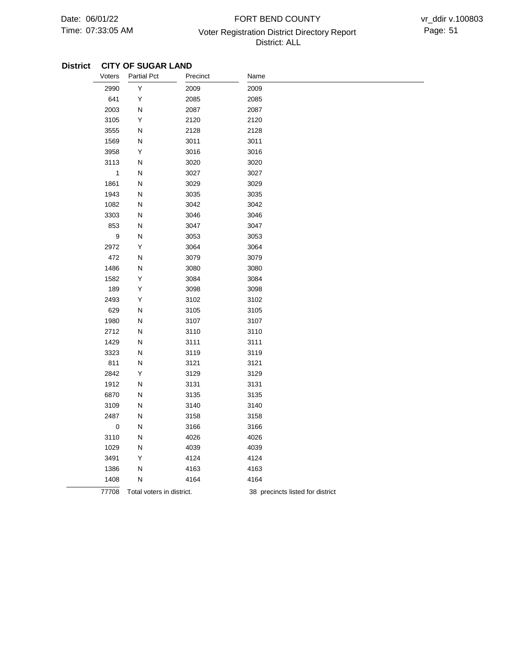# 07:33:05 AM **Page: 51** Voter Registration District Directory Report Page: 51 FORT BEND COUNTY District: ALL

## **District CITY OF SUGAR LAND**

| Voters       | <b>Partial Pct</b>        | Precinct | Name                             |
|--------------|---------------------------|----------|----------------------------------|
| 2990         | Υ                         | 2009     | 2009                             |
| 641          | Υ                         | 2085     | 2085                             |
| 2003         | N                         | 2087     | 2087                             |
| 3105         | Υ                         | 2120     | 2120                             |
| 3555         | N                         | 2128     | 2128                             |
| 1569         | Ν                         | 3011     | 3011                             |
| 3958         | Υ                         | 3016     | 3016                             |
| 3113         | N                         | 3020     | 3020                             |
| $\mathbf{1}$ | N                         | 3027     | 3027                             |
| 1861         | N                         | 3029     | 3029                             |
| 1943         | N                         | 3035     | 3035                             |
| 1082         | N                         | 3042     | 3042                             |
| 3303         | N                         | 3046     | 3046                             |
| 853          | N                         | 3047     | 3047                             |
| 9            | N                         | 3053     | 3053                             |
| 2972         | Υ                         | 3064     | 3064                             |
| 472          | N                         | 3079     | 3079                             |
| 1486         | N                         | 3080     | 3080                             |
| 1582         | Υ                         | 3084     | 3084                             |
| 189          | Υ                         | 3098     | 3098                             |
| 2493         | Υ                         | 3102     | 3102                             |
| 629          | Ν                         | 3105     | 3105                             |
| 1980         | Ν                         | 3107     | 3107                             |
| 2712         | Ν                         | 3110     | 3110                             |
| 1429         | Ν                         | 3111     | 3111                             |
| 3323         | Ν                         | 3119     | 3119                             |
| 811          | Ν                         | 3121     | 3121                             |
| 2842         | Υ                         | 3129     | 3129                             |
| 1912         | N                         | 3131     | 3131                             |
| 6870         | Ν                         | 3135     | 3135                             |
| 3109         | Ν                         | 3140     | 3140                             |
| 2487         | Ν                         | 3158     | 3158                             |
| $\mathbf 0$  | Ν                         | 3166     | 3166                             |
| 3110         | N                         | 4026     | 4026                             |
| 1029         | Ν                         | 4039     | 4039                             |
| 3491         | Υ                         | 4124     | 4124                             |
| 1386         | N                         | 4163     | 4163                             |
| 1408         | Ν                         | 4164     | 4164                             |
| 77708        | Total voters in district. |          | 38 precincts listed for district |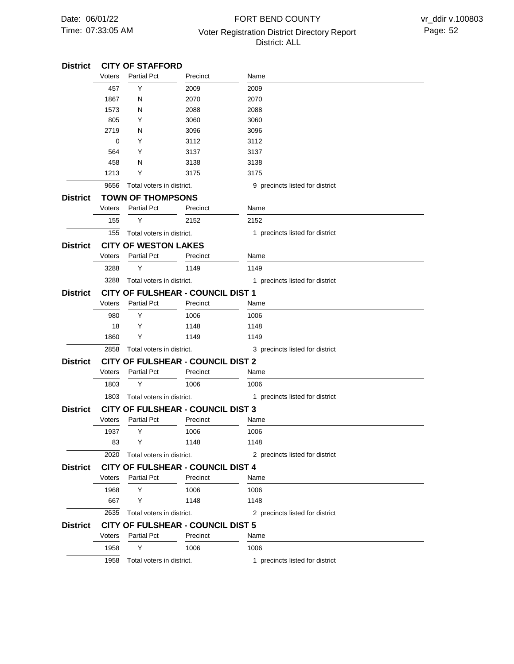# 07:33:05 AM Voter Registration District Directory Report Page: 52 FORT BEND COUNTY District: ALL

#### **CITY OF STAFFORD TOWN OF THOMPSONS CITY OF WESTON LAKES CITY OF FULSHEAR - COUNCIL DIST 1 CITY OF FULSHEAR - COUNCIL DIST 2 CITY OF FULSHEAR - COUNCIL DIST 3 CITY OF FULSHEAR - COUNCIL DIST 4 CITY OF FULSHEAR - COUNCIL DIST 5 District District District District District District District District** 9656 155 3288 2858 1803 2020 2635 1958 457 1867 1573 805 2719 0 564 458 1213 155 3288 980 18 1860 1803 1937 83 1968 667 1958 Voters Voters Voters Voters Voters Voters Voters Voters Y N N Y N Y Y N Y Y Y Y Y Y Y Y Y Y Y Y Partial Pct Partial Pct Partial Pct Partial Pct Partial Pct Partial Pct Partial Pct Partial Pct 2009 2070 2088 3060 3096 3112 3137 3138 3175 2152 1149 1006 1148 1149 1006 1006 1148 1006 1148 1006 Precinct Precinct Precinct Precinct Precinct Precinct Precinct Precinct 2009 2070 2088 3060 3096 3112 3137 3138 3175 2152 1149 1006 1148 1149 1006 1006 1148 1006 1148 1006 Name Name Name Name Name Name Name Name Total voters in district. Total voters in district. Total voters in district. Total voters in district. Total voters in district. Total voters in district. Total voters in district. Total voters in district. 9 precincts listed for district 1 precincts listed for district 1 precincts listed for district 3 precincts listed for district 1 precincts listed for district 2 precincts listed for district 2 precincts listed for district 1 precincts listed for district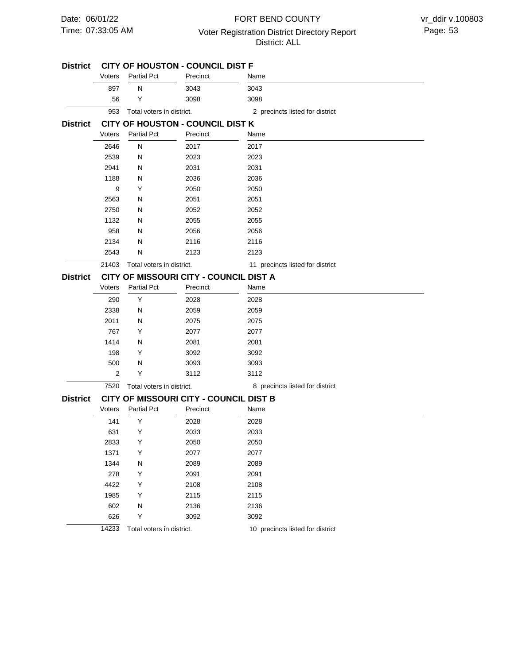## 07:33:05 AM Voter Registration District Directory Report Page: 53 FORT BEND COUNTY District: ALL

| <b>District</b> |        |                           | CITY OF HOUSTON - COUNCIL DIST F       |                                  |
|-----------------|--------|---------------------------|----------------------------------------|----------------------------------|
|                 | Voters | <b>Partial Pct</b>        | Precinct                               | Name                             |
|                 | 897    | N                         | 3043                                   | 3043                             |
|                 | 56     | Y                         | 3098                                   | 3098                             |
|                 | 953    | Total voters in district. |                                        | 2 precincts listed for district  |
| <b>District</b> |        |                           | CITY OF HOUSTON - COUNCIL DIST K       |                                  |
|                 | Voters | <b>Partial Pct</b>        | Precinct                               | Name                             |
|                 | 2646   | ${\sf N}$                 | 2017                                   | 2017                             |
|                 | 2539   | N                         | 2023                                   | 2023                             |
|                 | 2941   | N                         | 2031                                   | 2031                             |
|                 | 1188   | N                         | 2036                                   | 2036                             |
|                 | 9      | Y                         | 2050                                   | 2050                             |
|                 | 2563   | N                         | 2051                                   | 2051                             |
|                 | 2750   | N                         | 2052                                   | 2052                             |
|                 | 1132   | N                         | 2055                                   | 2055                             |
|                 | 958    | N                         | 2056                                   | 2056                             |
|                 | 2134   | N                         | 2116                                   | 2116                             |
|                 | 2543   | N                         | 2123                                   | 2123                             |
|                 | 21403  | Total voters in district. |                                        | 11 precincts listed for district |
| <b>District</b> |        |                           | CITY OF MISSOURI CITY - COUNCIL DIST A |                                  |
|                 | Voters | <b>Partial Pct</b>        | Precinct                               | Name                             |
|                 | 290    | Y                         | 2028                                   | 2028                             |
|                 | 2338   | N                         | 2059                                   | 2059                             |
|                 | 2011   | N                         | 2075                                   | 2075                             |
|                 | 767    | Y                         | 2077                                   | 2077                             |
|                 | 1414   | N                         | 2081                                   | 2081                             |
|                 | 198    | Y                         | 3092                                   | 3092                             |
|                 | 500    | N                         | 3093                                   | 3093                             |
|                 | 2      | Y                         | 3112                                   | 3112                             |
|                 | 7520   | Total voters in district. |                                        | 8 precincts listed for district  |
| <b>District</b> |        |                           | CITY OF MISSOURI CITY - COUNCIL DIST B |                                  |
|                 | Voters | <b>Partial Pct</b>        | Precinct                               | Name                             |
|                 | 141    | Y                         | 2028                                   | 2028                             |
|                 | 631    | Y                         | 2033                                   | 2033                             |
|                 | 2833   | Y                         | 2050                                   | 2050                             |
|                 | 1371   | Y                         | 2077                                   | 2077                             |
|                 | 1344   | N                         | 2089                                   | 2089                             |
|                 | 278    | Υ                         | 2091                                   | 2091                             |
|                 | 4422   | Υ                         | 2108                                   | 2108                             |
|                 | 1985   | Υ                         | 2115                                   | 2115                             |
|                 | 602    | N                         | 2136                                   | 2136                             |
|                 | 626    | Υ                         | 3092                                   | 3092                             |
|                 | 14233  | Total voters in district. |                                        | 10 precincts listed for district |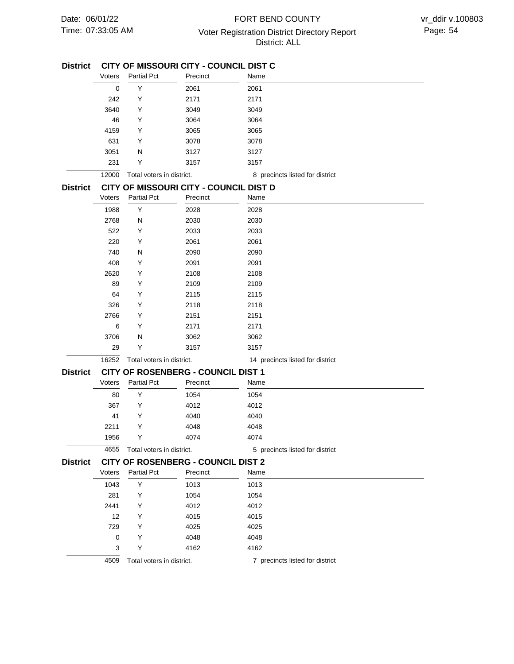## 07:33:05 AM Voter Registration District Directory Report Page: 54 FORT BEND COUNTY District: ALL

### **CITY OF MISSOURI CITY - COUNCIL DIST C District**

|                 | Voters | <b>Partial Pct</b>        | Precinct                                  | Name                             |
|-----------------|--------|---------------------------|-------------------------------------------|----------------------------------|
|                 | 0      | Υ                         | 2061                                      | 2061                             |
|                 | 242    | Y                         | 2171                                      | 2171                             |
|                 | 3640   | Υ                         | 3049                                      | 3049                             |
|                 | 46     | Y                         | 3064                                      | 3064                             |
|                 | 4159   | Υ                         | 3065                                      | 3065                             |
|                 | 631    | Y                         | 3078                                      | 3078                             |
|                 | 3051   | N                         | 3127                                      | 3127                             |
|                 | 231    | Υ                         | 3157                                      | 3157                             |
|                 | 12000  | Total voters in district. |                                           | 8 precincts listed for district  |
| <b>District</b> |        |                           | CITY OF MISSOURI CITY - COUNCIL DIST D    |                                  |
|                 | Voters | <b>Partial Pct</b>        | Precinct                                  | Name                             |
|                 | 1988   | Υ                         | 2028                                      | 2028                             |
|                 | 2768   | N                         | 2030                                      | 2030                             |
|                 | 522    | Υ                         | 2033                                      | 2033                             |
|                 | 220    | Υ                         | 2061                                      | 2061                             |
|                 | 740    | N                         | 2090                                      | 2090                             |
|                 | 408    | Υ                         | 2091                                      | 2091                             |
|                 | 2620   | Y                         | 2108                                      | 2108                             |
|                 | 89     | Υ                         | 2109                                      | 2109                             |
|                 | 64     | Υ                         | 2115                                      | 2115                             |
|                 | 326    | Υ                         | 2118                                      | 2118                             |
|                 | 2766   | Υ                         | 2151                                      | 2151                             |
|                 | 6      | Y                         | 2171                                      | 2171                             |
|                 | 3706   | N                         | 3062                                      | 3062                             |
|                 | 29     | Υ                         | 3157                                      | 3157                             |
|                 | 16252  | Total voters in district. |                                           | 14 precincts listed for district |
| <b>District</b> |        |                           | CITY OF ROSENBERG - COUNCIL DIST 1        |                                  |
|                 | Voters | <b>Partial Pct</b>        | Precinct                                  | Name                             |
|                 | 80     | Υ                         | 1054                                      | 1054                             |
|                 | 367    | Υ                         | 4012                                      | 4012                             |
|                 | 41     | Υ                         | 4040                                      | 4040                             |
|                 | 2211   | Y                         | 4048                                      | 4048                             |
|                 | 1956   | Y                         | 4074                                      | 4074                             |
|                 | 4655   | Total voters in district. |                                           | 5 precincts listed for district  |
| <b>District</b> |        |                           | <b>CITY OF ROSENBERG - COUNCIL DIST 2</b> |                                  |
|                 | Voters | Partial Pct               | Precinct                                  | Name                             |
|                 | 1043   | Υ                         | 1013                                      | 1013                             |
|                 | 281    | Y                         | 1054                                      | 1054                             |
|                 | 2441   | Y                         | 4012                                      | 4012                             |
|                 | 12     | Υ                         | 4015                                      | 4015                             |
|                 | 729    | Υ                         | 4025                                      | 4025                             |
|                 | 0      | Y                         | 4048                                      | 4048                             |
|                 | 3      | Υ                         | 4162                                      | 4162                             |
|                 | 4509   | Total voters in district. |                                           | 7 precincts listed for district  |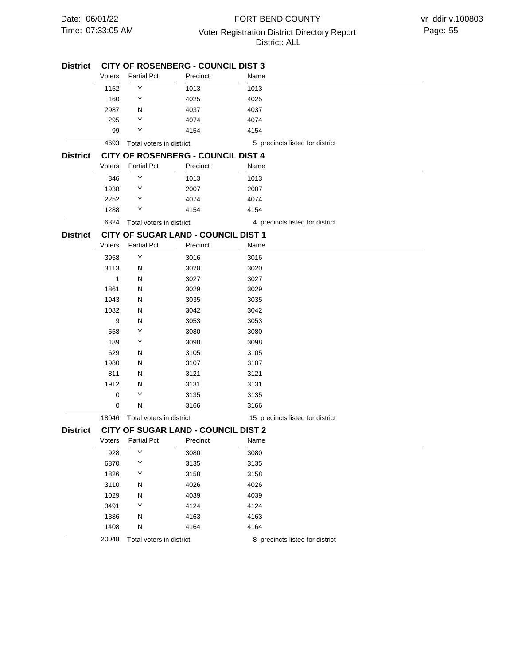| <b>District</b> | <b>CITY OF ROSENBERG - COUNCIL DIST 3</b> |                           |                                            |                                  |  |  |  |
|-----------------|-------------------------------------------|---------------------------|--------------------------------------------|----------------------------------|--|--|--|
|                 | Voters                                    | <b>Partial Pct</b>        | Precinct                                   | Name                             |  |  |  |
|                 | 1152                                      | Υ<br>Y                    | 1013                                       | 1013                             |  |  |  |
|                 | 160                                       |                           | 4025                                       | 4025                             |  |  |  |
|                 | 2987                                      | N                         | 4037                                       | 4037                             |  |  |  |
|                 | 295                                       | Y                         | 4074                                       | 4074                             |  |  |  |
|                 | 99                                        | Y                         | 4154                                       | 4154                             |  |  |  |
|                 | 4693                                      | Total voters in district. |                                            | 5 precincts listed for district  |  |  |  |
| <b>District</b> |                                           |                           | <b>CITY OF ROSENBERG - COUNCIL DIST 4</b>  |                                  |  |  |  |
|                 | Voters                                    | <b>Partial Pct</b>        | Precinct                                   | Name                             |  |  |  |
|                 | 846                                       | Υ                         | 1013                                       | 1013                             |  |  |  |
|                 | 1938                                      | Y                         | 2007                                       | 2007                             |  |  |  |
|                 | 2252                                      | Y                         | 4074                                       | 4074                             |  |  |  |
|                 | 1288                                      | Y                         | 4154                                       | 4154                             |  |  |  |
|                 | 6324                                      | Total voters in district. |                                            | 4 precincts listed for district  |  |  |  |
| <b>District</b> |                                           |                           | CITY OF SUGAR LAND - COUNCIL DIST 1        |                                  |  |  |  |
|                 | Voters                                    | <b>Partial Pct</b>        | Precinct                                   | Name                             |  |  |  |
|                 |                                           |                           |                                            |                                  |  |  |  |
|                 | 3958<br>3113                              | Y                         | 3016                                       | 3016                             |  |  |  |
|                 |                                           | Ν                         | 3020                                       | 3020                             |  |  |  |
|                 | 1                                         | Ν                         | 3027                                       | 3027                             |  |  |  |
|                 | 1861                                      | N                         | 3029                                       | 3029                             |  |  |  |
|                 | 1943                                      | Ν                         | 3035                                       | 3035                             |  |  |  |
|                 | 1082<br>9                                 | N                         | 3042                                       | 3042                             |  |  |  |
|                 | 558                                       | N                         | 3053                                       | 3053                             |  |  |  |
|                 | 189                                       | Y<br>Y                    | 3080                                       | 3080                             |  |  |  |
|                 | 629                                       | Ν                         | 3098                                       | 3098                             |  |  |  |
|                 | 1980                                      | N                         | 3105                                       | 3105                             |  |  |  |
|                 | 811                                       | Ν                         | 3107<br>3121                               | 3107<br>3121                     |  |  |  |
|                 | 1912                                      | N                         | 3131                                       | 3131                             |  |  |  |
|                 | 0                                         | Y                         | 3135                                       | 3135                             |  |  |  |
|                 | 0                                         | Ν                         | 3166                                       | 3166                             |  |  |  |
|                 |                                           |                           |                                            |                                  |  |  |  |
|                 | 18046                                     | Total voters in district. |                                            | 15 precincts listed for district |  |  |  |
| <b>District</b> |                                           |                           | <b>CITY OF SUGAR LAND - COUNCIL DIST 2</b> |                                  |  |  |  |
|                 | Voters                                    | <b>Partial Pct</b>        | Precinct                                   | Name                             |  |  |  |
|                 | 928                                       | Υ                         | 3080                                       | 3080                             |  |  |  |
|                 | 6870                                      | Υ                         | 3135                                       | 3135                             |  |  |  |
|                 | 1826                                      | Y                         | 3158                                       | 3158                             |  |  |  |
|                 | 3110                                      | Ν                         | 4026                                       | 4026                             |  |  |  |
|                 | 1029                                      | N                         | 4039                                       | 4039                             |  |  |  |
|                 | 3491                                      | Y                         | 4124                                       | 4124                             |  |  |  |
|                 | 1386                                      | Ν                         | 4163                                       | 4163                             |  |  |  |
|                 | 1408                                      | N                         | 4164                                       | 4164                             |  |  |  |
|                 | 20048                                     | Total voters in district. |                                            | 8 precincts listed for district  |  |  |  |
|                 |                                           |                           |                                            |                                  |  |  |  |
|                 |                                           |                           |                                            |                                  |  |  |  |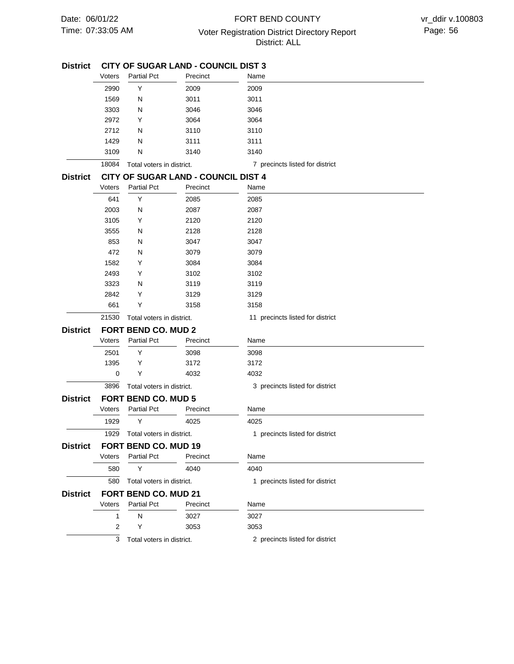# 07:33:05 AM Voter Registration District Directory Report Page: 56 FORT BEND COUNTY District: ALL

| <b>District</b> |                            | <b>CITY OF SUGAR LAND - COUNCIL DIST 3</b> |                                            |                                  |  |  |  |
|-----------------|----------------------------|--------------------------------------------|--------------------------------------------|----------------------------------|--|--|--|
|                 | Voters                     | <b>Partial Pct</b>                         | Precinct                                   | Name                             |  |  |  |
|                 | 2990                       | Y                                          | 2009                                       | 2009                             |  |  |  |
|                 | 1569                       | N                                          | 3011                                       | 3011                             |  |  |  |
|                 | 3303                       | N                                          | 3046                                       | 3046                             |  |  |  |
|                 | 2972                       | Y                                          | 3064                                       | 3064                             |  |  |  |
|                 | 2712                       | N                                          | 3110                                       | 3110                             |  |  |  |
|                 | 1429                       | N                                          | 3111                                       | 3111                             |  |  |  |
|                 | 3109                       | N                                          | 3140                                       | 3140                             |  |  |  |
|                 | 18084                      | Total voters in district.                  |                                            | 7 precincts listed for district  |  |  |  |
| <b>District</b> |                            |                                            | <b>CITY OF SUGAR LAND - COUNCIL DIST 4</b> |                                  |  |  |  |
|                 | Voters                     | <b>Partial Pct</b>                         | Precinct                                   | Name                             |  |  |  |
|                 | 641                        | Y                                          | 2085                                       | 2085                             |  |  |  |
|                 | 2003                       | N                                          | 2087                                       | 2087                             |  |  |  |
|                 | 3105                       | Y                                          | 2120                                       | 2120                             |  |  |  |
|                 | 3555                       | N                                          | 2128                                       | 2128                             |  |  |  |
|                 | 853                        | N                                          | 3047                                       | 3047                             |  |  |  |
|                 | 472                        | N                                          | 3079                                       | 3079                             |  |  |  |
|                 | 1582                       | Y                                          | 3084                                       | 3084                             |  |  |  |
|                 | 2493                       | Y                                          | 3102                                       | 3102                             |  |  |  |
|                 | 3323                       | N                                          | 3119                                       | 3119                             |  |  |  |
|                 | 2842                       | Y                                          | 3129                                       | 3129                             |  |  |  |
|                 | 661                        | Y                                          | 3158                                       | 3158                             |  |  |  |
|                 | 21530                      | Total voters in district.                  |                                            | 11 precincts listed for district |  |  |  |
| <b>District</b> | <b>FORT BEND CO. MUD 2</b> |                                            |                                            |                                  |  |  |  |
|                 | Voters                     | <b>Partial Pct</b>                         | Precinct                                   | Name                             |  |  |  |
|                 | 2501                       | Y                                          | 3098                                       | 3098                             |  |  |  |
|                 | 1395                       | Y                                          | 3172                                       | 3172                             |  |  |  |
|                 | 0                          | Υ                                          | 4032                                       | 4032                             |  |  |  |
|                 | 3896                       | Total voters in district.                  |                                            | 3 precincts listed for district  |  |  |  |
| <b>District</b> |                            | <b>FORT BEND CO. MUD 5</b>                 |                                            |                                  |  |  |  |
|                 | Voters                     | <b>Partial Pct</b>                         | Precinct                                   | Name                             |  |  |  |
|                 | 1929                       | Y                                          | 4025                                       | 4025                             |  |  |  |
|                 | 1929                       | Total voters in district.                  |                                            | 1 precincts listed for district  |  |  |  |
| <b>District</b> |                            | FORT BEND CO. MUD 19                       |                                            |                                  |  |  |  |
|                 | Voters                     | Partial Pct                                | Precinct                                   | Name                             |  |  |  |
|                 | 580                        | Y                                          | 4040                                       | 4040                             |  |  |  |
|                 | 580                        | Total voters in district.                  |                                            | 1 precincts listed for district  |  |  |  |
|                 |                            |                                            |                                            |                                  |  |  |  |
| <b>District</b> |                            | FORT BEND CO. MUD 21<br><b>Partial Pct</b> |                                            |                                  |  |  |  |
|                 | Voters                     |                                            | Precinct                                   | Name                             |  |  |  |
|                 | 1                          | N                                          | 3027                                       | 3027                             |  |  |  |
|                 | 2                          | Υ                                          | 3053                                       | 3053                             |  |  |  |
|                 | 3                          | Total voters in district.                  |                                            | 2 precincts listed for district  |  |  |  |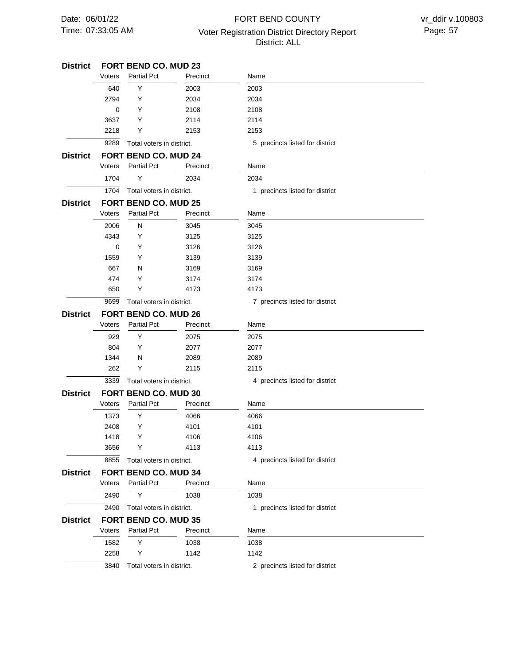# 07:33:05 AM Voter Registration District Directory Report Page: 57 FORT BEND COUNTY District: ALL

| <b>District</b> |                             | <b>FORT BEND CO. MUD 23</b> |          |                                 |
|-----------------|-----------------------------|-----------------------------|----------|---------------------------------|
|                 | Voters                      | <b>Partial Pct</b>          | Precinct | Name                            |
|                 | 640                         | Y                           | 2003     | 2003                            |
|                 | 2794                        | Y                           | 2034     | 2034                            |
|                 | 0                           | Y                           | 2108     | 2108                            |
|                 | 3637                        | Y                           | 2114     | 2114                            |
|                 | 2218                        | Y                           | 2153     | 2153                            |
|                 | 9289                        | Total voters in district.   |          | 5 precincts listed for district |
| District        |                             | FORT BEND CO. MUD 24        |          |                                 |
|                 | Voters                      | <b>Partial Pct</b>          | Precinct | Name                            |
|                 | 1704                        | Y                           | 2034     | 2034                            |
|                 | 1704                        | Total voters in district.   |          | 1 precincts listed for district |
| <b>District</b> |                             | <b>FORT BEND CO. MUD 25</b> |          |                                 |
|                 | Voters                      | <b>Partial Pct</b>          | Precinct | Name                            |
|                 | 2006                        | N                           | 3045     | 3045                            |
|                 | 4343                        | Y                           | 3125     | 3125                            |
|                 | $\mathbf 0$                 | Y                           | 3126     | 3126                            |
|                 | 1559                        | Y                           | 3139     | 3139                            |
|                 | 667                         | N                           | 3169     | 3169                            |
|                 | 474                         | Y                           | 3174     | 3174                            |
|                 | 650                         | Y                           | 4173     | 4173                            |
|                 | 9699                        | Total voters in district.   |          | 7 precincts listed for district |
| <b>District</b> | <b>FORT BEND CO. MUD 26</b> |                             |          |                                 |
|                 | Voters                      | <b>Partial Pct</b>          | Precinct | Name                            |
|                 | 929                         | Y                           | 2075     | 2075                            |
|                 | 804                         | Y                           | 2077     | 2077                            |
|                 | 1344                        | N                           | 2089     | 2089                            |
|                 | 262                         | Y                           | 2115     | 2115                            |
|                 | 3339                        | Total voters in district.   |          | 4 precincts listed for district |
| <b>District</b> |                             | FORT BEND CO. MUD 30        |          |                                 |
|                 | Voters                      | <b>Partial Pct</b>          | Precinct | Name                            |
|                 | 1373                        | Y                           | 4066     | 4066                            |
|                 | 2408                        | Y                           | 4101     | 4101                            |
|                 | 1418                        | Y                           | 4106     | 4106                            |
|                 | 3656                        | Υ                           | 4113     | 4113                            |
|                 | 8855                        | Total voters in district.   |          | 4 precincts listed for district |
| District        |                             | FORT BEND CO. MUD 34        |          |                                 |
|                 | Voters                      | <b>Partial Pct</b>          | Precinct | Name                            |
|                 | 2490                        | Y                           | 1038     | 1038                            |
|                 | 2490                        | Total voters in district.   |          | 1 precincts listed for district |
| <b>District</b> |                             | <b>FORT BEND CO. MUD 35</b> |          |                                 |
|                 | Voters                      | <b>Partial Pct</b>          | Precinct | Name                            |
|                 | 1582                        | Υ                           | 1038     | 1038                            |
|                 | 2258                        | Y                           | 1142     | 1142                            |
|                 | 3840                        |                             |          |                                 |
|                 |                             | Total voters in district.   |          | 2 precincts listed for district |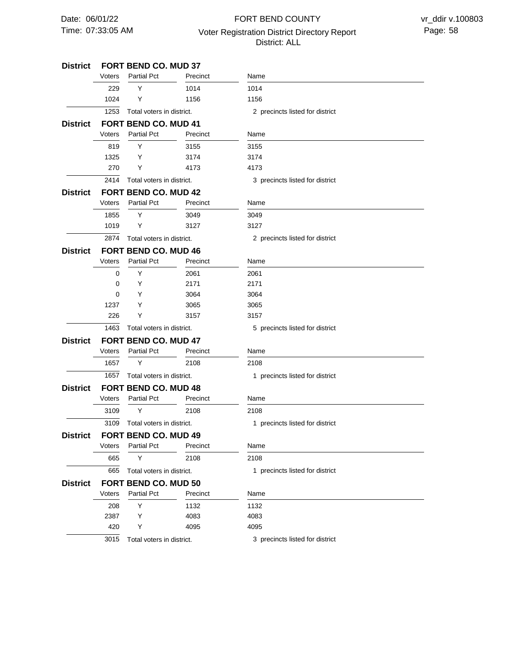# 07:33:05 AM Voter Registration District Directory Report Page: 58 FORT BEND COUNTY District: ALL

| District        | <b>FORT BEND CO. MUD 37</b> |                             |          |                                 |  |  |  |
|-----------------|-----------------------------|-----------------------------|----------|---------------------------------|--|--|--|
|                 | Voters                      | <b>Partial Pct</b>          | Precinct | Name                            |  |  |  |
|                 | 229                         | Y                           | 1014     | 1014                            |  |  |  |
|                 | 1024                        | Υ                           | 1156     | 1156                            |  |  |  |
|                 | 1253                        | Total voters in district.   |          | 2 precincts listed for district |  |  |  |
| <b>District</b> |                             | <b>FORT BEND CO. MUD 41</b> |          |                                 |  |  |  |
|                 | Voters                      | <b>Partial Pct</b>          | Precinct | Name                            |  |  |  |
|                 | 819                         | Y                           | 3155     | 3155                            |  |  |  |
|                 | 1325                        | Y                           | 3174     | 3174                            |  |  |  |
|                 | 270                         | Y                           | 4173     | 4173                            |  |  |  |
|                 | 2414                        | Total voters in district.   |          | 3 precincts listed for district |  |  |  |
| <b>District</b> |                             | <b>FORT BEND CO. MUD 42</b> |          |                                 |  |  |  |
|                 | Voters                      | <b>Partial Pct</b>          | Precinct | Name                            |  |  |  |
|                 | 1855                        | Υ                           | 3049     | 3049                            |  |  |  |
|                 | 1019                        | Υ                           | 3127     | 3127                            |  |  |  |
|                 | 2874                        | Total voters in district.   |          | 2 precincts listed for district |  |  |  |
| <b>District</b> |                             | <b>FORT BEND CO. MUD 46</b> |          |                                 |  |  |  |
|                 | Voters                      | <b>Partial Pct</b>          | Precinct | Name                            |  |  |  |
|                 | 0                           | Y                           | 2061     | 2061                            |  |  |  |
|                 | 0                           | Y                           | 2171     | 2171                            |  |  |  |
|                 | $\Omega$                    | Y                           | 3064     | 3064                            |  |  |  |
|                 | 1237                        | Υ                           | 3065     | 3065                            |  |  |  |
|                 | 226                         | Y                           | 3157     | 3157                            |  |  |  |
|                 | 1463                        | Total voters in district.   |          | 5 precincts listed for district |  |  |  |
| <b>District</b> |                             | <b>FORT BEND CO. MUD 47</b> |          |                                 |  |  |  |
|                 | Voters                      | <b>Partial Pct</b>          | Precinct | Name                            |  |  |  |
|                 | 1657                        | Y                           | 2108     | 2108                            |  |  |  |
|                 | 1657                        | Total voters in district.   |          | 1 precincts listed for district |  |  |  |
| <b>District</b> |                             | <b>FORT BEND CO. MUD 48</b> |          |                                 |  |  |  |
|                 | Voters                      | <b>Partial Pct</b>          | Precinct | Name                            |  |  |  |
|                 | 3109                        | Y                           | 2108     | 2108                            |  |  |  |
|                 | 3109                        | Total voters in district.   |          | 1 precincts listed for district |  |  |  |
| District        |                             | FORT BEND CO. MUD 49        |          |                                 |  |  |  |
|                 | Voters                      | <b>Partial Pct</b>          | Precinct | Name                            |  |  |  |
|                 | 665                         | Υ                           | 2108     | 2108                            |  |  |  |
|                 | 665                         | Total voters in district.   |          | 1 precincts listed for district |  |  |  |
| <b>District</b> |                             | <b>FORT BEND CO. MUD 50</b> |          |                                 |  |  |  |
|                 | Voters                      | <b>Partial Pct</b>          | Precinct | Name                            |  |  |  |
|                 | 208                         | Υ                           | 1132     | 1132                            |  |  |  |
|                 | 2387                        | Y                           | 4083     | 4083                            |  |  |  |
|                 | 420                         | Y                           | 4095     | 4095                            |  |  |  |
|                 | 3015                        | Total voters in district.   |          | 3 precincts listed for district |  |  |  |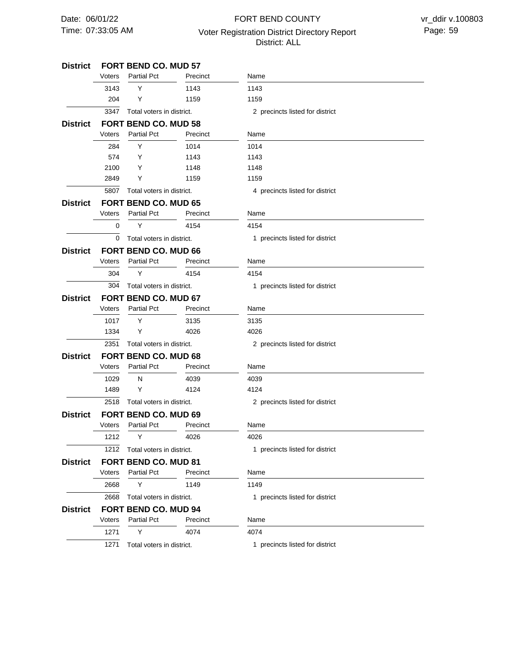# 07:33:05 AM Voter Registration District Directory Report Page: 59 FORT BEND COUNTY District: ALL

| District        | <b>FORT BEND CO. MUD 57</b> |                             |          |                                 |  |  |
|-----------------|-----------------------------|-----------------------------|----------|---------------------------------|--|--|
|                 | Voters                      | <b>Partial Pct</b>          | Precinct | Name                            |  |  |
|                 | 3143                        | Y                           | 1143     | 1143                            |  |  |
|                 | 204                         | Y                           | 1159     | 1159                            |  |  |
|                 | 3347                        | Total voters in district.   |          | 2 precincts listed for district |  |  |
| <b>District</b> |                             | FORT BEND CO. MUD 58        |          |                                 |  |  |
|                 | Voters                      | <b>Partial Pct</b>          | Precinct | Name                            |  |  |
|                 | 284                         | Y                           | 1014     | 1014                            |  |  |
|                 | 574                         | Y                           | 1143     | 1143                            |  |  |
|                 | 2100                        | Y                           | 1148     | 1148                            |  |  |
|                 | 2849                        | Y                           | 1159     | 1159                            |  |  |
|                 | 5807                        | Total voters in district.   |          | 4 precincts listed for district |  |  |
| District        |                             | <b>FORT BEND CO. MUD 65</b> |          |                                 |  |  |
|                 | Voters                      | <b>Partial Pct</b>          | Precinct | Name                            |  |  |
|                 | 0                           | Y                           | 4154     | 4154                            |  |  |
|                 | 0                           | Total voters in district.   |          | 1 precincts listed for district |  |  |
| District        |                             | <b>FORT BEND CO. MUD 66</b> |          |                                 |  |  |
|                 | Voters                      | <b>Partial Pct</b>          | Precinct | Name                            |  |  |
|                 | 304                         | Y                           | 4154     | 4154                            |  |  |
|                 | 304                         | Total voters in district.   |          | 1 precincts listed for district |  |  |
| <b>District</b> | <b>FORT BEND CO. MUD 67</b> |                             |          |                                 |  |  |
|                 | Voters                      | <b>Partial Pct</b>          | Precinct | Name                            |  |  |
|                 | 1017                        | Y                           | 3135     | 3135                            |  |  |
|                 | 1334                        | Y                           | 4026     | 4026                            |  |  |
|                 | 2351                        | Total voters in district.   |          | 2 precincts listed for district |  |  |
| <b>District</b> |                             | <b>FORT BEND CO. MUD 68</b> |          |                                 |  |  |
|                 | Voters                      | <b>Partial Pct</b>          | Precinct | Name                            |  |  |
|                 | 1029                        | N                           | 4039     | 4039                            |  |  |
|                 | 1489                        | Y                           | 4124     | 4124                            |  |  |
|                 | 2518                        | Total voters in district.   |          | 2 precincts listed for district |  |  |
| District        |                             | <b>FORT BEND CO. MUD 69</b> |          |                                 |  |  |
|                 | Voters                      | <b>Partial Pct</b>          | Precinct | Name                            |  |  |
|                 | 1212                        | Y                           | 4026     | 4026                            |  |  |
|                 | 1212                        | Total voters in district.   |          | 1 precincts listed for district |  |  |
| <b>District</b> |                             | FORT BEND CO. MUD 81        |          |                                 |  |  |
|                 | Voters                      | <b>Partial Pct</b>          | Precinct | Name                            |  |  |
|                 | 2668                        | Y                           | 1149     | 1149                            |  |  |
|                 | 2668                        | Total voters in district.   |          | 1 precincts listed for district |  |  |
| District        |                             | FORT BEND CO. MUD 94        |          |                                 |  |  |
|                 | Voters                      | <b>Partial Pct</b>          | Precinct | Name                            |  |  |
|                 | 1271                        | Y                           | 4074     | 4074                            |  |  |
|                 | 1271                        | Total voters in district.   |          | 1 precincts listed for district |  |  |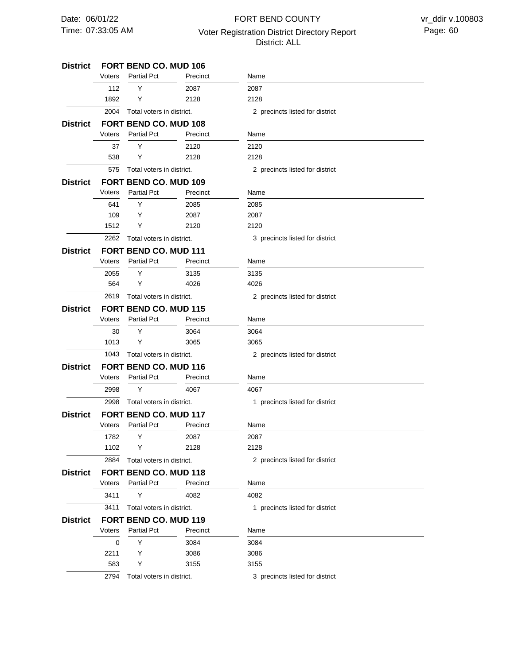# 07:33:05 AM Voter Registration District Directory Report Page: 60 FORT BEND COUNTY District: ALL

| District        |                              | <b>FORT BEND CO. MUD 106</b> |          |                                 |  |
|-----------------|------------------------------|------------------------------|----------|---------------------------------|--|
|                 | Voters                       | <b>Partial Pct</b>           | Precinct | Name                            |  |
|                 | 112                          | Y                            | 2087     | 2087                            |  |
|                 | 1892                         | Y                            | 2128     | 2128                            |  |
|                 | 2004                         | Total voters in district.    |          | 2 precincts listed for district |  |
| District        |                              | <b>FORT BEND CO. MUD 108</b> |          |                                 |  |
|                 | Voters                       | <b>Partial Pct</b>           | Precinct | Name                            |  |
|                 | 37                           | Y                            | 2120     | 2120                            |  |
|                 | 538                          | Y                            | 2128     | 2128                            |  |
|                 | 575                          | Total voters in district.    |          | 2 precincts listed for district |  |
| District        |                              | FORT BEND CO. MUD 109        |          |                                 |  |
|                 | Voters                       | <b>Partial Pct</b>           | Precinct | Name                            |  |
|                 | 641                          | Y                            | 2085     | 2085                            |  |
|                 | 109                          | Y                            | 2087     | 2087                            |  |
|                 | 1512                         | Y                            | 2120     | 2120                            |  |
|                 | 2262                         | Total voters in district.    |          | 3 precincts listed for district |  |
| District        |                              | <b>FORT BEND CO. MUD 111</b> |          |                                 |  |
|                 | Voters                       | <b>Partial Pct</b>           | Precinct | Name                            |  |
|                 | 2055                         | Y                            | 3135     | 3135                            |  |
|                 | 564                          | Y                            | 4026     | 4026                            |  |
|                 | 2619                         | Total voters in district.    |          | 2 precincts listed for district |  |
| District        | <b>FORT BEND CO. MUD 115</b> |                              |          |                                 |  |
|                 | Voters                       | <b>Partial Pct</b>           | Precinct | Name                            |  |
|                 | 30                           | Υ                            | 3064     | 3064                            |  |
|                 | 1013                         | Y                            | 3065     | 3065                            |  |
|                 | 1043                         | Total voters in district.    |          | 2 precincts listed for district |  |
| District        |                              | <b>FORT BEND CO. MUD 116</b> |          |                                 |  |
|                 | Voters                       | <b>Partial Pct</b>           | Precinct | Name                            |  |
|                 | 2998                         | Y                            | 4067     | 4067                            |  |
|                 | 2998                         | Total voters in district.    |          | 1 precincts listed for district |  |
| District        |                              | <b>FORT BEND CO. MUD 117</b> |          |                                 |  |
|                 | Voters                       | <b>Partial Pct</b>           | Precinct | Name                            |  |
|                 | 1782                         | Υ                            | 2087     | 2087                            |  |
|                 | 1102                         | Y                            | 2128     | 2128                            |  |
|                 | 2884                         | Total voters in district.    |          | 2 precincts listed for district |  |
| <b>District</b> |                              | <b>FORT BEND CO. MUD 118</b> |          |                                 |  |
|                 | Voters                       | <b>Partial Pct</b>           | Precinct | Name                            |  |
|                 | 3411                         | Υ                            | 4082     | 4082                            |  |
|                 | 3411                         | Total voters in district.    |          | 1 precincts listed for district |  |
| <b>District</b> |                              | FORT BEND CO. MUD 119        |          |                                 |  |
|                 | Voters                       | <b>Partial Pct</b>           | Precinct | Name                            |  |
|                 | 0                            | Υ                            | 3084     | 3084                            |  |
|                 | 2211                         | Υ                            | 3086     | 3086                            |  |
|                 | 583                          | Y                            | 3155     | 3155                            |  |
|                 | 2794                         | Total voters in district.    |          | 3 precincts listed for district |  |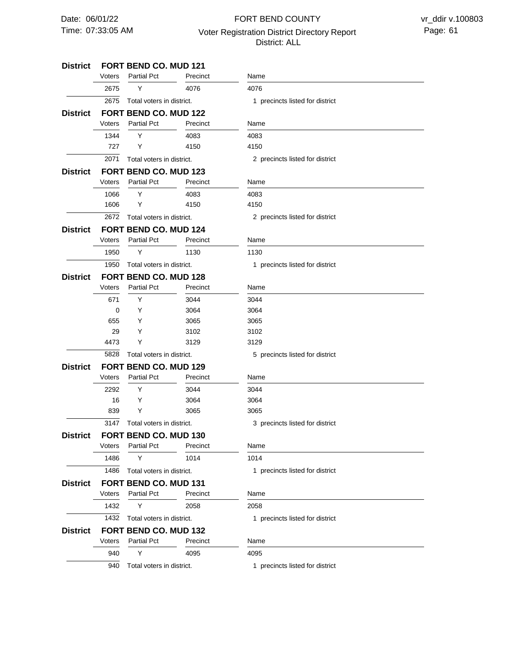# 07:33:05 AM Voter Registration District Directory Report Page: 61 FORT BEND COUNTY District: ALL

| <b>District</b> |                              | FORT BEND CO. MUD 121        |          |                                 |  |
|-----------------|------------------------------|------------------------------|----------|---------------------------------|--|
|                 | Voters                       | <b>Partial Pct</b>           | Precinct | Name                            |  |
|                 | 2675                         | Y                            | 4076     | 4076                            |  |
|                 | 2675                         | Total voters in district.    |          | 1 precincts listed for district |  |
| <b>District</b> | <b>FORT BEND CO. MUD 122</b> |                              |          |                                 |  |
|                 | Voters                       | <b>Partial Pct</b>           | Precinct | Name                            |  |
|                 | 1344                         | Y                            | 4083     | 4083                            |  |
|                 | 727                          | Y                            | 4150     | 4150                            |  |
|                 | 2071                         | Total voters in district.    |          | 2 precincts listed for district |  |
| <b>District</b> | <b>FORT BEND CO. MUD 123</b> |                              |          |                                 |  |
|                 | Voters                       | <b>Partial Pct</b>           | Precinct | Name                            |  |
|                 | 1066                         | Y                            | 4083     | 4083                            |  |
|                 | 1606                         | Y                            | 4150     | 4150                            |  |
|                 | 2672                         | Total voters in district.    |          | 2 precincts listed for district |  |
| <b>District</b> | <b>FORT BEND CO. MUD 124</b> |                              |          |                                 |  |
|                 | Voters                       | <b>Partial Pct</b>           | Precinct | Name                            |  |
|                 | 1950                         | Υ                            | 1130     | 1130                            |  |
|                 | 1950                         | Total voters in district.    |          | 1 precincts listed for district |  |
| <b>District</b> |                              | FORT BEND CO. MUD 128        |          |                                 |  |
|                 | Voters                       | <b>Partial Pct</b>           | Precinct | Name                            |  |
|                 | 671                          | Y                            | 3044     | 3044                            |  |
|                 | 0                            | Y                            | 3064     | 3064                            |  |
|                 | 655                          | Y                            | 3065     | 3065                            |  |
|                 | 29                           | Y                            | 3102     | 3102                            |  |
|                 | 4473                         | Y                            | 3129     | 3129                            |  |
|                 | 5828                         | Total voters in district.    |          | 5 precincts listed for district |  |
| <b>District</b> | <b>FORT BEND CO. MUD 129</b> |                              |          |                                 |  |
|                 | Voters                       | <b>Partial Pct</b>           | Precinct | Name                            |  |
|                 | 2292                         | Y                            | 3044     | 3044                            |  |
|                 | 16                           | Y                            | 3064     | 3064                            |  |
|                 | 839                          | Y                            | 3065     | 3065                            |  |
|                 | 3147                         | Total voters in district.    |          | 3 precincts listed for district |  |
| <b>District</b> | <b>FORT BEND CO. MUD 130</b> |                              |          |                                 |  |
|                 | Voters                       | <b>Partial Pct</b>           | Precinct | Name                            |  |
|                 | 1486                         | Y                            | 1014     | 1014                            |  |
|                 | 1486                         | Total voters in district.    |          | 1 precincts listed for district |  |
| <b>District</b> |                              | <b>FORT BEND CO. MUD 131</b> |          |                                 |  |
|                 | Voters                       | <b>Partial Pct</b>           | Precinct | Name                            |  |
|                 | 1432                         | Y                            | 2058     | 2058                            |  |
|                 | 1432                         | Total voters in district.    |          | 1 precincts listed for district |  |
| <b>District</b> |                              | <b>FORT BEND CO. MUD 132</b> |          |                                 |  |
|                 | Voters                       | <b>Partial Pct</b>           | Precinct | Name                            |  |
|                 | 940                          | Y                            | 4095     | 4095                            |  |
|                 | 940                          | Total voters in district.    |          | 1 precincts listed for district |  |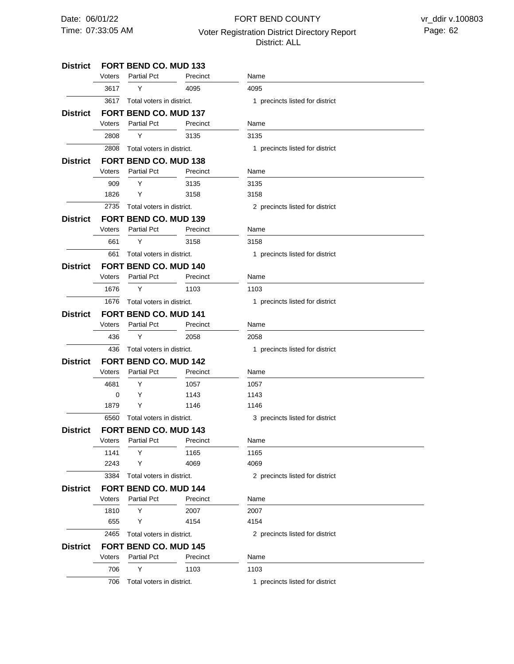# 07:33:05 AM Voter Registration District Directory Report Page: 62 FORT BEND COUNTY District: ALL

#### **FORT BEND CO. MUD 133 FORT BEND CO. MUD 137 FORT BEND CO. MUD 138 FORT BEND CO. MUD 139 FORT BEND CO. MUD 140 FORT BEND CO. MUD 141 FORT BEND CO. MUD 142 FORT BEND CO. MUD 143 FORT BEND CO. MUD 144 FORT BEND CO. MUD 145 District District District District District District District District District District** 3617 2808 2735 Total voters in district. 661 1676 436 6560 Total voters in district. 3384 Total voters in district. 2465 Total voters in district. 706 3617 2808 909 1826 661 1676 436 4681 0 1879 1141 2243 1810 655 706 Voters Voters Voters Voters Voters Voters Voters Voters Voters Voters Y Y Y Y Y Y Y Y Y Y Y Y Y Y Y Partial Pct Partial Pct Partial Pct Partial Pct Partial Pct Partial Pct Partial Pct Partial Pct Partial Pct Partial Pct 4095 3135 3135 3158 3158 1103 2058 1057 1143 1146 1165 4069 2007 4154 1103 Precinct Precinct Precinct Precinct Precinct Precinct Precinct Precinct Precinct Precinct 4095 3135 3135 3158 3158 1103 2058 1057 1143 1146 1165 4069 2007 4154 1103 Name Name Name Name Name Name Name Name Name Name Total voters in district. Total voters in district. Total voters in district. Total voters in district. Total voters in district. Total voters in district. 1 precincts listed for district 1 precincts listed for district 2 precincts listed for district 1 precincts listed for district 1 precincts listed for district 1 precincts listed for district 3 precincts listed for district 2 precincts listed for district 2 precincts listed for district 1 precincts listed for district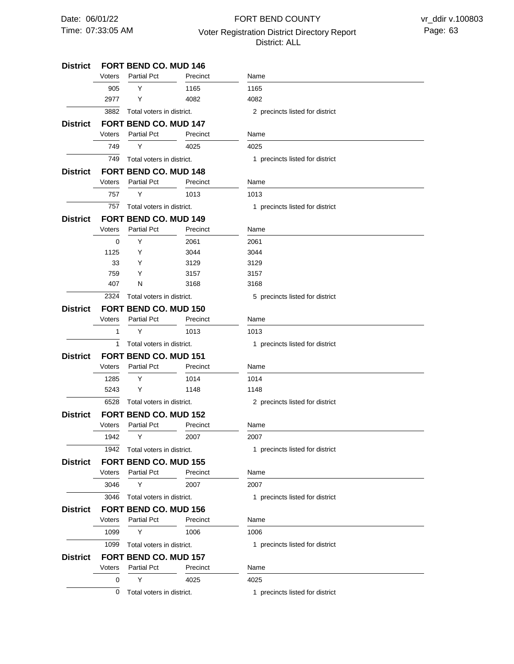# 07:33:05 AM Voter Registration District Directory Report Page: 63 FORT BEND COUNTY District: ALL

 $\overline{\phantom{0}}$ 

| District        |        |                              | <b>FORT BEND CO. MUD 146</b> |                                 |  |  |  |
|-----------------|--------|------------------------------|------------------------------|---------------------------------|--|--|--|
|                 | Voters | <b>Partial Pct</b>           | Precinct                     | Name                            |  |  |  |
|                 | 905    | Y                            | 1165                         | 1165                            |  |  |  |
|                 | 2977   | Y                            | 4082                         | 4082                            |  |  |  |
|                 | 3882   | Total voters in district.    |                              | 2 precincts listed for district |  |  |  |
| District        |        | <b>FORT BEND CO. MUD 147</b> |                              |                                 |  |  |  |
|                 | Voters | <b>Partial Pct</b>           | Precinct                     | Name                            |  |  |  |
|                 | 749    | Y                            | 4025                         | 4025                            |  |  |  |
|                 | 749    | Total voters in district.    |                              | 1 precincts listed for district |  |  |  |
| District        |        | <b>FORT BEND CO. MUD 148</b> |                              |                                 |  |  |  |
|                 | Voters | <b>Partial Pct</b>           | Precinct                     | Name                            |  |  |  |
|                 | 757    | Υ                            | 1013                         | 1013                            |  |  |  |
|                 | 757    | Total voters in district.    |                              | 1 precincts listed for district |  |  |  |
| District        |        | <b>FORT BEND CO. MUD 149</b> |                              |                                 |  |  |  |
|                 | Voters | <b>Partial Pct</b>           | Precinct                     | Name                            |  |  |  |
|                 | 0      | Y                            | 2061                         | 2061                            |  |  |  |
|                 | 1125   | Y                            | 3044                         | 3044                            |  |  |  |
|                 | 33     | Y                            | 3129                         | 3129                            |  |  |  |
|                 | 759    | Y                            | 3157                         | 3157                            |  |  |  |
|                 | 407    | N                            | 3168                         | 3168                            |  |  |  |
|                 | 2324   | Total voters in district.    |                              | 5 precincts listed for district |  |  |  |
| <b>District</b> |        | <b>FORT BEND CO. MUD 150</b> |                              |                                 |  |  |  |
|                 | Voters | <b>Partial Pct</b>           | Precinct                     | Name                            |  |  |  |
|                 | 1      | Y                            | 1013                         | 1013                            |  |  |  |
|                 | 1      | Total voters in district.    |                              | 1 precincts listed for district |  |  |  |
| District        |        | <b>FORT BEND CO. MUD 151</b> |                              |                                 |  |  |  |
|                 | Voters | <b>Partial Pct</b>           | Precinct                     | Name                            |  |  |  |
|                 | 1285   | Y                            | 1014                         | 1014                            |  |  |  |
|                 | 5243   | Y                            | 1148                         | 1148                            |  |  |  |
|                 | 6528   | Total voters in district.    |                              | 2 precincts listed for district |  |  |  |
| District        |        | <b>FORT BEND CO. MUD 152</b> |                              |                                 |  |  |  |
|                 | Voters | <b>Partial Pct</b>           | Precinct                     | Name                            |  |  |  |
|                 | 1942   | Y                            | 2007                         | 2007                            |  |  |  |
|                 | 1942   | Total voters in district.    |                              | 1 precincts listed for district |  |  |  |
| District        |        | <b>FORT BEND CO. MUD 155</b> |                              |                                 |  |  |  |
|                 | Voters | <b>Partial Pct</b>           | Precinct                     | Name                            |  |  |  |
|                 | 3046   | Y                            | 2007                         | 2007                            |  |  |  |
|                 | 3046   | Total voters in district.    |                              | 1 precincts listed for district |  |  |  |
| District        |        | <b>FORT BEND CO. MUD 156</b> |                              |                                 |  |  |  |
|                 | Voters | <b>Partial Pct</b>           | Precinct                     | Name                            |  |  |  |
|                 | 1099   | Υ                            | 1006                         | 1006                            |  |  |  |
|                 | 1099   | Total voters in district.    |                              | 1 precincts listed for district |  |  |  |
| <b>District</b> |        | <b>FORT BEND CO. MUD 157</b> |                              |                                 |  |  |  |
|                 | Voters | <b>Partial Pct</b>           | Precinct                     | Name                            |  |  |  |
|                 | 0      | Y                            | 4025                         | 4025                            |  |  |  |
|                 | 0      | Total voters in district.    |                              | 1 precincts listed for district |  |  |  |
|                 |        |                              |                              |                                 |  |  |  |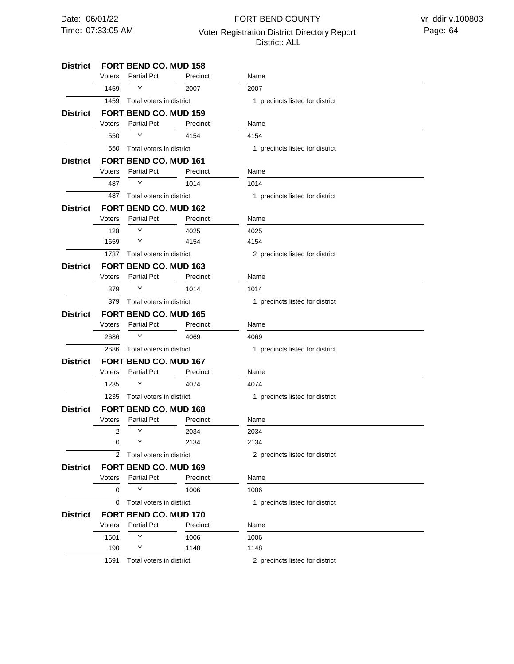# 07:33:05 AM Voter Registration District Directory Report Page: 64 FORT BEND COUNTY District: ALL

#### **FORT BEND CO. MUD 158 FORT BEND CO. MUD 159 FORT BEND CO. MUD 161 FORT BEND CO. MUD 162 FORT BEND CO. MUD 163 FORT BEND CO. MUD 165 FORT BEND CO. MUD 167 FORT BEND CO. MUD 168 FORT BEND CO. MUD 169 FORT BEND CO. MUD 170 District District District District District District District District District District** 1459 550 487 1787 Total voters in district. 379 2686 1235 Total voters in district. 2 Total voters in district. 0 1691 Total voters in district. 1459 550 487 128 1659 379 2686 1235 2 0 0 1501 190 Voters Voters Voters Voters Voters Voters Voters Voters Voters Voters Y Y Y Y Y Y Y Y Y Y Y Y Y Partial Pct Partial Pct Partial Pct Partial Pct Partial Pct Partial Pct Partial Pct Partial Pct Partial Pct Partial Pct 2007 4154 1014 4025 4154 1014 4069 4074 2034 2134 1006 1006 1148 Precinct Precinct Precinct Precinct Precinct Precinct Precinct Precinct Precinct Precinct 2007 4154 1014 4025 4154 1014 4069 4074 2034 2134 1006 1006 1148 Name Name Name Name Name Name Name Name Name Name Total voters in district. Total voters in district. Total voters in district. Total voters in district. Total voters in district. Total voters in district. 1 precincts listed for district 1 precincts listed for district 1 precincts listed for district 2 precincts listed for district 1 precincts listed for district 1 precincts listed for district 1 precincts listed for district 2 precincts listed for district 1 precincts listed for district 2 precincts listed for district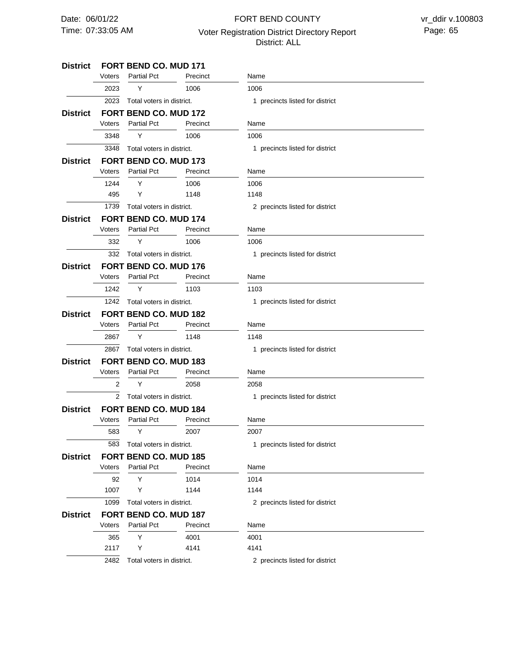# 07:33:05 AM Voter Registration District Directory Report Page: 65 FORT BEND COUNTY District: ALL

#### **FORT BEND CO. MUD 171 FORT BEND CO. MUD 172 FORT BEND CO. MUD 173 FORT BEND CO. MUD 174 FORT BEND CO. MUD 176 FORT BEND CO. MUD 182 FORT BEND CO. MUD 183 FORT BEND CO. MUD 184 FORT BEND CO. MUD 185 FORT BEND CO. MUD 187 District District District District District District District District District District** 2023 3348 1739 Total voters in district. 332 1242 2867 Total voters in district. 2 Total voters in district. 583 1099 Total voters in district. 2482 Total voters in district. 2023 3348 1244 495 332 1242 2867 2 583 92 1007 365 2117 Voters Voters Voters Voters Voters Voters Voters Voters Voters Voters Y Y Y Y Y Y Y Y Y Y Y Y Y Partial Pct Partial Pct Partial Pct Partial Pct Partial Pct Partial Pct Partial Pct Partial Pct Partial Pct Partial Pct 1006 1006 1006 1148 1006 1103 1148 2058 2007 1014 1144 4001 4141 Precinct Precinct Precinct Precinct Precinct Precinct Precinct Precinct Precinct Precinct 1006 1006 1006 1148 1006 1103 1148 2058 2007 1014 1144 4001 4141 Name Name Name Name Name Name Name Name Name Name Total voters in district. Total voters in district. Total voters in district. Total voters in district. Total voters in district. 1 precincts listed for district 1 precincts listed for district 2 precincts listed for district 1 precincts listed for district 1 precincts listed for district 1 precincts listed for district 1 precincts listed for district 1 precincts listed for district 2 precincts listed for district 2 precincts listed for district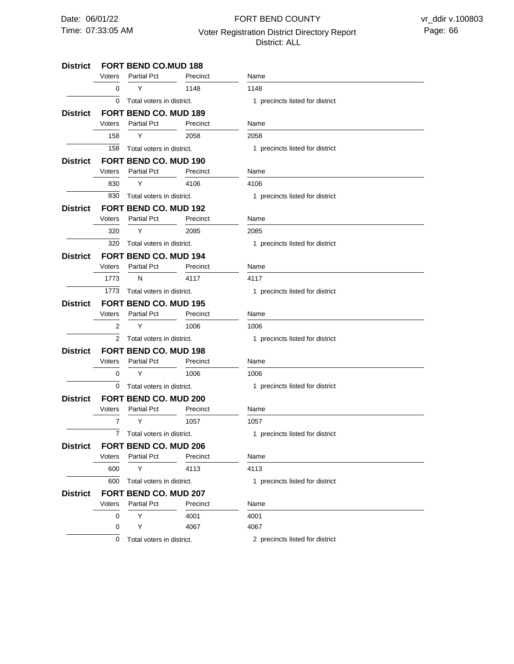# 07:33:05 AM Voter Registration District Directory Report Page: 66 FORT BEND COUNTY District: ALL

#### **FORT BEND CO.MUD 188 District FORT BEND CO. MUD 189 FORT BEND CO. MUD 190 FORT BEND CO. MUD 192 District FORT BEND CO. MUD 194 District FORT BEND CO. MUD 195 FORT BEND CO. MUD 198 District FORT BEND CO. MUD 200 FORT BEND CO. MUD 206 FORT BEND CO. MUD 207 District District District District District District**  $\overline{0}$ 158 Total voters in district. 830 320 1773 Total voters in district. 2 Total voters in district. 0 Total voters in district. 7 600 Total voters in district. 0 158 830 320 1773 2 0 7 600 0 0 Voters Voters Voters Voters Voters Voters Voters Voters Voters Voters Y Y Y Y N Y Y Y Y Y Y Partial Pct Partial Pct Partial Pct Partial Pct Partial Pct Partial Pct Partial Pct Partial Pct Partial Pct Partial Pct 1148 2058 4106 2085 4117 1006 1006 1057 4113 4001 4067 Precinct Precinct Precinct Precinct Precinct Precinct Precinct Precinct **Precinct** Precinct 1148 2058 4106 2085 4117 1006 1006 1057 4113 4001 4067 Name Name Name Name Name Name Name Name Name Name Total voters in district. Total voters in district. Total voters in district. Total voters in district. 1 precincts listed for district 1 precincts listed for district 1 precincts listed for district 1 precincts listed for district 1 precincts listed for district 1 precincts listed for district 1 precincts listed for district 1 precincts listed for district 1 precincts listed for district

0 Total voters in district.

2 precincts listed for district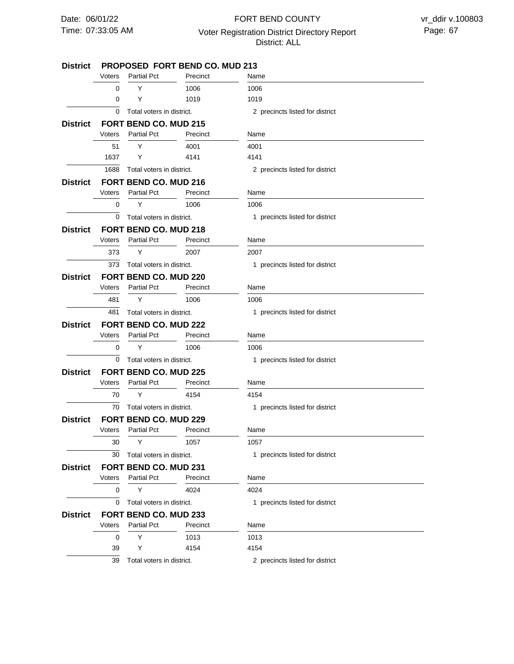## 07:33:05 AM Voter Registration District Directory Report Page: 67 FORT BEND COUNTY District: ALL

#### **PROPOSED FORT BEND CO. MUD 213 FORT BEND CO. MUD 215 FORT BEND CO. MUD 216 FORT BEND CO. MUD 218 FORT BEND CO. MUD 220 District FORT BEND CO. MUD 222 FORT BEND CO. MUD 225 FORT BEND CO. MUD 229 District FORT BEND CO. MUD 231 District FORT BEND CO. MUD 233 District District District District District District District**  $\overline{0}$ 1688 Total voters in district.  $\overline{0}$ 373 Total voters in district. 481 0 Total voters in district. 70 30 Total voters in district. 0 Total voters in district. 0  $\overline{0}$ 51 1637  $\overline{0}$ 373 481 0 70 30 0 0 39 Voters Voters Voters Voters Voters Voters Voters Voters Voters Voters Y Y Y Y Y Y Y Y Y Y Y Y Y Partial Pct Partial Pct Partial Pct Partial Pct Partial Pct Partial Pct Partial Pct Partial Pct Partial Pct Partial Pct 1006 1019 4001 4141 1006 2007 1006 1006 4154 1057 4024 1013 4154 Precinct Precinct Precinct Precinct Precinct Precinct Precinct Precinct Precinct **Precinct** 1006 1019 4001 4141 1006 2007 1006 1006 4154 1057 4024 1013 4154 Name Name Name Name Name Name Name Name Name Name Total voters in district. Total voters in district. Total voters in district. Total voters in district. 2 precincts listed for district 2 precincts listed for district 1 precincts listed for district 1 precincts listed for district 1 precincts listed for district 1 precincts listed for district 1 precincts listed for district 1 precincts listed for district 1 precincts listed for district

39 Total voters in district.

2 precincts listed for district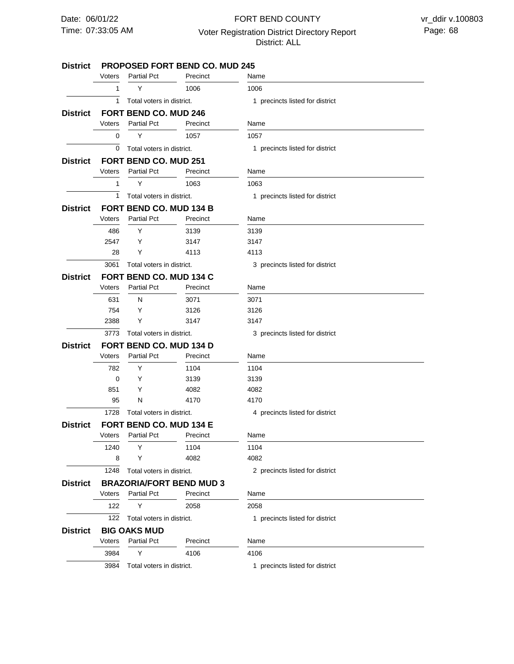### 07:33:05 AM Voter Registration District Directory Report Page: 68 FORT BEND COUNTY District: ALL

#### **PROPOSED FORT BEND CO. MUD 245 FORT BEND CO. MUD 246 FORT BEND CO. MUD 251 FORT BEND CO. MUD 134 B FORT BEND CO. MUD 134 C FORT BEND CO. MUD 134 D FORT BEND CO. MUD 134 E BRAZORIA/FORT BEND MUD 3 BIG OAKS MUD District District District District District District District District District** 1 0 1 3061 3773 Total voters in district. 1728 1248 122 3984 1 0 1 486 2547 28 631 754 2388 782 0 851 95 1240 8 122 3984 Voters Voters Voters Voters Voters Voters Voters Voters Voters Y Y Y Y Y Y N Y Y Y Y Y N Y Y Y Y Partial Pct Partial Pct Partial Pct Partial Pct Partial Pct Partial Pct Partial Pct Partial Pct Partial Pct 1006 1057 1063 3139 3147 4113 3071 3126 3147 1104 3139 4082 4170 1104 4082 2058 4106 Precinct Precinct Precinct Precinct Precinct Precinct Precinct Precinct Precinct 1006 1057 1063 3139 3147 4113 3071 3126 3147 1104 3139 4082 4170 1104 4082 2058 4106 Name Name Name Name Name Name Name Name Name Total voters in district. Total voters in district. Total voters in district. Total voters in district. Total voters in district. Total voters in district. Total voters in district. Total voters in district. 1 precincts listed for district 1 precincts listed for district 1 precincts listed for district 3 precincts listed for district 3 precincts listed for district 4 precincts listed for district 2 precincts listed for district 1 precincts listed for district 1 precincts listed for district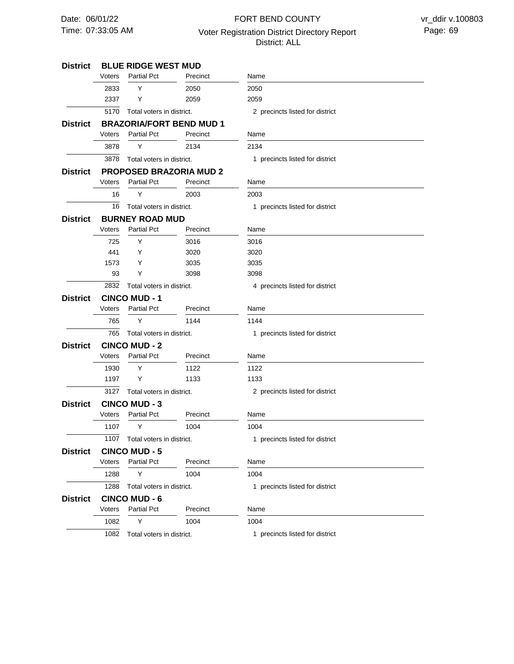# 07:33:05 AM Voter Registration District Directory Report Page: 69 FORT BEND COUNTY District: ALL

| <b>District</b> | <b>BLUE RIDGE WEST MUD</b>     |                           |                                 |                                 |  |  |
|-----------------|--------------------------------|---------------------------|---------------------------------|---------------------------------|--|--|
|                 | Voters                         | <b>Partial Pct</b>        | Precinct                        | Name                            |  |  |
|                 | 2833                           | Y                         | 2050                            | 2050                            |  |  |
|                 | 2337                           | Y                         | 2059                            | 2059                            |  |  |
|                 | 5170                           | Total voters in district. |                                 | 2 precincts listed for district |  |  |
| District        |                                |                           | <b>BRAZORIA/FORT BEND MUD 1</b> |                                 |  |  |
|                 | Voters                         | <b>Partial Pct</b>        | Precinct                        | Name                            |  |  |
|                 | 3878                           | Υ                         | 2134                            | 2134                            |  |  |
|                 | 3878                           | Total voters in district. |                                 | 1 precincts listed for district |  |  |
| <b>District</b> | <b>PROPOSED BRAZORIA MUD 2</b> |                           |                                 |                                 |  |  |
|                 | Voters                         | <b>Partial Pct</b>        | Precinct                        | Name                            |  |  |
|                 | 16                             | Υ                         | 2003                            | 2003                            |  |  |
|                 | 16                             | Total voters in district. |                                 | 1 precincts listed for district |  |  |
| District        | <b>BURNEY ROAD MUD</b>         |                           |                                 |                                 |  |  |
|                 | Voters                         | <b>Partial Pct</b>        | Precinct                        | Name                            |  |  |
|                 | 725                            | Y                         | 3016                            | 3016                            |  |  |
|                 | 441                            | Y                         | 3020                            | 3020                            |  |  |
|                 | 1573                           | Y                         | 3035                            | 3035                            |  |  |
|                 | 93                             | Y                         | 3098                            | 3098                            |  |  |
|                 | 2832                           | Total voters in district. |                                 | 4 precincts listed for district |  |  |
| <b>District</b> |                                | <b>CINCO MUD-1</b>        |                                 |                                 |  |  |
|                 | Voters                         | <b>Partial Pct</b>        | Precinct                        | Name                            |  |  |
|                 | 765                            | Y                         | 1144                            | 1144                            |  |  |
|                 | 765                            | Total voters in district. |                                 | 1 precincts listed for district |  |  |
| <b>District</b> | <b>CINCO MUD - 2</b>           |                           |                                 |                                 |  |  |
|                 | Voters                         | <b>Partial Pct</b>        | Precinct                        | Name                            |  |  |
|                 | 1930                           | Y                         | 1122                            | 1122                            |  |  |
|                 | 1197                           | Y                         | 1133                            | 1133                            |  |  |
|                 | 3127                           | Total voters in district. |                                 | 2 precincts listed for district |  |  |
| <b>District</b> | <b>CINCO MUD - 3</b>           |                           |                                 |                                 |  |  |
|                 | Voters                         | <b>Partial Pct</b>        | Precinct                        | Name                            |  |  |
|                 | 1107                           | Y                         | 1004                            | 1004                            |  |  |
|                 | 1107                           | Total voters in district. |                                 | 1 precincts listed for district |  |  |
| <b>District</b> | <b>CINCO MUD - 5</b>           |                           |                                 |                                 |  |  |
|                 | Voters                         | <b>Partial Pct</b>        | Precinct                        | Name                            |  |  |
|                 | 1288                           | Υ                         | 1004                            | 1004                            |  |  |
|                 | 1288                           | Total voters in district. |                                 | 1 precincts listed for district |  |  |
| <b>District</b> |                                | <b>CINCO MUD - 6</b>      |                                 |                                 |  |  |
|                 | Voters                         | <b>Partial Pct</b>        | Precinct                        | Name                            |  |  |
|                 | 1082                           | Υ                         | 1004                            | 1004                            |  |  |
|                 | 1082                           | Total voters in district. |                                 | 1 precincts listed for district |  |  |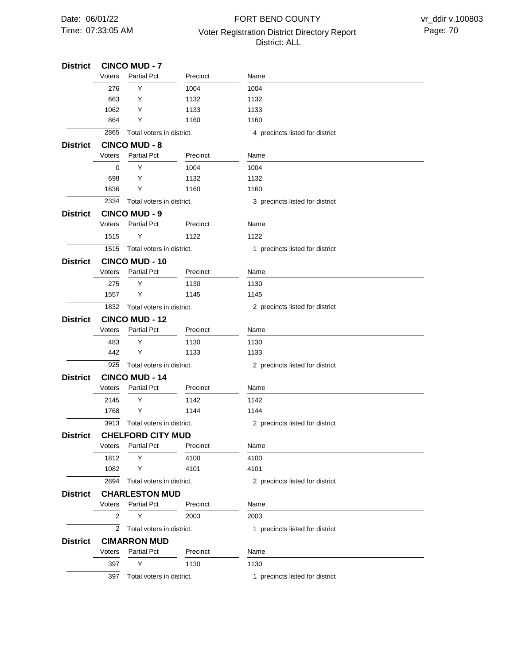# 07:33:05 AM Voter Registration District Directory Report Page: 70 FORT BEND COUNTY District: ALL

| <b>District</b> | <b>CINCO MUD - 7</b>           |                           |          |                                 |  |  |
|-----------------|--------------------------------|---------------------------|----------|---------------------------------|--|--|
|                 | Voters                         | <b>Partial Pct</b>        | Precinct | Name                            |  |  |
|                 | 276                            | Y                         | 1004     | 1004                            |  |  |
|                 | 663                            | Y                         | 1132     | 1132                            |  |  |
|                 | 1062                           | Y                         | 1133     | 1133                            |  |  |
|                 | 864                            | Y                         | 1160     | 1160                            |  |  |
|                 | 2865                           | Total voters in district. |          | 4 precincts listed for district |  |  |
| <b>District</b> |                                | <b>CINCO MUD - 8</b>      |          |                                 |  |  |
|                 | Voters                         | <b>Partial Pct</b>        | Precinct | Name                            |  |  |
|                 | 0                              | Y                         | 1004     | 1004                            |  |  |
|                 | 698                            | Y                         | 1132     | 1132                            |  |  |
|                 | 1636                           | Y                         | 1160     | 1160                            |  |  |
|                 | 2334                           | Total voters in district. |          | 3 precincts listed for district |  |  |
| <b>District</b> | <b>CINCO MUD - 9</b>           |                           |          |                                 |  |  |
|                 | Voters                         | <b>Partial Pct</b>        | Precinct | Name                            |  |  |
|                 | 1515                           | Y                         | 1122     | 1122                            |  |  |
|                 | 1515                           | Total voters in district. |          | 1 precincts listed for district |  |  |
| <b>District</b> | <b>CINCO MUD - 10</b>          |                           |          |                                 |  |  |
|                 | Voters                         | <b>Partial Pct</b>        | Precinct | Name                            |  |  |
|                 | 275                            | Y                         | 1130     | 1130                            |  |  |
|                 | 1557                           | Y                         | 1145     | 1145                            |  |  |
|                 | 1832                           | Total voters in district. |          | 2 precincts listed for district |  |  |
| <b>District</b> | <b>CINCO MUD - 12</b>          |                           |          |                                 |  |  |
|                 | Voters                         | <b>Partial Pct</b>        | Precinct | Name                            |  |  |
|                 | 483                            | Y                         | 1130     | 1130                            |  |  |
|                 | 442                            | Y                         | 1133     | 1133                            |  |  |
|                 | 925                            | Total voters in district. |          | 2 precincts listed for district |  |  |
| <b>District</b> | <b>CINCO MUD - 14</b>          |                           |          |                                 |  |  |
|                 | Voters                         | <b>Partial Pct</b>        | Precinct | Name                            |  |  |
|                 | 2145                           | Y                         | 1142     | 1142                            |  |  |
|                 | 1768                           | Y                         | 1144     | 1144                            |  |  |
|                 | 3913                           | Total voters in district. |          | 2 precincts listed for district |  |  |
| District        |                                | <b>CHELFORD CITY MUD</b>  |          |                                 |  |  |
|                 | Voters                         | <b>Partial Pct</b>        | Precinct | Name                            |  |  |
|                 | 1812                           | Y                         | 4100     | 4100                            |  |  |
|                 | 1082                           | Y                         | 4101     | 4101                            |  |  |
|                 | 2894                           | Total voters in district. |          | 2 precincts listed for district |  |  |
| <b>District</b> | <b>CHARLESTON MUD</b>          |                           |          |                                 |  |  |
|                 | Voters                         | <b>Partial Pct</b>        | Precinct | Name                            |  |  |
|                 | 2                              | Y                         | 2003     | 2003                            |  |  |
|                 | 2<br>Total voters in district. |                           |          | 1 precincts listed for district |  |  |
| <b>District</b> |                                | <b>CIMARRON MUD</b>       |          |                                 |  |  |
|                 | Voters                         | <b>Partial Pct</b>        | Precinct | Name                            |  |  |
|                 | 397                            | Y                         | 1130     | 1130                            |  |  |
|                 | 397                            | Total voters in district. |          | 1 precincts listed for district |  |  |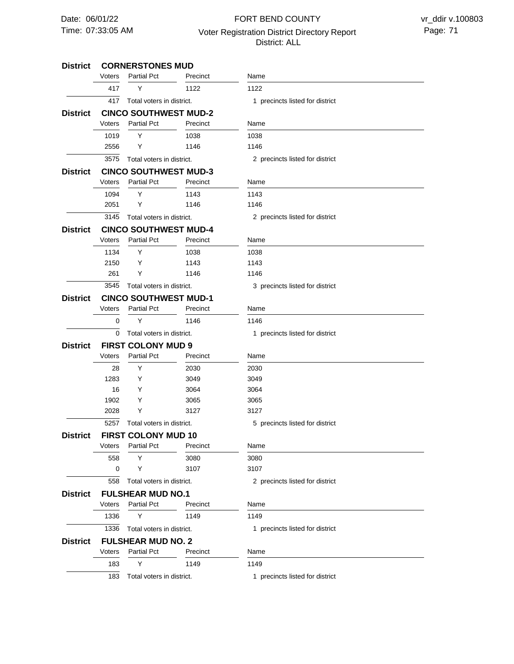## 07:33:05 AM Voter Registration District Directory Report Page: 71 FORT BEND COUNTY District: ALL

#### **CORNERSTONES MUD CINCO SOUTHWEST MUD-2 CINCO SOUTHWEST MUD-3 CINCO SOUTHWEST MUD-4 CINCO SOUTHWEST MUD-1 FIRST COLONY MUD 9 FIRST COLONY MUD 10 FULSHEAR MUD NO.1 FULSHEAR MUD NO. 2 District District District District District District District District District** 417 3575 3145 3545 Total voters in district.  $\overline{0}$ 5257 558 1336 183 417 1019 2556 1094 2051 1134 2150 261 0 28 1283 16 1902 2028 558 0 1336 183 Voters Voters Voters Voters Voters Voters Voters Voters Voters Y Y Y Y Y Y Y Y Y Y Y Y Y Y Y Y Y Y Partial Pct Partial Pct Partial Pct Partial Pct Partial Pct Partial Pct Partial Pct Partial Pct Partial Pct 1122 1038 1146 1143 1146 1038 1143 1146 1146 2030 3049 3064 3065 3127 3080 3107 1149 1149 Precinct Precinct Precinct Precinct Precinct Precinct Precinct Precinct Precinct 1122 1038 1146 1143 1146 1038 1143 1146 1146 2030 3049 3064 3065 3127 3080 3107 1149 1149 Name Name Name Name Name Name Name Name Name Total voters in district. Total voters in district. Total voters in district. Total voters in district. Total voters in district. Total voters in district. Total voters in district. Total voters in district. 1 precincts listed for district 2 precincts listed for district 2 precincts listed for district 3 precincts listed for district 1 precincts listed for district 5 precincts listed for district 2 precincts listed for district 1 precincts listed for district 1 precincts listed for district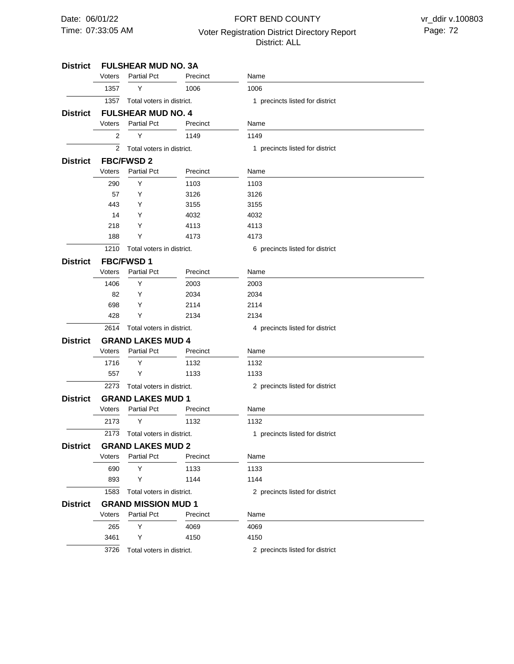# 07:33:05 AM Voter Registration District Directory Report Page: 72 FORT BEND COUNTY District: ALL

| District        |                          | <b>FULSHEAR MUD NO. 3A</b> |          |                                 |  |
|-----------------|--------------------------|----------------------------|----------|---------------------------------|--|
|                 | Voters                   | <b>Partial Pct</b>         | Precinct | Name                            |  |
|                 | 1357                     | Y                          | 1006     | 1006                            |  |
|                 | 1357                     | Total voters in district.  |          | 1 precincts listed for district |  |
| District        |                          | <b>FULSHEAR MUD NO. 4</b>  |          |                                 |  |
|                 | Voters                   | <b>Partial Pct</b>         | Precinct | Name                            |  |
|                 | 2                        | Υ                          | 1149     | 1149                            |  |
|                 | $\overline{2}$           | Total voters in district.  |          | 1 precincts listed for district |  |
| <b>District</b> | <b>FBC/FWSD 2</b>        |                            |          |                                 |  |
|                 | Voters                   | <b>Partial Pct</b>         | Precinct | Name                            |  |
|                 | 290                      | Y                          | 1103     | 1103                            |  |
|                 | 57                       | Y                          | 3126     | 3126                            |  |
|                 | 443                      | Y                          | 3155     | 3155                            |  |
|                 | 14                       | Y                          | 4032     | 4032                            |  |
|                 | 218                      | Y                          | 4113     | 4113                            |  |
|                 | 188                      | Y                          | 4173     | 4173                            |  |
|                 | 1210                     | Total voters in district.  |          | 6 precincts listed for district |  |
| <b>District</b> |                          | <b>FBC/FWSD1</b>           |          |                                 |  |
|                 | Voters                   | <b>Partial Pct</b>         | Precinct | Name                            |  |
|                 | 1406                     | Y                          | 2003     | 2003                            |  |
|                 | 82                       | Υ                          | 2034     | 2034                            |  |
|                 | 698                      | Y                          | 2114     | 2114                            |  |
|                 | 428                      | Υ                          | 2134     | 2134                            |  |
|                 | 2614                     | Total voters in district.  |          | 4 precincts listed for district |  |
| <b>District</b> | <b>GRAND LAKES MUD 4</b> |                            |          |                                 |  |
|                 | Voters                   | <b>Partial Pct</b>         | Precinct | Name                            |  |
|                 | 1716                     | Υ                          | 1132     | 1132                            |  |
|                 | 557                      | Y                          | 1133     | 1133                            |  |
|                 | 2273                     | Total voters in district.  |          | 2 precincts listed for district |  |
| <b>District</b> |                          | <b>GRAND LAKES MUD 1</b>   |          |                                 |  |
|                 | Voters                   | <b>Partial Pct</b>         | Precinct | Name                            |  |
|                 | 2173                     | Y                          | 1132     | 1132                            |  |
|                 | 2173                     | Total voters in district.  |          | 1 precincts listed for district |  |
| <b>District</b> |                          | <b>GRAND LAKES MUD 2</b>   |          |                                 |  |
|                 | Voters                   | <b>Partial Pct</b>         | Precinct | Name                            |  |
|                 | 690                      | Y                          | 1133     | 1133                            |  |
|                 | 893                      | Υ                          | 1144     | 1144                            |  |
|                 | 1583                     | Total voters in district.  |          | 2 precincts listed for district |  |
| District        |                          | <b>GRAND MISSION MUD 1</b> |          |                                 |  |
|                 | Voters                   | <b>Partial Pct</b>         | Precinct | Name                            |  |
|                 | 265                      | Υ                          | 4069     | 4069                            |  |
|                 | 3461                     | Υ                          | 4150     | 4150                            |  |
|                 | 3726                     | Total voters in district.  |          | 2 precincts listed for district |  |
|                 |                          |                            |          |                                 |  |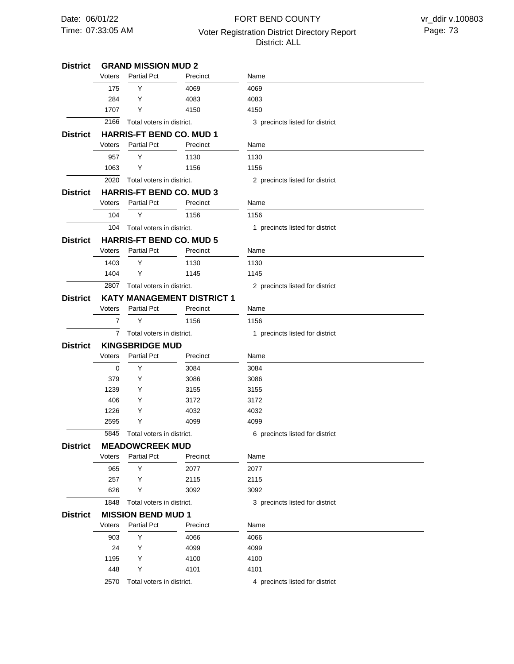# 07:33:05 AM Voter Registration District Directory Report Page: 73 FORT BEND COUNTY District: ALL

| <b>District</b> |                        | <b>GRAND MISSION MUD 2</b>      |                                   |                                 |
|-----------------|------------------------|---------------------------------|-----------------------------------|---------------------------------|
|                 | Voters                 | <b>Partial Pct</b>              | Precinct                          | Name                            |
|                 | 175                    | Y                               | 4069                              | 4069                            |
|                 | 284                    | Y                               | 4083                              | 4083                            |
|                 | 1707                   | Y                               | 4150                              | 4150                            |
|                 | 2166                   | Total voters in district.       |                                   | 3 precincts listed for district |
| District        |                        | <b>HARRIS-FT BEND CO. MUD 1</b> |                                   |                                 |
|                 | Voters                 | <b>Partial Pct</b>              | Precinct                          | Name                            |
|                 | 957                    | Y                               | 1130                              | 1130                            |
|                 | 1063                   | Y                               | 1156                              | 1156                            |
|                 | 2020                   | Total voters in district.       |                                   | 2 precincts listed for district |
| <b>District</b> |                        | <b>HARRIS-FT BEND CO. MUD 3</b> |                                   |                                 |
|                 | Voters                 | <b>Partial Pct</b>              | Precinct                          | Name                            |
|                 | 104                    | Υ                               | 1156                              | 1156                            |
|                 | 104                    | Total voters in district.       |                                   | 1 precincts listed for district |
| District        |                        | <b>HARRIS-FT BEND CO. MUD 5</b> |                                   |                                 |
|                 | Voters                 | <b>Partial Pct</b>              | Precinct                          | Name                            |
|                 | 1403                   | Y                               | 1130                              | 1130                            |
|                 | 1404                   | Y                               | 1145                              | 1145                            |
|                 | 2807                   | Total voters in district.       |                                   | 2 precincts listed for district |
| District        |                        |                                 | <b>KATY MANAGEMENT DISTRICT 1</b> |                                 |
|                 | Voters                 | <b>Partial Pct</b>              | Precinct                          | Name                            |
|                 | $\overline{7}$         | Y                               | 1156                              | 1156                            |
|                 | 7                      | Total voters in district.       |                                   | 1 precincts listed for district |
| District        | <b>KINGSBRIDGE MUD</b> |                                 |                                   |                                 |
|                 | Voters                 | <b>Partial Pct</b>              | Precinct                          | Name                            |
|                 | 0                      | Y                               | 3084                              | 3084                            |
|                 | 379                    | Y                               | 3086                              | 3086                            |
|                 | 1239                   | Y                               | 3155                              | 3155                            |
|                 | 406                    | Y                               | 3172                              | 3172                            |
|                 | 1226                   | Y                               | 4032                              | 4032                            |
|                 | 2595                   | Υ                               | 4099                              | 4099                            |
|                 | 5845                   | Total voters in district.       |                                   | 6 precincts listed for district |
| <b>District</b> |                        | <b>MEADOWCREEK MUD</b>          |                                   |                                 |
|                 | Voters                 | <b>Partial Pct</b>              | Precinct                          | Name                            |
|                 | 965                    | Υ                               | 2077                              | 2077                            |
|                 | 257                    | Y                               | 2115                              | 2115                            |
|                 | 626                    | Y                               | 3092                              | 3092                            |
|                 | 1848                   | Total voters in district.       |                                   | 3 precincts listed for district |
| District        |                        | <b>MISSION BEND MUD 1</b>       |                                   |                                 |
|                 | Voters                 | Partial Pct                     | Precinct                          | Name                            |
|                 | 903                    | Υ                               | 4066                              | 4066                            |
|                 | 24                     | Y                               | 4099                              | 4099                            |
|                 | 1195                   | Y                               | 4100                              | 4100                            |
|                 | 448                    | Y                               | 4101                              | 4101                            |
|                 | 2570                   | Total voters in district.       |                                   | 4 precincts listed for district |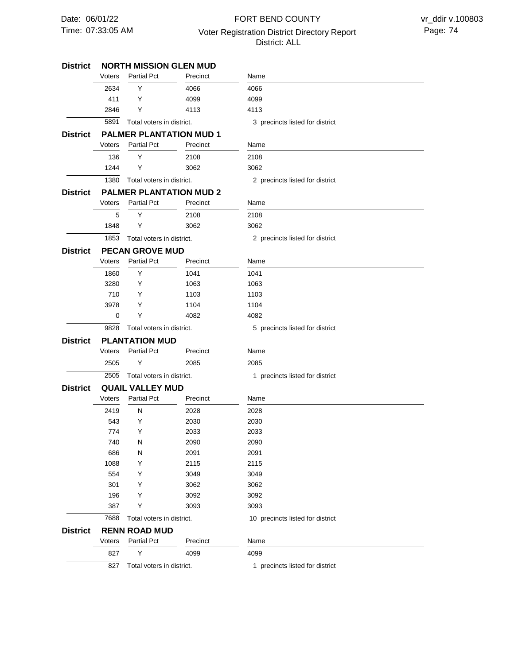# 07:33:05 AM Voter Registration District Directory Report Page: 74 FORT BEND COUNTY District: ALL

| District        |                       | <b>NORTH MISSION GLEN MUD</b> |                                |                                  |
|-----------------|-----------------------|-------------------------------|--------------------------------|----------------------------------|
|                 | Voters                | <b>Partial Pct</b>            | Precinct                       | Name                             |
|                 | 2634                  | Υ                             | 4066                           | 4066                             |
|                 | 411                   | Y                             | 4099                           | 4099                             |
|                 | 2846                  | Υ                             | 4113                           | 4113                             |
|                 | 5891                  | Total voters in district.     |                                | 3 precincts listed for district  |
| District        |                       |                               | <b>PALMER PLANTATION MUD 1</b> |                                  |
|                 | Voters                | <b>Partial Pct</b>            | Precinct                       | Name                             |
|                 | 136                   | Υ                             | 2108                           | 2108                             |
|                 | 1244                  | Y                             | 3062                           | 3062                             |
|                 | 1380                  | Total voters in district.     |                                | 2 precincts listed for district  |
| <b>District</b> |                       |                               | <b>PALMER PLANTATION MUD 2</b> |                                  |
|                 | Voters                | <b>Partial Pct</b>            | Precinct                       | Name                             |
|                 | 5                     | Y                             | 2108                           | 2108                             |
|                 | 1848                  | Υ                             | 3062                           | 3062                             |
|                 | 1853                  | Total voters in district.     |                                | 2 precincts listed for district  |
| District        |                       | <b>PECAN GROVE MUD</b>        |                                |                                  |
|                 | Voters                | <b>Partial Pct</b>            | Precinct                       | Name                             |
|                 | 1860                  | Y                             | 1041                           | 1041                             |
|                 | 3280                  | Υ                             | 1063                           | 1063                             |
|                 | 710                   | Y                             | 1103                           | 1103                             |
|                 | 3978                  | Y                             | 1104                           | 1104                             |
|                 | 0                     | Y                             | 4082                           | 4082                             |
|                 | 9828                  | Total voters in district.     |                                | 5 precincts listed for district  |
| <b>District</b> | <b>PLANTATION MUD</b> |                               |                                |                                  |
|                 | Voters                | <b>Partial Pct</b>            | Precinct                       | Name                             |
|                 | 2505                  | Y                             | 2085                           | 2085                             |
|                 | 2505                  | Total voters in district.     |                                | 1 precincts listed for district  |
| <b>District</b> |                       | <b>QUAIL VALLEY MUD</b>       |                                |                                  |
|                 | Voters                | <b>Partial Pct</b>            | Precinct                       | Name                             |
|                 | 2419                  | N                             | 2028                           | 2028                             |
|                 | 543                   | Y                             | 2030                           | 2030                             |
|                 | 774                   | Υ                             | 2033                           | 2033                             |
|                 | 740                   | N                             | 2090                           | 2090                             |
|                 | 686                   | N                             | 2091                           | 2091                             |
|                 | 1088                  | Υ                             | 2115                           | 2115                             |
|                 | 554                   | Υ                             | 3049                           | 3049                             |
|                 | 301                   | Υ                             | 3062                           | 3062                             |
|                 | 196                   | Υ                             | 3092                           | 3092                             |
|                 | 387                   | Y                             | 3093                           | 3093                             |
|                 | 7688                  | Total voters in district.     |                                | 10 precincts listed for district |
| <b>District</b> |                       | <b>RENN ROAD MUD</b>          |                                |                                  |
|                 | Voters                | <b>Partial Pct</b>            | Precinct                       | Name                             |
|                 | 827                   | Υ                             | 4099                           | 4099                             |
|                 | 827                   | Total voters in district.     |                                | 1 precincts listed for district  |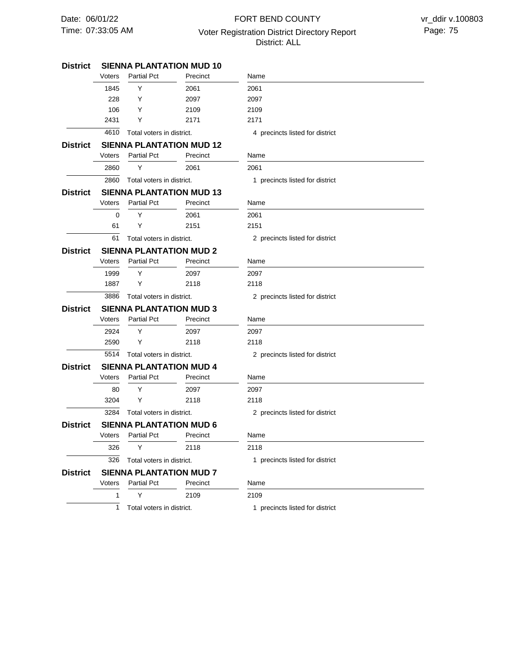# 07:33:05 AM Voter Registration District Directory Report Page: 75 FORT BEND COUNTY District: ALL

 $\overline{\phantom{a}}$ 

| <b>District</b> |                                |                                | <b>SIENNA PLANTATION MUD 10</b> |                                 |  |
|-----------------|--------------------------------|--------------------------------|---------------------------------|---------------------------------|--|
|                 | Voters                         | <b>Partial Pct</b>             | Precinct                        | Name                            |  |
|                 | 1845                           | Y                              | 2061                            | 2061                            |  |
|                 | 228                            | Y                              | 2097                            | 2097                            |  |
|                 | 106                            | Y                              | 2109                            | 2109                            |  |
|                 | 2431                           | Y                              | 2171                            | 2171                            |  |
|                 | 4610                           | Total voters in district.      |                                 | 4 precincts listed for district |  |
| <b>District</b> |                                |                                | <b>SIENNA PLANTATION MUD 12</b> |                                 |  |
|                 | Voters                         | <b>Partial Pct</b>             | Precinct                        | Name                            |  |
|                 | 2860                           | Y                              | 2061                            | 2061                            |  |
|                 | 2860                           | Total voters in district.      |                                 | 1 precincts listed for district |  |
| <b>District</b> |                                |                                | <b>SIENNA PLANTATION MUD 13</b> |                                 |  |
|                 | Voters                         | <b>Partial Pct</b>             | Precinct                        | Name                            |  |
|                 | 0                              | Y                              | 2061                            | 2061                            |  |
|                 | 61                             | Y                              | 2151                            | 2151                            |  |
|                 | 61                             | Total voters in district.      |                                 | 2 precincts listed for district |  |
| <b>District</b> |                                | <b>SIENNA PLANTATION MUD 2</b> |                                 |                                 |  |
|                 | Voters                         | <b>Partial Pct</b>             | Precinct                        | Name                            |  |
|                 | 1999                           | Y                              | 2097                            | 2097                            |  |
|                 | 1887                           | Υ                              | 2118                            | 2118                            |  |
|                 | 3886                           | Total voters in district.      |                                 | 2 precincts listed for district |  |
| <b>District</b> | <b>SIENNA PLANTATION MUD 3</b> |                                |                                 |                                 |  |
|                 | Voters                         | <b>Partial Pct</b>             | Precinct                        | Name                            |  |
|                 | 2924                           | Y                              | 2097                            | 2097                            |  |
|                 | 2590                           | Y                              | 2118                            | 2118                            |  |
|                 | 5514                           | Total voters in district.      |                                 | 2 precincts listed for district |  |
| <b>District</b> |                                | <b>SIENNA PLANTATION MUD 4</b> |                                 |                                 |  |
|                 | Voters                         | <b>Partial Pct</b>             | Precinct                        | Name                            |  |
|                 | 80                             | Y                              | 2097                            | 2097                            |  |
|                 | 3204                           | Y                              | 2118                            | 2118                            |  |
|                 | 3284                           | Total voters in district.      |                                 | 2 precincts listed for district |  |
| <b>District</b> |                                | <b>SIENNA PLANTATION MUD 6</b> |                                 |                                 |  |
|                 |                                | Voters Partial Pct             | Precinct                        | Name                            |  |
|                 | 326                            | Y                              | 2118                            | 2118                            |  |
|                 | 326                            | Total voters in district.      |                                 | 1 precincts listed for district |  |
| <b>District</b> |                                | <b>SIENNA PLANTATION MUD 7</b> |                                 |                                 |  |
|                 | Voters                         | <b>Partial Pct</b>             | Precinct                        | Name                            |  |
|                 | 1                              | Υ                              | 2109                            | 2109                            |  |
|                 | 1                              | Total voters in district.      |                                 | 1 precincts listed for district |  |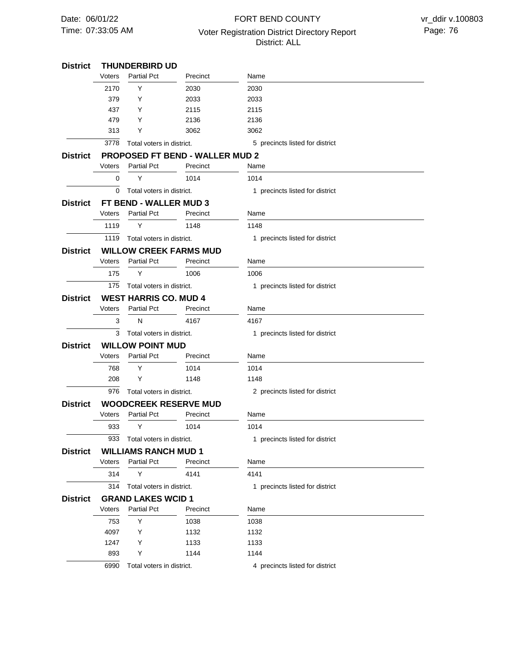# 07:33:05 AM Voter Registration District Directory Report Page: 76 FORT BEND COUNTY District: ALL

 $\overline{\phantom{0}}$ 

| <b>District</b> |                                          | <b>THUNDERBIRD UD</b>                           |              |                                 |
|-----------------|------------------------------------------|-------------------------------------------------|--------------|---------------------------------|
|                 | Voters                                   | <b>Partial Pct</b>                              | Precinct     | Name                            |
|                 | 2170                                     | Y                                               | 2030         | 2030                            |
|                 | 379                                      | Y                                               | 2033         | 2033                            |
|                 | 437                                      | Y                                               | 2115         | 2115                            |
|                 | 479                                      | Y                                               | 2136         | 2136                            |
|                 | 313                                      | Y                                               | 3062         | 3062                            |
|                 | 3778                                     | Total voters in district.                       |              | 5 precincts listed for district |
| <b>District</b> |                                          | <b>PROPOSED FT BEND - WALLER MUD 2</b>          |              |                                 |
|                 | Voters                                   | <b>Partial Pct</b>                              | Precinct     | Name                            |
|                 | 0                                        | Y                                               | 1014         | 1014                            |
|                 | 0                                        | Total voters in district.                       |              | 1 precincts listed for district |
| <b>District</b> |                                          | FT BEND - WALLER MUD 3                          |              |                                 |
|                 | Voters                                   | <b>Partial Pct</b>                              | Precinct     | Name                            |
|                 | 1119                                     | Υ                                               | 1148         | 1148                            |
|                 | 1119                                     | Total voters in district.                       |              | 1 precincts listed for district |
| <b>District</b> |                                          | <b>WILLOW CREEK FARMS MUD</b>                   |              |                                 |
|                 | Voters                                   | <b>Partial Pct</b>                              | Precinct     | Name                            |
|                 | 175                                      | Y                                               | 1006         | 1006                            |
|                 | 175                                      | Total voters in district.                       |              | 1 precincts listed for district |
| <b>District</b> |                                          | <b>WEST HARRIS CO. MUD 4</b>                    |              |                                 |
|                 | Voters                                   | <b>Partial Pct</b>                              | Precinct     | Name                            |
|                 | 3                                        | N                                               | 4167         | 4167                            |
|                 | 3                                        | Total voters in district.                       |              | 1 precincts listed for district |
| <b>District</b> | <b>WILLOW POINT MUD</b>                  |                                                 |              |                                 |
|                 | <b>Partial Pct</b><br>Voters<br>Precinct |                                                 |              | Name                            |
|                 | 768                                      | Y                                               | 1014         | 1014                            |
|                 | 208                                      | Y                                               | 1148         | 1148                            |
|                 | 976                                      | Total voters in district.                       |              | 2 precincts listed for district |
| <b>District</b> |                                          | <b>WOODCREEK RESERVE MUD</b>                    |              |                                 |
|                 | Voters                                   | <b>Partial Pct</b>                              | Precinct     | Name                            |
|                 | 933                                      | Y                                               | 1014         | 1014                            |
|                 | 933                                      | Total voters in district.                       |              | 1 precincts listed for district |
| <b>District</b> |                                          | <b>WILLIAMS RANCH MUD 1</b>                     |              |                                 |
|                 | Voters                                   | <b>Partial Pct</b>                              | Precinct     | Name                            |
|                 | 314                                      | Y                                               | 4141         | 4141                            |
|                 | 314                                      | Total voters in district.                       |              | 1 precincts listed for district |
|                 |                                          |                                                 |              |                                 |
| <b>District</b> | Voters                                   | <b>GRAND LAKES WCID 1</b><br><b>Partial Pct</b> | Precinct     | Name                            |
|                 |                                          |                                                 |              |                                 |
|                 | 753<br>4097                              | Y<br>Y                                          | 1038<br>1132 | 1038<br>1132                    |
|                 |                                          |                                                 |              |                                 |
|                 | 1247                                     | Y                                               | 1133         | 1133                            |
|                 | 893                                      | Y                                               | 1144         | 1144                            |
|                 | 6990                                     | Total voters in district.                       |              | 4 precincts listed for district |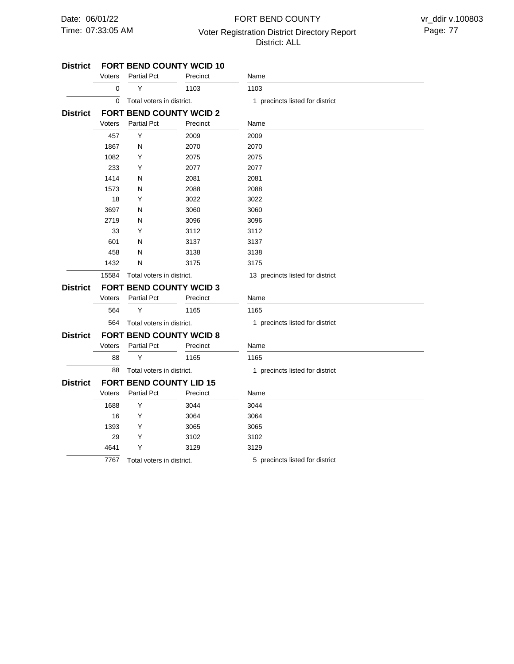# 07:33:05 AM Voter Registration District Directory Report Page: 77 FORT BEND COUNTY District: ALL

#### **FORT BEND COUNTY WCID 10 FORT BEND COUNTY WCID 2 FORT BEND COUNTY WCID 3 FORT BEND COUNTY WCID 8 FORT BEND COUNTY LID 15 District District District District District**  $\overline{\mathfrak{o}}$ 15584 Total voters in district. 564 88 7767 Total voters in district. 0 457 1867 1082 233 1414 1573 18 3697 2719 33 601 458 1432 564 88 1688 16 1393 29 4641 Voters Voters Voters Voters Voters Y Y N Y Y N N Y N N Y N N N Y Y Y Y Y Y Y Partial Pct Partial Pct Partial Pct Partial Pct Partial Pct 1103 2009 2070 2075 2077 2081 2088 3022 3060 3096 3112 3137 3138 3175 1165 1165 3044 3064 3065 3102 3129 Precinct Precinct Precinct Precinct Precinct 1103 2009 2070 2075 2077 2081 2088 3022 3060 3096 3112 3137 3138 3175 1165 1165 3044 3064 3065 3102 3129 Name Name Name Name Name Total voters in district. Total voters in district. Total voters in district. 1 precincts listed for district 13 precincts listed for district 1 precincts listed for district 1 precincts listed for district 5 precincts listed for district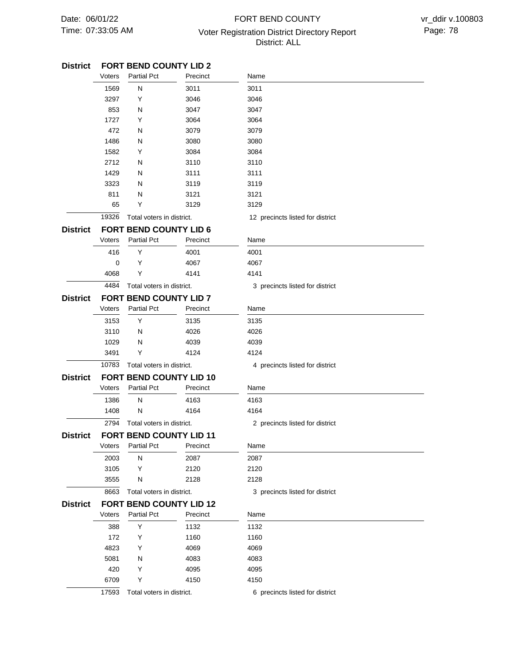# 07:33:05 AM Voter Registration District Directory Report Page: 78 FORT BEND COUNTY District: ALL

| <b>District</b> |        | FORT BEND COUNTY LID 2         |          |                                  |  |
|-----------------|--------|--------------------------------|----------|----------------------------------|--|
|                 | Voters | <b>Partial Pct</b>             | Precinct | Name                             |  |
|                 | 1569   | N                              | 3011     | 3011                             |  |
|                 | 3297   | Y                              | 3046     | 3046                             |  |
|                 | 853    | N                              | 3047     | 3047                             |  |
|                 | 1727   | Y                              | 3064     | 3064                             |  |
|                 | 472    | N                              | 3079     | 3079                             |  |
|                 | 1486   | N                              | 3080     | 3080                             |  |
|                 | 1582   | Y                              | 3084     | 3084                             |  |
|                 | 2712   | N                              | 3110     | 3110                             |  |
|                 | 1429   | N                              | 3111     | 3111                             |  |
|                 | 3323   | N                              | 3119     | 3119                             |  |
|                 | 811    | N                              | 3121     | 3121                             |  |
|                 | 65     | Y                              | 3129     | 3129                             |  |
|                 | 19326  | Total voters in district.      |          | 12 precincts listed for district |  |
| <b>District</b> |        | <b>FORT BEND COUNTY LID 6</b>  |          |                                  |  |
|                 | Voters | <b>Partial Pct</b>             | Precinct | Name                             |  |
|                 | 416    | Υ                              | 4001     | 4001                             |  |
|                 | 0      | Υ                              | 4067     | 4067                             |  |
|                 | 4068   | Υ                              | 4141     | 4141                             |  |
|                 | 4484   | Total voters in district.      |          | 3 precincts listed for district  |  |
| <b>District</b> |        | <b>FORT BEND COUNTY LID 7</b>  |          |                                  |  |
|                 | Voters | <b>Partial Pct</b>             | Precinct | Name                             |  |
|                 | 3153   | Υ                              | 3135     | 3135                             |  |
|                 | 3110   | N                              | 4026     | 4026                             |  |
|                 | 1029   | N                              | 4039     | 4039                             |  |
|                 | 3491   | Y                              | 4124     | 4124                             |  |
|                 | 10783  | Total voters in district.      |          | 4 precincts listed for district  |  |
|                 |        |                                |          |                                  |  |
| <b>District</b> |        | <b>FORT BEND COUNTY LID 10</b> |          |                                  |  |
|                 | Voters | <b>Partial Pct</b>             | Precinct | Name                             |  |
|                 | 1386   | N                              | 4163     | 4163                             |  |
|                 | 1408   | N                              | 4164     | 4164                             |  |
|                 | 2794   | Total voters in district.      |          | 2 precincts listed for district  |  |
| <b>District</b> |        | <b>FORT BEND COUNTY LID 11</b> |          |                                  |  |
|                 | Voters | <b>Partial Pct</b>             | Precinct | Name                             |  |
|                 | 2003   | N                              | 2087     | 2087                             |  |
|                 | 3105   | Y                              | 2120     | 2120                             |  |
|                 | 3555   | N                              | 2128     | 2128                             |  |
|                 | 8663   | Total voters in district.      |          | 3 precincts listed for district  |  |
| <b>District</b> |        | <b>FORT BEND COUNTY LID 12</b> |          |                                  |  |
|                 | Voters | <b>Partial Pct</b>             | Precinct | Name                             |  |
|                 | 388    | Υ                              | 1132     | 1132                             |  |
|                 | 172    | Υ                              | 1160     | 1160                             |  |
|                 | 4823   | Υ                              | 4069     | 4069                             |  |
|                 | 5081   | N                              | 4083     | 4083                             |  |
|                 | 420    | Υ                              | 4095     | 4095                             |  |
|                 | 6709   | Υ                              | 4150     | 4150                             |  |
|                 | 17593  | Total voters in district.      |          | 6 precincts listed for district  |  |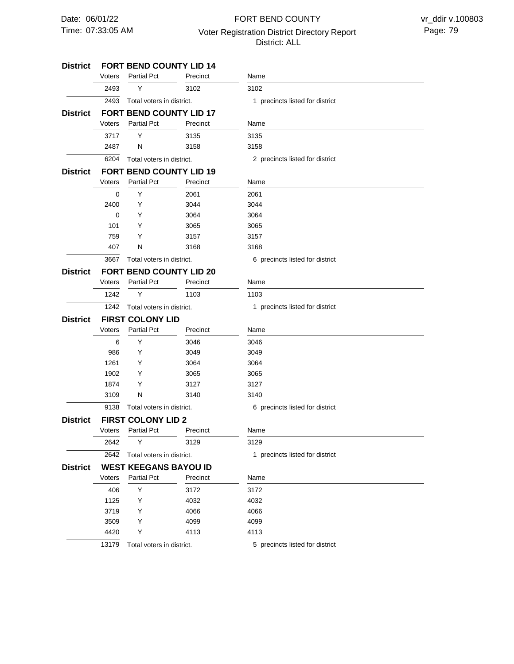# 07:33:05 AM Voter Registration District Directory Report Page: 79 FORT BEND COUNTY District: ALL

| <b>District</b> |        | <b>FORT BEND COUNTY LID 14</b> |          |                                 |
|-----------------|--------|--------------------------------|----------|---------------------------------|
|                 | Voters | <b>Partial Pct</b>             | Precinct | Name                            |
|                 | 2493   | Y                              | 3102     | 3102                            |
|                 | 2493   | Total voters in district.      |          | 1 precincts listed for district |
| <b>District</b> |        | <b>FORT BEND COUNTY LID 17</b> |          |                                 |
|                 | Voters | <b>Partial Pct</b>             | Precinct | Name                            |
|                 | 3717   | Y                              | 3135     | 3135                            |
|                 | 2487   | N                              | 3158     | 3158                            |
|                 | 6204   | Total voters in district.      |          | 2 precincts listed for district |
| <b>District</b> |        | <b>FORT BEND COUNTY LID 19</b> |          |                                 |
|                 | Voters | <b>Partial Pct</b>             | Precinct | Name                            |
|                 | 0      | Y                              | 2061     | 2061                            |
|                 | 2400   | Y                              | 3044     | 3044                            |
|                 | 0      | Y                              | 3064     | 3064                            |
|                 | 101    | Y                              | 3065     | 3065                            |
|                 | 759    | Y                              | 3157     | 3157                            |
|                 | 407    | N                              | 3168     | 3168                            |
|                 | 3667   | Total voters in district.      |          | 6 precincts listed for district |
| <b>District</b> |        | <b>FORT BEND COUNTY LID 20</b> |          |                                 |
|                 | Voters | <b>Partial Pct</b>             | Precinct | Name                            |
|                 | 1242   | Y                              | 1103     | 1103                            |
|                 | 1242   | Total voters in district.      |          | 1 precincts listed for district |
| <b>District</b> |        | <b>FIRST COLONY LID</b>        |          |                                 |
|                 | Voters | <b>Partial Pct</b>             | Precinct | Name                            |
|                 | 6      | Y                              | 3046     | 3046                            |
|                 | 986    | Y                              | 3049     | 3049                            |
|                 | 1261   | Y                              | 3064     | 3064                            |
|                 | 1902   | Y                              | 3065     | 3065                            |
|                 | 1874   | Y                              | 3127     | 3127                            |
|                 | 3109   | N                              | 3140     | 3140                            |
|                 | 9138   | Total voters in district.      |          | 6 precincts listed for district |
| <b>District</b> |        | <b>FIRST COLONY LID 2</b>      |          |                                 |
|                 |        | Voters Partial Pct             | Precinct | Name                            |
|                 | 2642   | Y                              | 3129     | 3129                            |
|                 | 2642   | Total voters in district.      |          | 1 precincts listed for district |
| <b>District</b> |        | <b>WEST KEEGANS BAYOU ID</b>   |          |                                 |
|                 | Voters | <b>Partial Pct</b>             | Precinct | Name                            |
|                 | 406    | Υ                              | 3172     | 3172                            |
|                 | 1125   | Y                              | 4032     | 4032                            |
|                 | 3719   | Y                              | 4066     | 4066                            |
|                 | 3509   | Y                              | 4099     | 4099                            |
|                 | 4420   | Υ                              | 4113     | 4113                            |
|                 | 13179  | Total voters in district.      |          | 5 precincts listed for district |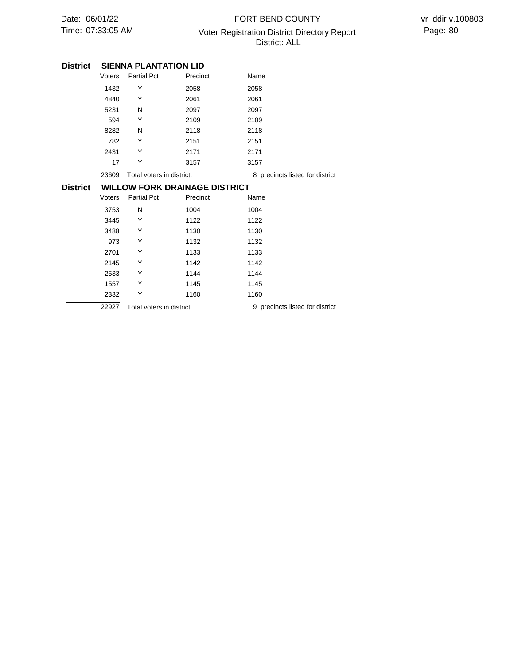# 07:33:05 AM Voter Registration District Directory Report Page: 80 FORT BEND COUNTY District: ALL

### **SIENNA PLANTATION LID District**

|                 | Voters                               | <b>Partial Pct</b>        | Precinct | Name                            |
|-----------------|--------------------------------------|---------------------------|----------|---------------------------------|
|                 | 1432                                 | Y                         | 2058     | 2058                            |
|                 | 4840                                 | Υ                         | 2061     | 2061                            |
|                 | 5231                                 | N                         | 2097     | 2097                            |
|                 | 594                                  | Υ                         | 2109     | 2109                            |
|                 | 8282                                 | N                         | 2118     | 2118                            |
|                 | 782                                  | Υ                         | 2151     | 2151                            |
|                 | 2431                                 | Y                         | 2171     | 2171                            |
|                 | 17                                   | Υ                         | 3157     | 3157                            |
|                 | 23609                                | Total voters in district. |          | 8 precincts listed for district |
| <b>District</b> | <b>WILLOW FORK DRAINAGE DISTRICT</b> |                           |          |                                 |
|                 | Voters                               | <b>Partial Pct</b>        | Precinct | Name                            |
|                 | 3753                                 | N                         | 1004     | 1004                            |
|                 | 3445                                 | Y                         | 1122     | 1122                            |
|                 | 3488                                 | Υ                         | 1130     | 1130                            |
|                 | 973                                  | Υ                         | 1132     | 1132                            |
|                 | 2701                                 | Υ                         | 1133     | 1133                            |
|                 | 2145                                 | Υ                         | 1142     | 1142                            |
|                 | 2533                                 | Y                         | 1144     | 1144                            |
|                 | 1557                                 | Υ                         | 1145     | 1145                            |
|                 | 2332                                 | Υ                         | 1160     | 1160                            |
|                 | 22927                                | Total voters in district. |          | 9 precincts listed for district |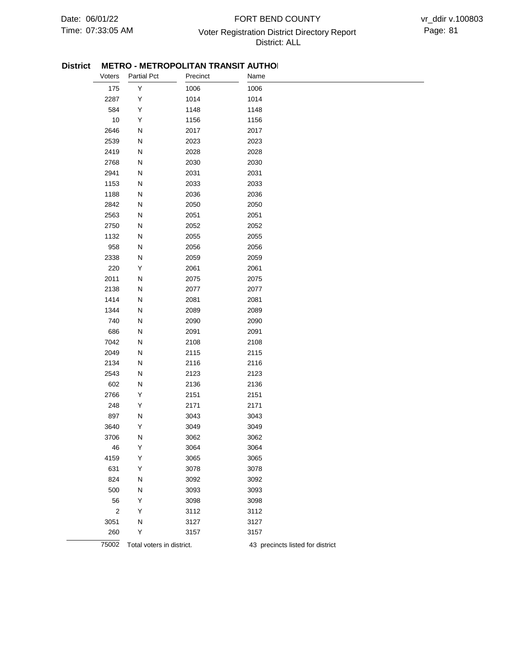## 07:33:05 AM Voter Registration District Directory Report Page: 81 FORT BEND COUNTY District: ALL

### **District METRO - METROPOLITAN TRANSIT AUTHOL**

| וטו ווסוי |                |                           |          | ישהוו אז יי                      |
|-----------|----------------|---------------------------|----------|----------------------------------|
|           | Voters         | <b>Partial Pct</b>        | Precinct | Name                             |
|           | 175            | Υ                         | 1006     | 1006                             |
|           | 2287           | Υ                         | 1014     | 1014                             |
|           | 584            | Υ                         | 1148     | 1148                             |
|           | $10$           | Υ                         | 1156     | 1156                             |
|           | 2646           | N                         | 2017     | 2017                             |
|           | 2539           | ${\sf N}$                 | 2023     | 2023                             |
|           | 2419           | ${\sf N}$                 | 2028     | 2028                             |
|           | 2768           | ${\sf N}$                 | 2030     | 2030                             |
|           | 2941           | ${\sf N}$                 | 2031     | 2031                             |
|           | 1153           | ${\sf N}$                 | 2033     | 2033                             |
|           | 1188           | Ν                         | 2036     | 2036                             |
|           | 2842           | ${\sf N}$                 | 2050     | 2050                             |
|           | 2563           | N                         | 2051     | 2051                             |
|           | 2750           | ${\sf N}$                 | 2052     | 2052                             |
|           | 1132           | ${\sf N}$                 | 2055     | 2055                             |
|           | 958            | ${\sf N}$                 | 2056     | 2056                             |
|           | 2338           | ${\sf N}$                 | 2059     | 2059                             |
|           | 220            | Υ                         | 2061     | 2061                             |
|           | 2011           | N                         | 2075     | 2075                             |
|           | 2138           | N                         | 2077     | 2077                             |
|           | 1414           | N                         | 2081     | 2081                             |
|           | 1344           | ${\sf N}$                 | 2089     | 2089                             |
|           | 740            | ${\sf N}$                 | 2090     | 2090                             |
|           | 686            | ${\sf N}$                 | 2091     | 2091                             |
|           | 7042           | ${\sf N}$                 | 2108     | 2108                             |
|           | 2049           | ${\sf N}$                 | 2115     | 2115                             |
|           | 2134           | N                         | 2116     | 2116                             |
|           | 2543           | ${\sf N}$                 | 2123     | 2123                             |
|           | 602            | ${\sf N}$                 | 2136     | 2136                             |
|           | 2766           | Υ                         | 2151     | 2151                             |
|           | 248            | Υ                         | 2171     | 2171                             |
|           | 897            | ${\sf N}$                 | 3043     | 3043                             |
|           | 3640           | Υ                         | 3049     | 3049                             |
|           | 3706           | N                         | 3062     | 3062                             |
|           | 46             | Υ                         | 3064     | 3064                             |
|           | 4159           | Υ                         | 3065     | 3065                             |
|           | 631            | Υ                         | 3078     | 3078                             |
|           | 824            | N                         | 3092     | 3092                             |
|           | 500            | N                         | 3093     | 3093                             |
|           | 56             | Υ                         | 3098     | 3098                             |
|           | $\overline{2}$ | Υ                         | 3112     | 3112                             |
|           | 3051           | N                         | 3127     | 3127                             |
|           | 260            | Y                         | 3157     | 3157                             |
|           | 75002          | Total voters in district. |          | 43 precincts listed for district |
|           |                |                           |          |                                  |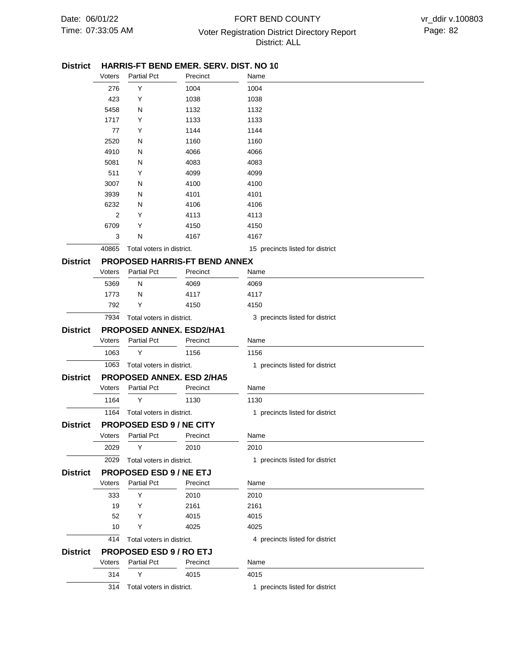## 07:33:05 AM Voter Registration District Directory Report Page: 82 FORT BEND COUNTY District: ALL

#### District HARRIS-FT BEND EMER. SERV. DIST. NO 10

|                 | Voters | <b>Partial Pct</b>              | Precinct                             | Name                             |
|-----------------|--------|---------------------------------|--------------------------------------|----------------------------------|
|                 | 276    | Y                               | 1004                                 | 1004                             |
|                 | 423    | Y                               | 1038                                 | 1038                             |
|                 | 5458   | Ν                               | 1132                                 | 1132                             |
|                 | 1717   | Y                               | 1133                                 | 1133                             |
|                 | 77     | Y                               | 1144                                 | 1144                             |
|                 | 2520   | N                               | 1160                                 | 1160                             |
|                 | 4910   | N                               | 4066                                 | 4066                             |
|                 | 5081   | N                               | 4083                                 | 4083                             |
|                 | 511    | Y                               | 4099                                 | 4099                             |
|                 | 3007   | N                               | 4100                                 | 4100                             |
|                 | 3939   | Ν                               | 4101                                 | 4101                             |
|                 | 6232   | Ν                               | 4106                                 | 4106                             |
|                 | 2      | Y                               | 4113                                 | 4113                             |
|                 | 6709   | Y                               | 4150                                 | 4150                             |
|                 | 3      | Ν                               | 4167                                 | 4167                             |
|                 | 40865  | Total voters in district.       |                                      | 15 precincts listed for district |
| <b>District</b> |        |                                 | <b>PROPOSED HARRIS-FT BEND ANNEX</b> |                                  |
|                 | Voters | <b>Partial Pct</b>              | Precinct                             | Name                             |
|                 | 5369   | N                               | 4069                                 | 4069                             |
|                 | 1773   | N                               | 4117                                 | 4117                             |
|                 | 792    | Y                               | 4150                                 | 4150                             |
|                 | 7934   | Total voters in district.       |                                      | 3 precincts listed for district  |
| <b>District</b> |        |                                 | <b>PROPOSED ANNEX. ESD2/HA1</b>      |                                  |
|                 | Voters | <b>Partial Pct</b>              | Precinct                             | Name                             |
|                 | 1063   | Y                               | 1156                                 | 1156                             |
|                 | 1063   | Total voters in district.       |                                      | 1 precincts listed for district  |
| <b>District</b> |        |                                 | PROPOSED ANNEX. ESD 2/HA5            |                                  |
|                 | Voters | <b>Partial Pct</b>              | Precinct                             | Name                             |
|                 | 1164   | Y                               | 1130                                 | 1130                             |
|                 | 1164   | Total voters in district.       |                                      | 1 precincts listed for district  |
| <b>District</b> |        | <b>PROPOSED ESD 9 / NE CITY</b> |                                      |                                  |
|                 | Voters | <b>Partial Pct</b>              | Precinct                             | Name                             |
|                 | 2029   | Y                               | 2010                                 | 2010                             |
|                 | 2029   | Total voters in district.       |                                      | 1 precincts listed for district  |
| <b>District</b> |        | <b>PROPOSED ESD 9 / NE ETJ</b>  |                                      |                                  |
|                 | Voters | <b>Partial Pct</b>              | Precinct                             | Name                             |
|                 | 333    | Y                               | 2010                                 | 2010                             |
|                 | 19     | Y                               | 2161                                 | 2161                             |
|                 | 52     | Y                               | 4015                                 | 4015                             |
|                 | 10     | Y                               | 4025                                 | 4025                             |
|                 | 414    | Total voters in district.       |                                      | 4 precincts listed for district  |
| <b>District</b> |        | <b>PROPOSED ESD 9 / RO ETJ</b>  |                                      |                                  |
|                 | Voters | <b>Partial Pct</b>              | Precinct                             | Name                             |
|                 | 314    | Y                               | 4015                                 | 4015                             |
|                 | 314    | Total voters in district.       |                                      | 1 precincts listed for district  |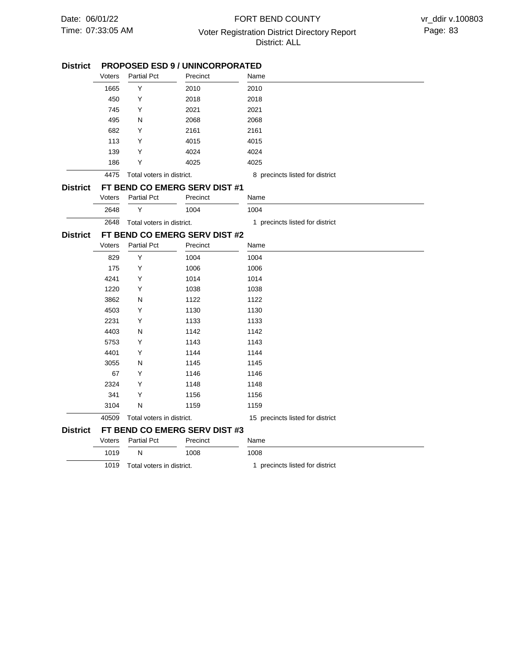# 07:33:05 AM Voter Registration District Directory Report Page: 83 FORT BEND COUNTY District: ALL

# **PROPOSED ESD 9 / UNINCORPORATED District**

|                 | Voters                        | <b>Partial Pct</b>        | Precinct                      | Name                             |  |  |
|-----------------|-------------------------------|---------------------------|-------------------------------|----------------------------------|--|--|
|                 | 1665                          | Υ                         | 2010                          | 2010                             |  |  |
|                 | 450                           | Υ                         | 2018                          | 2018                             |  |  |
|                 | 745                           | Y                         | 2021                          | 2021                             |  |  |
|                 | 495                           | N                         | 2068                          | 2068                             |  |  |
|                 | 682                           | Υ                         | 2161                          | 2161                             |  |  |
|                 | 113                           | Υ                         | 4015                          | 4015                             |  |  |
|                 | 139                           | Υ                         | 4024                          | 4024                             |  |  |
|                 | 186                           | Υ                         | 4025                          | 4025                             |  |  |
|                 | 4475                          | Total voters in district. |                               | 8 precincts listed for district  |  |  |
| <b>District</b> | FT BEND CO EMERG SERV DIST #1 |                           |                               |                                  |  |  |
|                 | Voters                        | Partial Pct               | Precinct                      | Name                             |  |  |
|                 | 2648                          | Y                         | 1004                          | 1004                             |  |  |
|                 | 2648                          | Total voters in district. |                               | 1 precincts listed for district  |  |  |
| <b>District</b> | FT BEND CO EMERG SERV DIST #2 |                           |                               |                                  |  |  |
|                 | Voters                        | Partial Pct               | Precinct                      | Name                             |  |  |
|                 | 829                           | Υ                         | 1004                          | 1004                             |  |  |
|                 | 175                           | Υ                         | 1006                          | 1006                             |  |  |
|                 | 4241                          | Y                         | 1014                          | 1014                             |  |  |
|                 | 1220                          | Y                         | 1038                          | 1038                             |  |  |
|                 | 3862                          | Ν                         | 1122                          | 1122                             |  |  |
|                 | 4503                          | Υ                         | 1130                          | 1130                             |  |  |
|                 | 2231                          | Υ                         | 1133                          | 1133                             |  |  |
|                 | 4403                          | N                         | 1142                          | 1142                             |  |  |
|                 | 5753                          | Υ                         | 1143                          | 1143                             |  |  |
|                 | 4401                          | Υ                         | 1144                          | 1144                             |  |  |
|                 | 3055                          | N                         | 1145                          | 1145                             |  |  |
|                 | 67                            | Υ                         | 1146                          | 1146                             |  |  |
|                 | 2324                          | Υ                         | 1148                          | 1148                             |  |  |
|                 | 341                           | Υ                         | 1156                          | 1156                             |  |  |
|                 | 3104                          | N                         | 1159                          | 1159                             |  |  |
|                 | 40509                         | Total voters in district. |                               | 15 precincts listed for district |  |  |
| <b>District</b> |                               |                           | FT BEND CO EMERG SERV DIST #3 |                                  |  |  |
|                 | Voters                        | <b>Partial Pct</b>        | Precinct                      | Name                             |  |  |
|                 | 1019                          | N                         | 1008                          | 1008                             |  |  |
|                 | 1019                          | Total voters in district. |                               | 1 precincts listed for district  |  |  |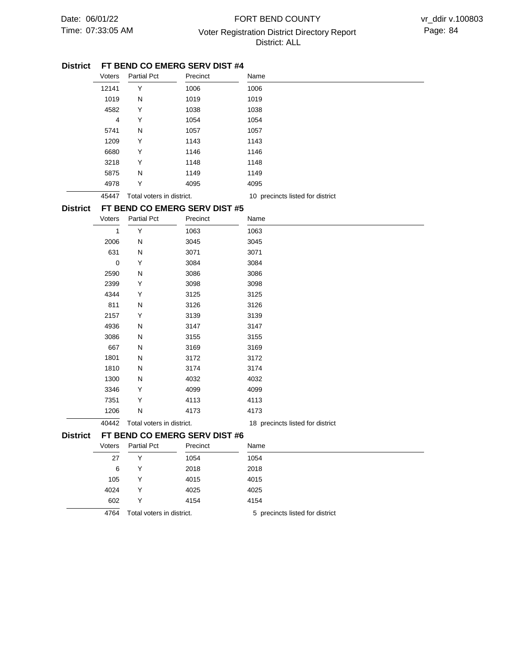# 07:33:05 AM Voter Registration District Directory Report Page: 84 FORT BEND COUNTY District: ALL

#### **FT BEND CO EMERG SERV DIST #4 District**

|                 | Voters      | <b>Partial Pct</b>          | Precinct                      | Name                             |  |
|-----------------|-------------|-----------------------------|-------------------------------|----------------------------------|--|
|                 | 12141       | Υ                           | 1006                          | 1006                             |  |
|                 | 1019        | N                           | 1019                          | 1019                             |  |
|                 | 4582        | Υ                           | 1038                          | 1038                             |  |
|                 | 4           | Υ                           | 1054                          | 1054                             |  |
|                 | 5741        | N                           | 1057                          | 1057                             |  |
|                 | 1209        | Υ                           | 1143                          | 1143                             |  |
|                 | 6680        | Υ                           | 1146                          | 1146                             |  |
|                 | 3218        | Y                           | 1148                          | 1148                             |  |
|                 | 5875        | N                           | 1149                          | 1149                             |  |
|                 | 4978        | Υ                           | 4095                          | 4095                             |  |
|                 | 45447       | Total voters in district.   |                               | 10 precincts listed for district |  |
| <b>District</b> |             |                             | FT BEND CO EMERG SERV DIST #5 |                                  |  |
|                 | Voters      | <b>Partial Pct</b>          | Precinct                      | Name                             |  |
|                 | 1           | Υ                           | 1063                          | 1063                             |  |
|                 | 2006        | N                           | 3045                          | 3045                             |  |
|                 | 631         | N                           | 3071                          | 3071                             |  |
|                 | $\mathbf 0$ | Y                           | 3084                          | 3084                             |  |
|                 | 2590        | N                           | 3086                          | 3086                             |  |
|                 | 2399        | Υ                           | 3098                          | 3098                             |  |
|                 | 4344        | Υ                           | 3125                          | 3125                             |  |
|                 | 811         | N                           | 3126                          | 3126                             |  |
|                 | 2157        | Υ                           | 3139                          | 3139                             |  |
|                 | 4936        | N                           | 3147                          | 3147                             |  |
|                 | 3086        | N                           | 3155                          | 3155                             |  |
|                 | 667         | N                           | 3169                          | 3169                             |  |
|                 | 1801        | N                           | 3172                          | 3172                             |  |
|                 | 1810        | N                           | 3174                          | 3174                             |  |
|                 | 1300        | N                           | 4032                          | 4032                             |  |
|                 | 3346        | Υ                           | 4099                          | 4099                             |  |
|                 | 7351        | Υ                           | 4113                          | 4113                             |  |
|                 | 1206        | N                           | 4173                          | 4173                             |  |
|                 | 40442       | Total voters in district.   |                               | 18 precincts listed for district |  |
| <b>District</b> |             |                             | FT BEND CO EMERG SERV DIST #6 |                                  |  |
|                 |             | Voters Partial Pct Precinct |                               | Name                             |  |
|                 | 27          | Υ                           | 1054                          | 1054                             |  |
|                 | 6           | Υ                           | 2018                          | 2018                             |  |
|                 | 105         | Y                           | 4015                          | 4015                             |  |
|                 | 4024        | Υ                           | 4025                          | 4025                             |  |
|                 | 602         | Υ                           | 4154                          | 4154                             |  |
|                 | 4764        | Total voters in district.   |                               | 5 precincts listed for district  |  |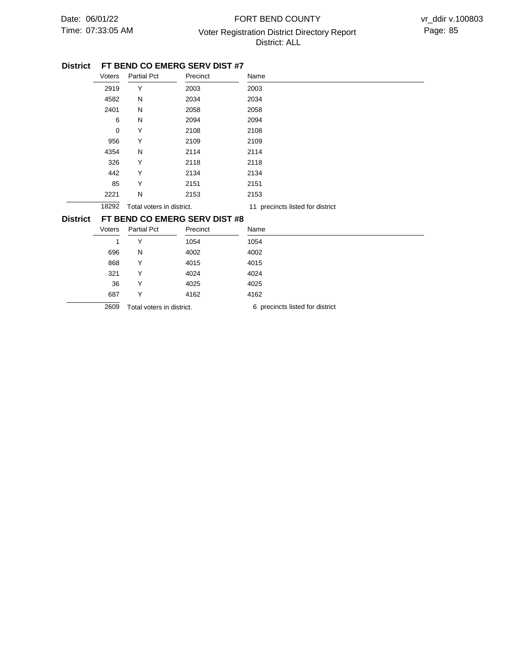# 07:33:05 AM Voter Registration District Directory Report Page: 85 FORT BEND COUNTY District: ALL

#### **FT BEND CO EMERG SERV DIST #7 District**

|                 | Voters                        | Partial Pct               | Precinct | Name                             |  |
|-----------------|-------------------------------|---------------------------|----------|----------------------------------|--|
|                 | 2919                          | Y                         | 2003     | 2003                             |  |
|                 | 4582                          | N                         | 2034     | 2034                             |  |
|                 | 2401                          | N                         | 2058     | 2058                             |  |
|                 | 6                             | N                         | 2094     | 2094                             |  |
|                 | 0                             | Υ                         | 2108     | 2108                             |  |
|                 | 956                           | Υ                         | 2109     | 2109                             |  |
|                 | 4354                          | N                         | 2114     | 2114                             |  |
|                 | 326                           | Υ                         | 2118     | 2118                             |  |
|                 | 442                           | Υ                         | 2134     | 2134                             |  |
|                 | 85                            | Υ                         | 2151     | 2151                             |  |
|                 | 2221                          | N                         | 2153     | 2153                             |  |
|                 | 18292                         | Total voters in district. |          | 11 precincts listed for district |  |
| <b>District</b> | FT BEND CO EMERG SERV DIST #8 |                           |          |                                  |  |

| Voters | <b>Partial Pct</b>        | Precinct | Name                            |
|--------|---------------------------|----------|---------------------------------|
| 1      | v                         | 1054     | 1054                            |
| 696    | N                         | 4002     | 4002                            |
| 868    | v                         | 4015     | 4015                            |
| 321    | v                         | 4024     | 4024                            |
| 36     | v                         | 4025     | 4025                            |
| 687    | v                         | 4162     | 4162                            |
| 2609   | Total voters in district. |          | 6 precincts listed for district |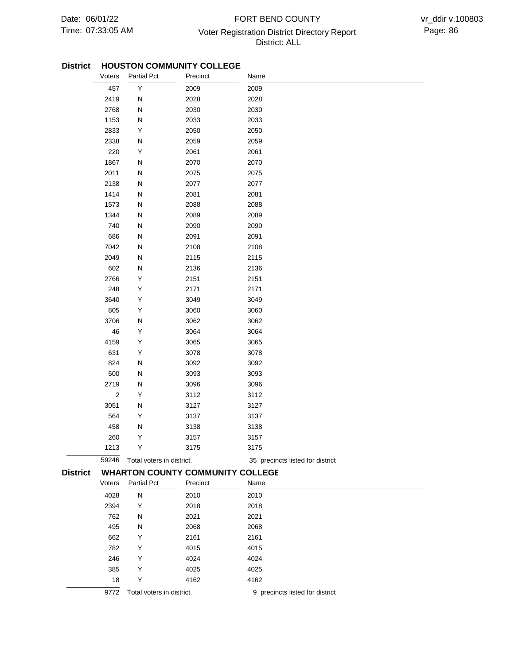# 07:33:05 AM Voter Registration District Directory Report Page: 86 FORT BEND COUNTY District: ALL

### District HOUSTON COMMUNITY COLLEGE

| Voters<br><b>Partial Pct</b>                               | Precinct     | Name                             |
|------------------------------------------------------------|--------------|----------------------------------|
| Υ<br>457                                                   | 2009         | 2009                             |
| 2419<br>N                                                  | 2028         | 2028                             |
| 2768<br>N                                                  | 2030         | 2030                             |
| 1153<br>N                                                  | 2033         | 2033                             |
| 2833<br>Υ                                                  | 2050         | 2050                             |
| 2338<br>N                                                  | 2059         | 2059                             |
| 220<br>Υ                                                   | 2061         | 2061                             |
| 1867<br>N                                                  | 2070         | 2070                             |
| 2011<br>N                                                  | 2075         | 2075                             |
| 2138<br>N                                                  | 2077         | 2077                             |
| 1414<br>N                                                  | 2081         | 2081                             |
| ${\sf N}$<br>1573                                          | 2088         | 2088                             |
| 1344<br>N                                                  | 2089         | 2089                             |
| 740<br>N                                                   | 2090         | 2090                             |
| 686<br>N                                                   | 2091         | 2091                             |
| 7042<br>N                                                  | 2108         | 2108                             |
| 2049<br>N                                                  | 2115         | 2115                             |
| 602<br>N                                                   | 2136         | 2136                             |
| 2766<br>Υ                                                  | 2151         | 2151                             |
| 248<br>Υ                                                   | 2171         | 2171                             |
| Υ<br>3640                                                  | 3049         | 3049                             |
| 805<br>Υ                                                   | 3060         | 3060                             |
| 3706<br>N                                                  | 3062         | 3062                             |
| 46<br>Υ                                                    | 3064         | 3064                             |
| 4159<br>Υ                                                  | 3065         | 3065                             |
| 631<br>Υ                                                   | 3078         | 3078                             |
| 824<br>N                                                   | 3092         | 3092                             |
| 500<br>N                                                   | 3093         | 3093                             |
| 2719<br>N                                                  | 3096         | 3096                             |
| $\boldsymbol{2}$<br>Υ                                      | 3112         | 3112                             |
| 3051<br>N                                                  | 3127         | 3127                             |
| 564<br>Υ                                                   | 3137         | 3137                             |
| 458<br>N                                                   | 3138         | 3138                             |
| 260<br>Υ                                                   | 3157         | 3157                             |
| 1213<br>Y                                                  | 3175         | 3175                             |
| 59246<br>Total voters in district.                         |              | 35 precincts listed for district |
| <b>District</b><br><b>WHARTON COUNTY COMMUNITY COLLEGE</b> |              |                                  |
| Partial Pct<br>Voters                                      | Precinct     | Name                             |
| 4028<br>Ν                                                  | 2010         | 2010                             |
| 2394<br>Y                                                  | 2018         | 2018                             |
| 762<br>N                                                   | 2021         | 2021                             |
| 495<br>N                                                   | 2068         | 2068                             |
| 662<br>Y                                                   | 2161         | 2161                             |
| 782<br>Y                                                   | 4015         | 4015                             |
| 246<br>Y                                                   |              |                                  |
| 385<br>Υ                                                   |              |                                  |
|                                                            | 4024         | 4024                             |
| 18<br>Υ                                                    | 4025<br>4162 | 4025<br>4162                     |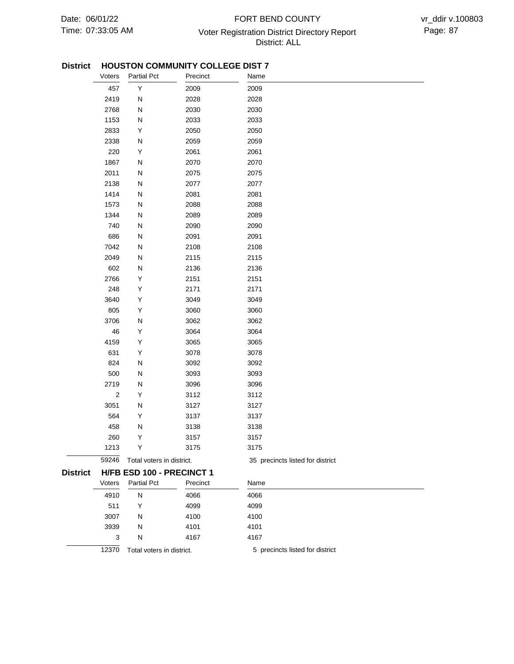# 07:33:05 AM Voter Registration District Directory Report Page: 87 FORT BEND COUNTY District: ALL

### **HOUSTON COMMUNITY COLLEGE DIST 7 District**

|                 | Voters     | <b>Partial Pct</b>               | Precinct | Name                             |  |
|-----------------|------------|----------------------------------|----------|----------------------------------|--|
|                 | 457        | Υ                                | 2009     | 2009                             |  |
|                 | 2419       | N                                | 2028     | 2028                             |  |
|                 | 2768       | N                                | 2030     | 2030                             |  |
|                 | 1153       | N                                | 2033     | 2033                             |  |
|                 | 2833       | Υ                                | 2050     | 2050                             |  |
|                 | 2338       | N                                | 2059     | 2059                             |  |
|                 | 220        | Υ                                | 2061     | 2061                             |  |
|                 | 1867       | N                                | 2070     | 2070                             |  |
|                 | 2011       | ${\sf N}$                        | 2075     | 2075                             |  |
|                 | 2138       | ${\sf N}$                        | 2077     | 2077                             |  |
|                 | 1414       | ${\sf N}$                        | 2081     | 2081                             |  |
|                 | 1573       | N                                | 2088     | 2088                             |  |
|                 | 1344       | N                                | 2089     | 2089                             |  |
|                 | 740        | N                                | 2090     | 2090                             |  |
|                 | 686        | N                                | 2091     | 2091                             |  |
|                 | 7042       | N                                | 2108     | 2108                             |  |
|                 | 2049       | N                                | 2115     | 2115                             |  |
|                 | 602        | N                                | 2136     | 2136                             |  |
|                 | 2766       | Υ                                | 2151     | 2151                             |  |
|                 | 248        | Υ                                | 2171     | 2171                             |  |
|                 | 3640       | Υ                                | 3049     | 3049                             |  |
|                 | 805        | Υ                                | 3060     | 3060                             |  |
|                 | 3706       | N                                | 3062     | 3062                             |  |
|                 | 46         | Υ                                | 3064     | 3064                             |  |
|                 | 4159       | Υ                                | 3065     | 3065                             |  |
|                 | 631        | Υ                                | 3078     | 3078                             |  |
|                 | 824        | N                                | 3092     | 3092                             |  |
|                 | 500        | ${\sf N}$                        | 3093     | 3093                             |  |
|                 | 2719       | ${\sf N}$                        | 3096     | 3096                             |  |
|                 | $\sqrt{2}$ | Υ                                | 3112     | 3112                             |  |
|                 | 3051       | N                                | 3127     | 3127                             |  |
|                 | 564        | Υ                                | 3137     | 3137                             |  |
|                 | 458        | N                                | 3138     | 3138                             |  |
|                 | 260        | Υ                                | 3157     | 3157                             |  |
|                 | 1213       | Y                                | 3175     | 3175                             |  |
|                 | 59246      | Total voters in district.        |          | 35 precincts listed for district |  |
| <b>District</b> |            | <b>H/FB ESD 100 - PRECINCT 1</b> |          |                                  |  |
|                 | Voters     | <b>Partial Pct</b>               | Precinct | Name                             |  |
|                 | 4910       | N                                | 4066     | 4066                             |  |
|                 | 511        | Y                                | 4099     | 4099                             |  |
|                 | 3007       | N                                | 4100     | 4100                             |  |
|                 | 3939       | N                                | 4101     | 4101                             |  |
|                 | 3          | N                                | 4167     | 4167                             |  |
|                 | 12370      | Total voters in district.        |          | 5 precincts listed for district  |  |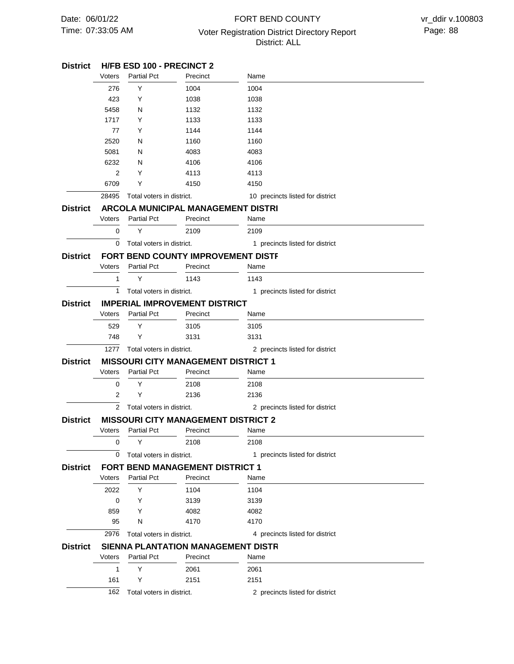# 07:33:05 AM Voter Registration District Directory Report Page: 88 FORT BEND COUNTY District: ALL

| <b>District</b> |                                            | <b>H/FB ESD 100 - PRECINCT 2</b> |                                                  |                                  |  |  |  |
|-----------------|--------------------------------------------|----------------------------------|--------------------------------------------------|----------------------------------|--|--|--|
|                 | Voters                                     | <b>Partial Pct</b>               | Precinct                                         | Name                             |  |  |  |
|                 | 276                                        | Y                                | 1004                                             | 1004                             |  |  |  |
|                 | 423                                        | Y                                | 1038                                             | 1038                             |  |  |  |
|                 | 5458                                       | N                                | 1132                                             | 1132                             |  |  |  |
|                 | 1717                                       | Y                                | 1133                                             | 1133                             |  |  |  |
|                 | 77                                         | Y                                | 1144                                             | 1144                             |  |  |  |
|                 | 2520                                       | N                                | 1160                                             | 1160                             |  |  |  |
|                 | 5081                                       | N                                | 4083                                             | 4083                             |  |  |  |
|                 | 6232                                       | N                                | 4106                                             | 4106                             |  |  |  |
|                 | 2                                          | Y                                | 4113                                             | 4113                             |  |  |  |
|                 | 6709                                       | Y                                | 4150                                             | 4150                             |  |  |  |
|                 | 28495                                      | Total voters in district.        |                                                  | 10 precincts listed for district |  |  |  |
| <b>District</b> |                                            |                                  | ARCOLA MUNICIPAL MANAGEMENT DISTRI               |                                  |  |  |  |
|                 | Voters                                     | <b>Partial Pct</b>               | Precinct                                         | Name                             |  |  |  |
|                 | 0                                          | Υ                                | 2109                                             | 2109                             |  |  |  |
|                 | 0                                          | Total voters in district.        |                                                  | 1 precincts listed for district  |  |  |  |
| <b>District</b> |                                            |                                  | FORT BEND COUNTY IMPROVEMENT DISTF               |                                  |  |  |  |
|                 | Voters                                     | <b>Partial Pct</b>               | Precinct                                         | Name                             |  |  |  |
|                 | 1                                          | Υ                                | 1143                                             | 1143                             |  |  |  |
|                 | 1                                          | Total voters in district.        |                                                  | 1 precincts listed for district  |  |  |  |
|                 |                                            |                                  |                                                  |                                  |  |  |  |
| <b>District</b> | Voters                                     | <b>Partial Pct</b>               | <b>IMPERIAL IMPROVEMENT DISTRICT</b><br>Precinct | Name                             |  |  |  |
|                 |                                            |                                  |                                                  |                                  |  |  |  |
|                 | 529                                        | Y                                | 3105                                             | 3105                             |  |  |  |
|                 | 748                                        | Y                                | 3131                                             | 3131                             |  |  |  |
|                 | 1277                                       | Total voters in district.        |                                                  | 2 precincts listed for district  |  |  |  |
| <b>District</b> | <b>MISSOURI CITY MANAGEMENT DISTRICT 1</b> |                                  |                                                  |                                  |  |  |  |
|                 | Voters                                     | <b>Partial Pct</b>               | Precinct                                         | Name                             |  |  |  |
|                 | 0                                          | Y                                | 2108                                             | 2108                             |  |  |  |
|                 | 2                                          | Y                                | 2136                                             | 2136                             |  |  |  |
|                 | 2                                          | Total voters in district.        |                                                  | 2 precincts listed for district  |  |  |  |
| <b>District</b> |                                            |                                  | <b>MISSOURI CITY MANAGEMENT DISTRICT 2</b>       |                                  |  |  |  |
|                 | Voters                                     | <b>Partial Pct</b>               | Precinct                                         | Name                             |  |  |  |
|                 | 0                                          | Y                                | 2108                                             | 2108                             |  |  |  |
|                 | 0                                          | Total voters in district.        |                                                  | 1 precincts listed for district  |  |  |  |
| <b>District</b> |                                            |                                  | <b>FORT BEND MANAGEMENT DISTRICT 1</b>           |                                  |  |  |  |
|                 | Voters                                     | <b>Partial Pct</b>               | Precinct                                         | Name                             |  |  |  |
|                 | 2022                                       | Y                                | 1104                                             | 1104                             |  |  |  |
|                 | 0                                          | Y                                | 3139                                             | 3139                             |  |  |  |
|                 | 859                                        | Y                                | 4082                                             | 4082                             |  |  |  |
|                 | 95                                         | N                                | 4170                                             | 4170                             |  |  |  |
|                 | 2976                                       | Total voters in district.        |                                                  | 4 precincts listed for district  |  |  |  |
| <b>District</b> |                                            |                                  | <b>SIENNA PLANTATION MANAGEMENT DISTR</b>        |                                  |  |  |  |
|                 | Voters                                     | <b>Partial Pct</b>               | Precinct                                         | Name                             |  |  |  |
|                 | 1                                          | Y                                | 2061                                             | 2061                             |  |  |  |
|                 | 161                                        | Y                                | 2151                                             | 2151                             |  |  |  |
|                 |                                            |                                  |                                                  |                                  |  |  |  |
|                 | 162                                        | Total voters in district.        |                                                  | 2 precincts listed for district  |  |  |  |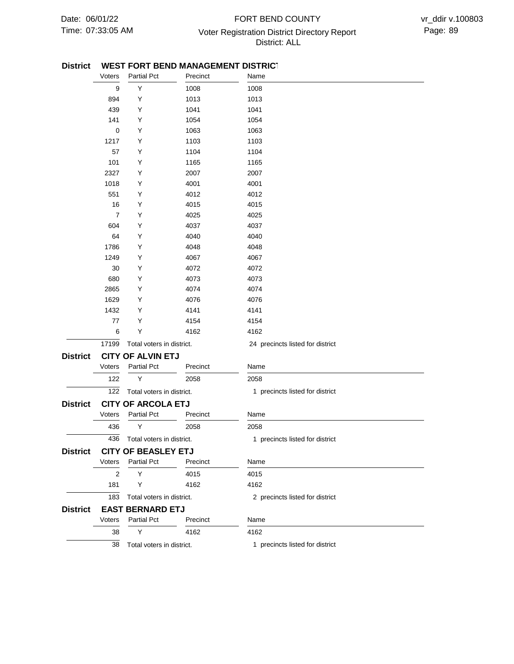## 07:33:05 AM Voter Registration District Directory Report Page: 89 FORT BEND COUNTY District: ALL

#### **WEST FORT BEND MANAGEMENT DISTRICT District**

|                 | Voters                    | <b>Partial Pct</b>         | Precinct | Name                             |
|-----------------|---------------------------|----------------------------|----------|----------------------------------|
|                 | 9                         | Υ                          | 1008     | 1008                             |
|                 | 894                       | Υ                          | 1013     | 1013                             |
|                 | 439                       | Υ                          | 1041     | 1041                             |
|                 | 141                       | Υ                          | 1054     | 1054                             |
|                 | 0                         | Υ                          | 1063     | 1063                             |
|                 | 1217                      | Υ                          | 1103     | 1103                             |
|                 | 57                        | Υ                          | 1104     | 1104                             |
|                 | 101                       | Υ                          | 1165     | 1165                             |
|                 | 2327                      | Υ                          | 2007     | 2007                             |
|                 | 1018                      | Υ                          | 4001     | 4001                             |
|                 | 551                       | Υ                          | 4012     | 4012                             |
|                 | 16                        | Υ                          | 4015     | 4015                             |
|                 | $\overline{7}$            | Υ                          | 4025     | 4025                             |
|                 | 604                       | Υ                          | 4037     | 4037                             |
|                 | 64                        | Υ                          | 4040     | 4040                             |
|                 | 1786                      | Y                          | 4048     | 4048                             |
|                 | 1249                      | Υ                          | 4067     | 4067                             |
|                 | 30                        | Υ                          | 4072     | 4072                             |
|                 | 680                       | Υ                          | 4073     | 4073                             |
|                 | 2865                      | Υ                          | 4074     | 4074                             |
|                 | 1629                      | Υ                          | 4076     | 4076                             |
|                 | 1432                      | Υ                          | 4141     | 4141                             |
|                 | 77                        | Υ                          | 4154     | 4154                             |
|                 | 6                         | Υ                          | 4162     | 4162                             |
|                 | 17199                     | Total voters in district.  |          | 24 precincts listed for district |
| <b>District</b> |                           | <b>CITY OF ALVIN ETJ</b>   |          |                                  |
|                 | Voters                    | <b>Partial Pct</b>         | Precinct | Name                             |
|                 | 122                       | Υ                          | 2058     | 2058                             |
|                 | 122                       | Total voters in district.  |          | 1 precincts listed for district  |
| <b>District</b> | <b>CITY OF ARCOLA ETJ</b> |                            |          |                                  |
|                 | Voters                    | <b>Partial Pct</b>         | Precinct | Name                             |
|                 | 436                       | Υ                          | 2058     | 2058                             |
|                 | 436                       | Total voters in district.  |          | 1 precincts listed for district  |
| <b>District</b> |                           | <b>CITY OF BEASLEY ETJ</b> |          |                                  |
|                 | Voters                    | <b>Partial Pct</b>         | Precinct | Name                             |
|                 | 2                         | Y                          | 4015     | 4015                             |
|                 | 181                       | Y                          | 4162     | 4162                             |
|                 | 183                       | Total voters in district.  |          | 2 precincts listed for district  |
| <b>District</b> |                           | <b>EAST BERNARD ETJ</b>    |          |                                  |
|                 | Voters                    | <b>Partial Pct</b>         | Precinct | Name                             |
|                 | 38                        | Y                          | 4162     | 4162                             |
|                 | 38                        | Total voters in district.  |          | 1 precincts listed for district  |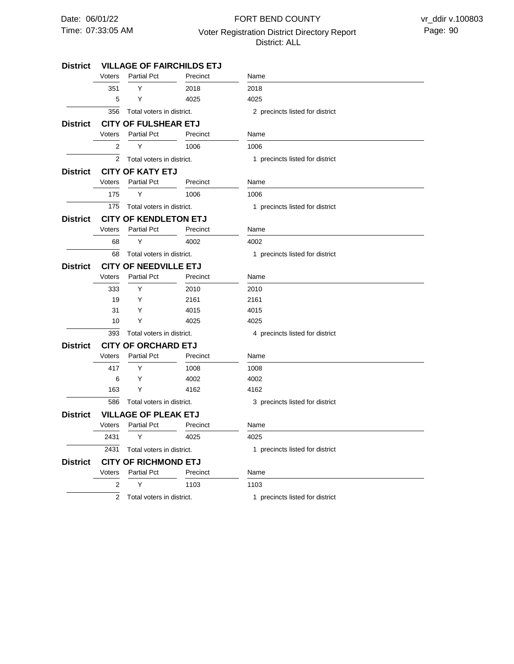# 07:33:05 AM Voter Registration District Directory Report Page: 90 FORT BEND COUNTY District: ALL

| <b>District</b> |                              | <b>VILLAGE OF FAIRCHILDS ETJ</b> |          |                                 |
|-----------------|------------------------------|----------------------------------|----------|---------------------------------|
|                 | Voters                       | <b>Partial Pct</b>               | Precinct | Name                            |
|                 | 351                          | Υ                                | 2018     | 2018                            |
|                 | 5                            | Υ                                | 4025     | 4025                            |
|                 | 356                          | Total voters in district.        |          | 2 precincts listed for district |
| District        |                              | <b>CITY OF FULSHEAR ETJ</b>      |          |                                 |
|                 | Voters                       | <b>Partial Pct</b>               | Precinct | Name                            |
|                 | $\overline{2}$               | Y                                | 1006     | 1006                            |
|                 | $\overline{2}$               | Total voters in district.        |          | 1 precincts listed for district |
| District        |                              | <b>CITY OF KATY ETJ</b>          |          |                                 |
|                 | Voters                       | <b>Partial Pct</b>               | Precinct | Name                            |
|                 | 175                          | Υ                                | 1006     | 1006                            |
|                 | 175                          | Total voters in district.        |          | 1 precincts listed for district |
| District        |                              | <b>CITY OF KENDLETON ETJ</b>     |          |                                 |
|                 | Voters                       | <b>Partial Pct</b>               | Precinct | Name                            |
|                 | 68                           | Y                                | 4002     | 4002                            |
|                 | 68                           | Total voters in district.        |          | 1 precincts listed for district |
| District        | <b>CITY OF NEEDVILLE ETJ</b> |                                  |          |                                 |
|                 | Voters                       | <b>Partial Pct</b>               | Precinct | Name                            |
|                 | 333                          | Υ                                | 2010     | 2010                            |
|                 | 19                           | Y                                | 2161     | 2161                            |
|                 | 31                           | Y                                | 4015     | 4015                            |
|                 | 10                           | Υ                                | 4025     | 4025                            |
|                 | 393                          | Total voters in district.        |          | 4 precincts listed for district |
| <b>District</b> | <b>CITY OF ORCHARD ETJ</b>   |                                  |          |                                 |
|                 | Voters                       | <b>Partial Pct</b>               | Precinct | Name                            |
|                 | 417                          | Y                                | 1008     | 1008                            |
|                 | 6                            | Υ                                | 4002     | 4002                            |
|                 | 163                          | Υ                                | 4162     | 4162                            |
|                 | 586                          | Total voters in district.        |          | 3 precincts listed for district |
| <b>District</b> |                              | <b>VILLAGE OF PLEAK ETJ</b>      |          |                                 |
|                 | Voters                       | <b>Partial Pct</b>               | Precinct | Name                            |
|                 | 2431                         | Υ                                | 4025     | 4025                            |
|                 | 2431                         | Total voters in district.        |          | 1 precincts listed for district |
| <b>District</b> |                              | <b>CITY OF RICHMOND ETJ</b>      |          |                                 |
|                 | Voters                       | <b>Partial Pct</b>               | Precinct | Name                            |
|                 | 2                            | Υ                                | 1103     | 1103                            |
|                 | $\overline{2}$               | Total voters in district.        |          | 1 precincts listed for district |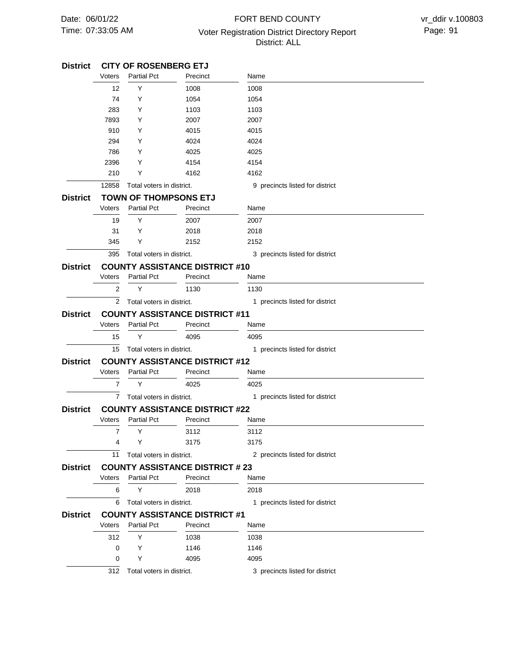# 07:33:05 AM **Page: 91** Voter Registration District Directory Report Page: 91 FORT BEND COUNTY District: ALL

| <b>District</b> | <b>CITY OF ROSENBERG ETJ</b>          |                              |                                       |                                 |  |  |
|-----------------|---------------------------------------|------------------------------|---------------------------------------|---------------------------------|--|--|
|                 | Voters                                | <b>Partial Pct</b>           | Precinct                              | Name                            |  |  |
|                 | 12                                    | Y                            | 1008                                  | 1008                            |  |  |
|                 | 74                                    | Y                            | 1054                                  | 1054                            |  |  |
|                 | 283                                   | Y                            | 1103                                  | 1103                            |  |  |
|                 | 7893                                  | Y                            | 2007                                  | 2007                            |  |  |
|                 | 910                                   | Y                            | 4015                                  | 4015                            |  |  |
|                 | 294                                   | Y                            | 4024                                  | 4024                            |  |  |
|                 | 786                                   | Y                            | 4025                                  | 4025                            |  |  |
|                 | 2396                                  | Y                            | 4154                                  | 4154                            |  |  |
|                 | 210                                   | Y                            | 4162                                  | 4162                            |  |  |
|                 | 12858                                 | Total voters in district.    |                                       | 9 precincts listed for district |  |  |
| <b>District</b> |                                       | <b>TOWN OF THOMPSONS ETJ</b> |                                       |                                 |  |  |
|                 | Voters                                | <b>Partial Pct</b>           | Precinct                              | Name                            |  |  |
|                 | 19                                    | Y                            | 2007                                  | 2007                            |  |  |
|                 | 31                                    | Y                            | 2018                                  | 2018                            |  |  |
|                 | 345                                   | Y                            | 2152                                  | 2152                            |  |  |
|                 | 395                                   | Total voters in district.    |                                       | 3 precincts listed for district |  |  |
| <b>District</b> |                                       |                              | <b>COUNTY ASSISTANCE DISTRICT #10</b> |                                 |  |  |
|                 | Voters                                | <b>Partial Pct</b>           | Precinct                              | Name                            |  |  |
|                 | 2                                     | Υ                            | 1130                                  | 1130                            |  |  |
|                 | 2                                     | Total voters in district.    |                                       | 1 precincts listed for district |  |  |
| <b>District</b> | <b>COUNTY ASSISTANCE DISTRICT #11</b> |                              |                                       |                                 |  |  |
|                 | Voters                                | <b>Partial Pct</b>           | Precinct                              | Name                            |  |  |
|                 | 15                                    | Y                            | 4095                                  | 4095                            |  |  |
|                 | 15                                    | Total voters in district.    |                                       | 1 precincts listed for district |  |  |
| <b>District</b> |                                       |                              | <b>COUNTY ASSISTANCE DISTRICT #12</b> |                                 |  |  |
|                 | Voters                                | <b>Partial Pct</b>           | Precinct                              | Name                            |  |  |
|                 | $\overline{7}$                        | Y                            | 4025                                  | 4025                            |  |  |
|                 | 7                                     | Total voters in district.    |                                       | 1 precincts listed for district |  |  |
| <b>District</b> |                                       |                              | <b>COUNTY ASSISTANCE DISTRICT #22</b> |                                 |  |  |
|                 | Voters                                | <b>Partial Pct</b>           | Precinct                              | Name                            |  |  |
|                 | $\overline{7}$                        | Y                            | 3112                                  | 3112                            |  |  |
|                 | 4                                     | Y                            | 3175                                  | 3175                            |  |  |
|                 | 11                                    | Total voters in district.    |                                       | 2 precincts listed for district |  |  |
| <b>District</b> |                                       |                              | <b>COUNTY ASSISTANCE DISTRICT #23</b> |                                 |  |  |
|                 | Voters                                | <b>Partial Pct</b>           | Precinct                              | Name                            |  |  |
|                 | 6                                     | Y                            | 2018                                  | 2018                            |  |  |
|                 |                                       |                              |                                       |                                 |  |  |
|                 | 6                                     | Total voters in district.    |                                       | 1 precincts listed for district |  |  |
| <b>District</b> |                                       |                              | <b>COUNTY ASSISTANCE DISTRICT #1</b>  |                                 |  |  |
|                 | Voters                                | <b>Partial Pct</b>           | Precinct                              | Name                            |  |  |
|                 | 312                                   | Y                            | 1038                                  | 1038                            |  |  |
|                 | 0                                     | Y                            | 1146                                  | 1146                            |  |  |
|                 | 0                                     | Y                            | 4095                                  | 4095                            |  |  |
|                 | 312                                   | Total voters in district.    |                                       | 3 precincts listed for district |  |  |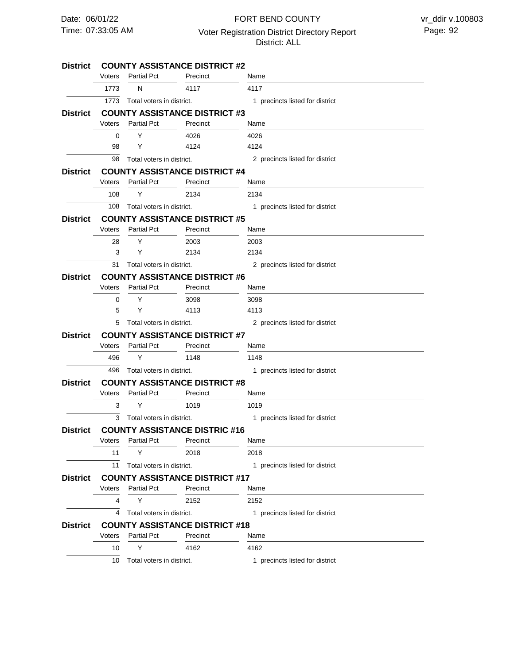#### FORT BEND COUNTY

07:33:05 AM Voter Registration District Directory Report Page: 92

### District: ALL

| <b>District</b> | <b>COUNTY ASSISTANCE DISTRICT #2</b> |                           |                                       |                                 |  |  |
|-----------------|--------------------------------------|---------------------------|---------------------------------------|---------------------------------|--|--|
|                 | Voters                               | <b>Partial Pct</b>        | Precinct                              | Name                            |  |  |
|                 | 1773                                 | N                         | 4117                                  | 4117                            |  |  |
|                 | 1773                                 | Total voters in district. |                                       | 1 precincts listed for district |  |  |
| <b>District</b> |                                      |                           | <b>COUNTY ASSISTANCE DISTRICT #3</b>  |                                 |  |  |
|                 | Voters                               | <b>Partial Pct</b>        | Precinct                              | Name                            |  |  |
|                 | 0                                    | Y                         | 4026                                  | 4026                            |  |  |
|                 | 98                                   | Y                         | 4124                                  | 4124                            |  |  |
|                 | 98                                   | Total voters in district. |                                       | 2 precincts listed for district |  |  |
| <b>District</b> |                                      |                           | <b>COUNTY ASSISTANCE DISTRICT #4</b>  |                                 |  |  |
|                 | <b>Voters</b>                        | <b>Partial Pct</b>        | Precinct                              | Name                            |  |  |
|                 | 108                                  | Y                         | 2134                                  | 2134                            |  |  |
|                 | 108                                  | Total voters in district. |                                       | 1 precincts listed for district |  |  |
| <b>District</b> |                                      |                           | <b>COUNTY ASSISTANCE DISTRICT #5</b>  |                                 |  |  |
|                 | Voters                               | <b>Partial Pct</b>        | Precinct                              | Name                            |  |  |
|                 | 28                                   | Y                         | 2003                                  | 2003                            |  |  |
|                 | 3                                    | Y                         | 2134                                  | 2134                            |  |  |
|                 | 31                                   | Total voters in district. |                                       | 2 precincts listed for district |  |  |
| <b>District</b> |                                      |                           | <b>COUNTY ASSISTANCE DISTRICT #6</b>  |                                 |  |  |
|                 | Voters                               | <b>Partial Pct</b>        | Precinct                              | Name                            |  |  |
|                 | 0                                    | Y                         | 3098                                  | 3098                            |  |  |
|                 | 5                                    | Y                         | 4113                                  | 4113                            |  |  |
|                 | 5                                    | Total voters in district. |                                       | 2 precincts listed for district |  |  |
| <b>District</b> | <b>COUNTY ASSISTANCE DISTRICT #7</b> |                           |                                       |                                 |  |  |
|                 | Voters                               | <b>Partial Pct</b>        | Precinct                              | Name                            |  |  |
|                 | 496                                  | Υ                         | 1148                                  | 1148                            |  |  |
|                 | 496                                  | Total voters in district. |                                       | 1 precincts listed for district |  |  |
| <b>District</b> | <b>COUNTY ASSISTANCE DISTRICT #8</b> |                           |                                       |                                 |  |  |
|                 | Voters                               | <b>Partial Pct</b>        | Precinct                              | Name                            |  |  |
|                 | 3                                    | Y                         | 1019                                  | 1019                            |  |  |
|                 | 3                                    | Total voters in district. |                                       | 1 precincts listed for district |  |  |
| <b>District</b> |                                      |                           | <b>COUNTY ASSISTANCE DISTRIC #16</b>  |                                 |  |  |
|                 | Voters                               | <b>Partial Pct</b>        | Precinct                              | Name                            |  |  |
|                 | 11                                   | Υ                         | 2018                                  | 2018                            |  |  |
|                 | 11                                   | Total voters in district. |                                       | 1 precincts listed for district |  |  |
| <b>District</b> |                                      |                           | <b>COUNTY ASSISTANCE DISTRICT #17</b> |                                 |  |  |
|                 | Voters                               | <b>Partial Pct</b>        | Precinct                              | Name                            |  |  |
|                 | 4                                    | Y                         | 2152                                  | 2152                            |  |  |
|                 | 4                                    | Total voters in district. |                                       | 1 precincts listed for district |  |  |
| <b>District</b> |                                      |                           | <b>COUNTY ASSISTANCE DISTRICT #18</b> |                                 |  |  |
|                 | Voters                               | <b>Partial Pct</b>        | Precinct                              | Name                            |  |  |
|                 | 10                                   | Υ                         | 4162                                  | 4162                            |  |  |
|                 | 10                                   | Total voters in district. |                                       | 1 precincts listed for district |  |  |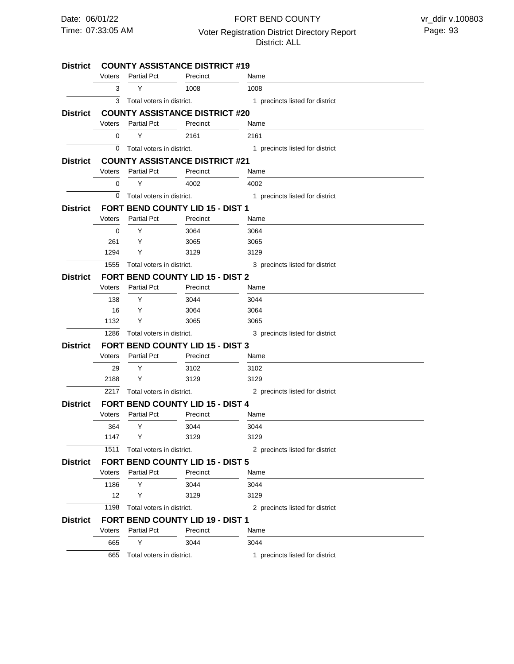#### FORT BEND COUNTY

07:33:05 AM Voter Registration District Directory Report Page: 93 District: ALL

| Voters<br><b>Partial Pct</b><br>Precinct<br>Name<br>Υ<br>1008<br>3<br>1008<br>3<br>Total voters in district.<br>1 precincts listed for district<br><b>COUNTY ASSISTANCE DISTRICT #20</b><br>Voters<br><b>Partial Pct</b><br>Precinct<br>Name<br>Y<br>0<br>2161<br>2161<br>0<br>Total voters in district.<br>1 precincts listed for district<br><b>COUNTY ASSISTANCE DISTRICT #21</b><br><b>Partial Pct</b><br>Voters<br>Precinct<br>Name<br>Y<br>0<br>4002<br>4002<br>0<br>1 precincts listed for district<br>Total voters in district.<br><b>District</b><br><b>FORT BEND COUNTY LID 15 - DIST 1</b><br>Voters<br><b>Partial Pct</b><br>Precinct<br>Name<br>Y<br>$\Omega$<br>3064<br>3064<br>261<br>Y<br>3065<br>3065<br>1294<br>Y<br>3129<br>3129<br>1555<br>Total voters in district.<br>3 precincts listed for district<br><b>FORT BEND COUNTY LID 15 - DIST 2</b><br><b>Partial Pct</b><br>Voters<br>Precinct<br>Name<br>138<br>Y<br>3044<br>3044<br>16<br>Y<br>3064<br>3064<br>1132<br>Y<br>3065<br>3065<br>1286<br>Total voters in district.<br>3 precincts listed for district<br>FORT BEND COUNTY LID 15 - DIST 3<br><b>Partial Pct</b><br>Voters<br>Precinct<br>Name<br>Υ<br>29<br>3102<br>3102<br>2188<br>Y<br>3129<br>3129<br>2217<br>Total voters in district.<br>2 precincts listed for district<br><b>FORT BEND COUNTY LID 15 - DIST 4</b><br>Voters<br><b>Partial Pct</b><br>Precinct<br>Name<br>Y<br>364<br>3044<br>3044<br>1147<br>Y<br>3129<br>3129<br>1511<br>Total voters in district.<br>2 precincts listed for district<br><b>FORT BEND COUNTY LID 15 - DIST 5</b><br><b>Partial Pct</b><br>Voters<br>Precinct<br>Name<br>Y<br>1186<br>3044<br>3044<br>$12 \overline{ }$<br>Υ<br>3129<br>3129<br>1198<br>2 precincts listed for district<br>Total voters in district.<br><b>FORT BEND COUNTY LID 19 - DIST 1</b><br>Voters<br><b>Partial Pct</b><br>Precinct<br>Name<br>Y<br>665<br>3044<br>3044<br>Total voters in district. | <b>District</b> | <b>COUNTY ASSISTANCE DISTRICT #19</b> |  |  |                                 |  |  |
|------------------------------------------------------------------------------------------------------------------------------------------------------------------------------------------------------------------------------------------------------------------------------------------------------------------------------------------------------------------------------------------------------------------------------------------------------------------------------------------------------------------------------------------------------------------------------------------------------------------------------------------------------------------------------------------------------------------------------------------------------------------------------------------------------------------------------------------------------------------------------------------------------------------------------------------------------------------------------------------------------------------------------------------------------------------------------------------------------------------------------------------------------------------------------------------------------------------------------------------------------------------------------------------------------------------------------------------------------------------------------------------------------------------------------------------------------------------------------------------------------------------------------------------------------------------------------------------------------------------------------------------------------------------------------------------------------------------------------------------------------------------------------------------------------------------------------------------------------------------------------------------------------------------------------------------------------|-----------------|---------------------------------------|--|--|---------------------------------|--|--|
|                                                                                                                                                                                                                                                                                                                                                                                                                                                                                                                                                                                                                                                                                                                                                                                                                                                                                                                                                                                                                                                                                                                                                                                                                                                                                                                                                                                                                                                                                                                                                                                                                                                                                                                                                                                                                                                                                                                                                      |                 |                                       |  |  |                                 |  |  |
|                                                                                                                                                                                                                                                                                                                                                                                                                                                                                                                                                                                                                                                                                                                                                                                                                                                                                                                                                                                                                                                                                                                                                                                                                                                                                                                                                                                                                                                                                                                                                                                                                                                                                                                                                                                                                                                                                                                                                      |                 |                                       |  |  |                                 |  |  |
|                                                                                                                                                                                                                                                                                                                                                                                                                                                                                                                                                                                                                                                                                                                                                                                                                                                                                                                                                                                                                                                                                                                                                                                                                                                                                                                                                                                                                                                                                                                                                                                                                                                                                                                                                                                                                                                                                                                                                      |                 |                                       |  |  |                                 |  |  |
|                                                                                                                                                                                                                                                                                                                                                                                                                                                                                                                                                                                                                                                                                                                                                                                                                                                                                                                                                                                                                                                                                                                                                                                                                                                                                                                                                                                                                                                                                                                                                                                                                                                                                                                                                                                                                                                                                                                                                      | <b>District</b> |                                       |  |  |                                 |  |  |
|                                                                                                                                                                                                                                                                                                                                                                                                                                                                                                                                                                                                                                                                                                                                                                                                                                                                                                                                                                                                                                                                                                                                                                                                                                                                                                                                                                                                                                                                                                                                                                                                                                                                                                                                                                                                                                                                                                                                                      |                 |                                       |  |  |                                 |  |  |
|                                                                                                                                                                                                                                                                                                                                                                                                                                                                                                                                                                                                                                                                                                                                                                                                                                                                                                                                                                                                                                                                                                                                                                                                                                                                                                                                                                                                                                                                                                                                                                                                                                                                                                                                                                                                                                                                                                                                                      |                 |                                       |  |  |                                 |  |  |
|                                                                                                                                                                                                                                                                                                                                                                                                                                                                                                                                                                                                                                                                                                                                                                                                                                                                                                                                                                                                                                                                                                                                                                                                                                                                                                                                                                                                                                                                                                                                                                                                                                                                                                                                                                                                                                                                                                                                                      |                 |                                       |  |  |                                 |  |  |
|                                                                                                                                                                                                                                                                                                                                                                                                                                                                                                                                                                                                                                                                                                                                                                                                                                                                                                                                                                                                                                                                                                                                                                                                                                                                                                                                                                                                                                                                                                                                                                                                                                                                                                                                                                                                                                                                                                                                                      | <b>District</b> |                                       |  |  |                                 |  |  |
|                                                                                                                                                                                                                                                                                                                                                                                                                                                                                                                                                                                                                                                                                                                                                                                                                                                                                                                                                                                                                                                                                                                                                                                                                                                                                                                                                                                                                                                                                                                                                                                                                                                                                                                                                                                                                                                                                                                                                      |                 |                                       |  |  |                                 |  |  |
|                                                                                                                                                                                                                                                                                                                                                                                                                                                                                                                                                                                                                                                                                                                                                                                                                                                                                                                                                                                                                                                                                                                                                                                                                                                                                                                                                                                                                                                                                                                                                                                                                                                                                                                                                                                                                                                                                                                                                      |                 |                                       |  |  |                                 |  |  |
|                                                                                                                                                                                                                                                                                                                                                                                                                                                                                                                                                                                                                                                                                                                                                                                                                                                                                                                                                                                                                                                                                                                                                                                                                                                                                                                                                                                                                                                                                                                                                                                                                                                                                                                                                                                                                                                                                                                                                      |                 |                                       |  |  |                                 |  |  |
|                                                                                                                                                                                                                                                                                                                                                                                                                                                                                                                                                                                                                                                                                                                                                                                                                                                                                                                                                                                                                                                                                                                                                                                                                                                                                                                                                                                                                                                                                                                                                                                                                                                                                                                                                                                                                                                                                                                                                      |                 |                                       |  |  |                                 |  |  |
|                                                                                                                                                                                                                                                                                                                                                                                                                                                                                                                                                                                                                                                                                                                                                                                                                                                                                                                                                                                                                                                                                                                                                                                                                                                                                                                                                                                                                                                                                                                                                                                                                                                                                                                                                                                                                                                                                                                                                      |                 |                                       |  |  |                                 |  |  |
|                                                                                                                                                                                                                                                                                                                                                                                                                                                                                                                                                                                                                                                                                                                                                                                                                                                                                                                                                                                                                                                                                                                                                                                                                                                                                                                                                                                                                                                                                                                                                                                                                                                                                                                                                                                                                                                                                                                                                      |                 |                                       |  |  |                                 |  |  |
|                                                                                                                                                                                                                                                                                                                                                                                                                                                                                                                                                                                                                                                                                                                                                                                                                                                                                                                                                                                                                                                                                                                                                                                                                                                                                                                                                                                                                                                                                                                                                                                                                                                                                                                                                                                                                                                                                                                                                      |                 |                                       |  |  |                                 |  |  |
|                                                                                                                                                                                                                                                                                                                                                                                                                                                                                                                                                                                                                                                                                                                                                                                                                                                                                                                                                                                                                                                                                                                                                                                                                                                                                                                                                                                                                                                                                                                                                                                                                                                                                                                                                                                                                                                                                                                                                      |                 |                                       |  |  |                                 |  |  |
|                                                                                                                                                                                                                                                                                                                                                                                                                                                                                                                                                                                                                                                                                                                                                                                                                                                                                                                                                                                                                                                                                                                                                                                                                                                                                                                                                                                                                                                                                                                                                                                                                                                                                                                                                                                                                                                                                                                                                      |                 |                                       |  |  |                                 |  |  |
|                                                                                                                                                                                                                                                                                                                                                                                                                                                                                                                                                                                                                                                                                                                                                                                                                                                                                                                                                                                                                                                                                                                                                                                                                                                                                                                                                                                                                                                                                                                                                                                                                                                                                                                                                                                                                                                                                                                                                      | <b>District</b> |                                       |  |  |                                 |  |  |
|                                                                                                                                                                                                                                                                                                                                                                                                                                                                                                                                                                                                                                                                                                                                                                                                                                                                                                                                                                                                                                                                                                                                                                                                                                                                                                                                                                                                                                                                                                                                                                                                                                                                                                                                                                                                                                                                                                                                                      |                 |                                       |  |  |                                 |  |  |
|                                                                                                                                                                                                                                                                                                                                                                                                                                                                                                                                                                                                                                                                                                                                                                                                                                                                                                                                                                                                                                                                                                                                                                                                                                                                                                                                                                                                                                                                                                                                                                                                                                                                                                                                                                                                                                                                                                                                                      |                 |                                       |  |  |                                 |  |  |
|                                                                                                                                                                                                                                                                                                                                                                                                                                                                                                                                                                                                                                                                                                                                                                                                                                                                                                                                                                                                                                                                                                                                                                                                                                                                                                                                                                                                                                                                                                                                                                                                                                                                                                                                                                                                                                                                                                                                                      |                 |                                       |  |  |                                 |  |  |
|                                                                                                                                                                                                                                                                                                                                                                                                                                                                                                                                                                                                                                                                                                                                                                                                                                                                                                                                                                                                                                                                                                                                                                                                                                                                                                                                                                                                                                                                                                                                                                                                                                                                                                                                                                                                                                                                                                                                                      |                 |                                       |  |  |                                 |  |  |
|                                                                                                                                                                                                                                                                                                                                                                                                                                                                                                                                                                                                                                                                                                                                                                                                                                                                                                                                                                                                                                                                                                                                                                                                                                                                                                                                                                                                                                                                                                                                                                                                                                                                                                                                                                                                                                                                                                                                                      |                 |                                       |  |  |                                 |  |  |
|                                                                                                                                                                                                                                                                                                                                                                                                                                                                                                                                                                                                                                                                                                                                                                                                                                                                                                                                                                                                                                                                                                                                                                                                                                                                                                                                                                                                                                                                                                                                                                                                                                                                                                                                                                                                                                                                                                                                                      | <b>District</b> |                                       |  |  |                                 |  |  |
|                                                                                                                                                                                                                                                                                                                                                                                                                                                                                                                                                                                                                                                                                                                                                                                                                                                                                                                                                                                                                                                                                                                                                                                                                                                                                                                                                                                                                                                                                                                                                                                                                                                                                                                                                                                                                                                                                                                                                      |                 |                                       |  |  |                                 |  |  |
|                                                                                                                                                                                                                                                                                                                                                                                                                                                                                                                                                                                                                                                                                                                                                                                                                                                                                                                                                                                                                                                                                                                                                                                                                                                                                                                                                                                                                                                                                                                                                                                                                                                                                                                                                                                                                                                                                                                                                      |                 |                                       |  |  |                                 |  |  |
|                                                                                                                                                                                                                                                                                                                                                                                                                                                                                                                                                                                                                                                                                                                                                                                                                                                                                                                                                                                                                                                                                                                                                                                                                                                                                                                                                                                                                                                                                                                                                                                                                                                                                                                                                                                                                                                                                                                                                      |                 |                                       |  |  |                                 |  |  |
|                                                                                                                                                                                                                                                                                                                                                                                                                                                                                                                                                                                                                                                                                                                                                                                                                                                                                                                                                                                                                                                                                                                                                                                                                                                                                                                                                                                                                                                                                                                                                                                                                                                                                                                                                                                                                                                                                                                                                      |                 |                                       |  |  |                                 |  |  |
|                                                                                                                                                                                                                                                                                                                                                                                                                                                                                                                                                                                                                                                                                                                                                                                                                                                                                                                                                                                                                                                                                                                                                                                                                                                                                                                                                                                                                                                                                                                                                                                                                                                                                                                                                                                                                                                                                                                                                      | <b>District</b> |                                       |  |  |                                 |  |  |
|                                                                                                                                                                                                                                                                                                                                                                                                                                                                                                                                                                                                                                                                                                                                                                                                                                                                                                                                                                                                                                                                                                                                                                                                                                                                                                                                                                                                                                                                                                                                                                                                                                                                                                                                                                                                                                                                                                                                                      |                 |                                       |  |  |                                 |  |  |
|                                                                                                                                                                                                                                                                                                                                                                                                                                                                                                                                                                                                                                                                                                                                                                                                                                                                                                                                                                                                                                                                                                                                                                                                                                                                                                                                                                                                                                                                                                                                                                                                                                                                                                                                                                                                                                                                                                                                                      |                 |                                       |  |  |                                 |  |  |
|                                                                                                                                                                                                                                                                                                                                                                                                                                                                                                                                                                                                                                                                                                                                                                                                                                                                                                                                                                                                                                                                                                                                                                                                                                                                                                                                                                                                                                                                                                                                                                                                                                                                                                                                                                                                                                                                                                                                                      |                 |                                       |  |  |                                 |  |  |
|                                                                                                                                                                                                                                                                                                                                                                                                                                                                                                                                                                                                                                                                                                                                                                                                                                                                                                                                                                                                                                                                                                                                                                                                                                                                                                                                                                                                                                                                                                                                                                                                                                                                                                                                                                                                                                                                                                                                                      |                 |                                       |  |  |                                 |  |  |
|                                                                                                                                                                                                                                                                                                                                                                                                                                                                                                                                                                                                                                                                                                                                                                                                                                                                                                                                                                                                                                                                                                                                                                                                                                                                                                                                                                                                                                                                                                                                                                                                                                                                                                                                                                                                                                                                                                                                                      | <b>District</b> |                                       |  |  |                                 |  |  |
|                                                                                                                                                                                                                                                                                                                                                                                                                                                                                                                                                                                                                                                                                                                                                                                                                                                                                                                                                                                                                                                                                                                                                                                                                                                                                                                                                                                                                                                                                                                                                                                                                                                                                                                                                                                                                                                                                                                                                      |                 |                                       |  |  |                                 |  |  |
|                                                                                                                                                                                                                                                                                                                                                                                                                                                                                                                                                                                                                                                                                                                                                                                                                                                                                                                                                                                                                                                                                                                                                                                                                                                                                                                                                                                                                                                                                                                                                                                                                                                                                                                                                                                                                                                                                                                                                      |                 |                                       |  |  |                                 |  |  |
|                                                                                                                                                                                                                                                                                                                                                                                                                                                                                                                                                                                                                                                                                                                                                                                                                                                                                                                                                                                                                                                                                                                                                                                                                                                                                                                                                                                                                                                                                                                                                                                                                                                                                                                                                                                                                                                                                                                                                      |                 |                                       |  |  |                                 |  |  |
|                                                                                                                                                                                                                                                                                                                                                                                                                                                                                                                                                                                                                                                                                                                                                                                                                                                                                                                                                                                                                                                                                                                                                                                                                                                                                                                                                                                                                                                                                                                                                                                                                                                                                                                                                                                                                                                                                                                                                      |                 |                                       |  |  |                                 |  |  |
|                                                                                                                                                                                                                                                                                                                                                                                                                                                                                                                                                                                                                                                                                                                                                                                                                                                                                                                                                                                                                                                                                                                                                                                                                                                                                                                                                                                                                                                                                                                                                                                                                                                                                                                                                                                                                                                                                                                                                      | <b>District</b> |                                       |  |  |                                 |  |  |
|                                                                                                                                                                                                                                                                                                                                                                                                                                                                                                                                                                                                                                                                                                                                                                                                                                                                                                                                                                                                                                                                                                                                                                                                                                                                                                                                                                                                                                                                                                                                                                                                                                                                                                                                                                                                                                                                                                                                                      |                 |                                       |  |  |                                 |  |  |
|                                                                                                                                                                                                                                                                                                                                                                                                                                                                                                                                                                                                                                                                                                                                                                                                                                                                                                                                                                                                                                                                                                                                                                                                                                                                                                                                                                                                                                                                                                                                                                                                                                                                                                                                                                                                                                                                                                                                                      |                 |                                       |  |  |                                 |  |  |
|                                                                                                                                                                                                                                                                                                                                                                                                                                                                                                                                                                                                                                                                                                                                                                                                                                                                                                                                                                                                                                                                                                                                                                                                                                                                                                                                                                                                                                                                                                                                                                                                                                                                                                                                                                                                                                                                                                                                                      |                 | 665                                   |  |  | 1 precincts listed for district |  |  |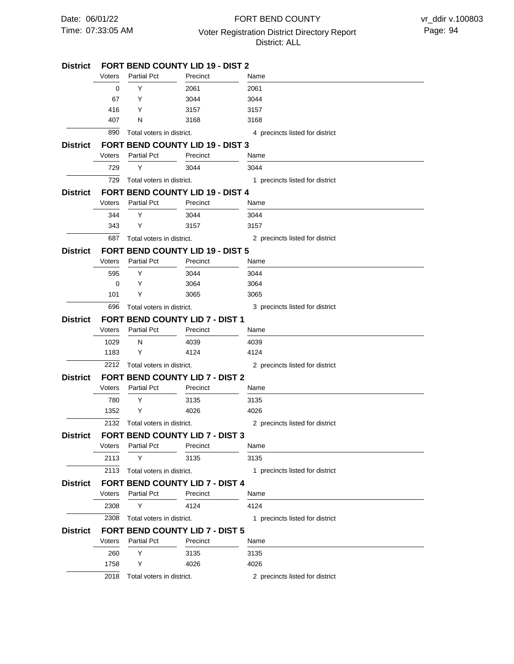### 07:33:05 AM Voter Registration District Directory Report Page: 94 FORT BEND COUNTY District: ALL

| District        |        | <b>FORT BEND COUNTY LID 19 - DIST 2</b> |                                         |                                 |  |  |
|-----------------|--------|-----------------------------------------|-----------------------------------------|---------------------------------|--|--|
|                 | Voters | <b>Partial Pct</b>                      | Precinct                                | Name                            |  |  |
|                 | 0      | Y                                       | 2061                                    | 2061                            |  |  |
|                 | 67     | Y                                       | 3044                                    | 3044                            |  |  |
|                 | 416    | Y                                       | 3157                                    | 3157                            |  |  |
|                 | 407    | N                                       | 3168                                    | 3168                            |  |  |
|                 | 890    | Total voters in district.               |                                         | 4 precincts listed for district |  |  |
| District        |        |                                         | <b>FORT BEND COUNTY LID 19 - DIST 3</b> |                                 |  |  |
|                 | Voters | <b>Partial Pct</b>                      | Precinct                                | Name                            |  |  |
|                 | 729    | Y                                       | 3044                                    | 3044                            |  |  |
|                 | 729    | Total voters in district.               |                                         | 1 precincts listed for district |  |  |
| District        |        |                                         | FORT BEND COUNTY LID 19 - DIST 4        |                                 |  |  |
|                 | Voters | <b>Partial Pct</b>                      | Precinct                                | Name                            |  |  |
|                 | 344    | Y                                       | 3044                                    | 3044                            |  |  |
|                 | 343    | Y                                       | 3157                                    | 3157                            |  |  |
|                 | 687    | Total voters in district.               |                                         | 2 precincts listed for district |  |  |
| District        |        |                                         | <b>FORT BEND COUNTY LID 19 - DIST 5</b> |                                 |  |  |
|                 | Voters | <b>Partial Pct</b>                      | Precinct                                | Name                            |  |  |
|                 | 595    | Y                                       | 3044                                    | 3044                            |  |  |
|                 | 0      | Y                                       | 3064                                    | 3064                            |  |  |
|                 | 101    | Y                                       | 3065                                    | 3065                            |  |  |
|                 | 696    | Total voters in district.               |                                         | 3 precincts listed for district |  |  |
| District        |        |                                         | <b>FORT BEND COUNTY LID 7 - DIST 1</b>  |                                 |  |  |
|                 | Voters | <b>Partial Pct</b>                      | Precinct                                | Name                            |  |  |
|                 | 1029   | N                                       | 4039                                    | 4039                            |  |  |
|                 | 1183   | Y                                       | 4124                                    | 4124                            |  |  |
|                 | 2212   | Total voters in district.               |                                         | 2 precincts listed for district |  |  |
| District        |        |                                         | <b>FORT BEND COUNTY LID 7 - DIST 2</b>  |                                 |  |  |
|                 | Voters | <b>Partial Pct</b>                      | Precinct                                | Name                            |  |  |
|                 | 780    | Y                                       | 3135                                    | 3135                            |  |  |
|                 | 1352   | Y                                       | 4026                                    | 4026                            |  |  |
|                 | 2132   | Total voters in district.               |                                         | 2 precincts listed for district |  |  |
| District        |        |                                         | FORT BEND COUNTY LID 7 - DIST 3         |                                 |  |  |
|                 | Voters | <b>Partial Pct</b>                      | Precinct                                | Name                            |  |  |
|                 | 2113   | Υ                                       | 3135                                    | 3135                            |  |  |
|                 | 2113   | Total voters in district.               |                                         | 1 precincts listed for district |  |  |
| District        |        |                                         | <b>FORT BEND COUNTY LID 7 - DIST 4</b>  |                                 |  |  |
|                 | Voters | <b>Partial Pct</b>                      | Precinct                                | Name                            |  |  |
|                 | 2308   | Y                                       | 4124                                    | 4124                            |  |  |
|                 | 2308   | Total voters in district.               |                                         | 1 precincts listed for district |  |  |
| <b>District</b> |        |                                         | <b>FORT BEND COUNTY LID 7 - DIST 5</b>  |                                 |  |  |
|                 | Voters | <b>Partial Pct</b>                      | Precinct                                | Name                            |  |  |
|                 | 260    | Y                                       | 3135                                    | 3135                            |  |  |
|                 | 1758   | Y                                       | 4026                                    | 4026                            |  |  |
|                 | 2018   | Total voters in district.               |                                         | 2 precincts listed for district |  |  |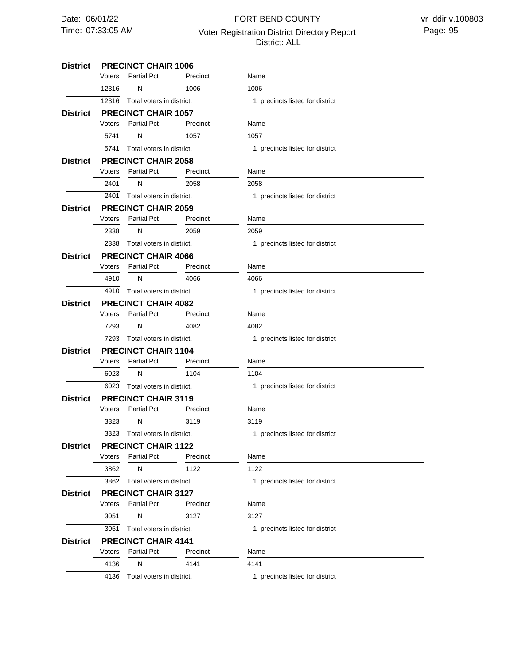### 07:33:05 AM Voter Registration District Directory Report Page: 95 FORT BEND COUNTY District: ALL

#### **PRECINCT CHAIR 1006 District PRECINCT CHAIR 1057 PRECINCT CHAIR 2058 PRECINCT CHAIR 2059 PRECINCT CHAIR 4066 PRECINCT CHAIR 4082 PRECINCT CHAIR 1104 PRECINCT CHAIR 3119 PRECINCT CHAIR 1122 PRECINCT CHAIR 3127 PRECINCT CHAIR 4141 District District District District District District District District District District** 12316 Total voters in district. 5741 Total voters in district. 2401 Total voters in district. 2338 Total voters in district. 4910 Total voters in district. 7293 Total voters in district. 6023 Total voters in district. 3323 Total voters in district. 3862 Total voters in district. 3051 4136 Total voters in district. 12316 5741 2401 2338 4910 7293 6023 3323 3862 3051 4136 Voters Voters Voters Voters Voters Voters Voters Voters Voters Voters Voters N N N N N N N N N N N Partial Pct Partial Pct Partial Pct Partial Pct Partial Pct Partial Pct Partial Pct Partial Pct Partial Pct Partial Pct Partial Pct 1006 1057 2058 2059 4066 4082 1104 3119 1122 3127 4141 Precinct Precinct Precinct Precinct Precinct Precinct Precinct Precinct Precinct Precinct Precinct 1006 1057 2058 2059 4066 4082 1104 3119 1122 3127 4141 Name Name Name Name Name Name Name Name Name Name Name Total voters in district. 1 precincts listed for district 1 precincts listed for district 1 precincts listed for district 1 precincts listed for district 1 precincts listed for district 1 precincts listed for district 1 precincts listed for district 1 precincts listed for district 1 precincts listed for district 1 precincts listed for district 1 precincts listed for district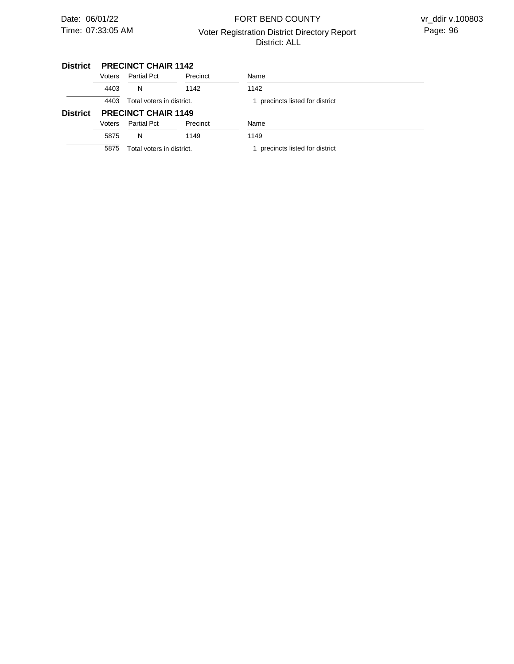# 07:33:05 AM Voter Registration District Directory Report Page: 96 FORT BEND COUNTY District: ALL

#### **PRECINCT CHAIR 1142 District**

|                 | Voters                            | <b>Partial Pct</b>        | Precinct | Name                          |
|-----------------|-----------------------------------|---------------------------|----------|-------------------------------|
|                 | 4403                              | N                         | 1142     | 1142                          |
|                 | 4403                              | Total voters in district. |          | precincts listed for district |
| <b>District</b> | <b>PRECINCT CHAIR 1149</b>        |                           |          |                               |
|                 | Voters                            | <b>Partial Pct</b>        | Precinct | Name                          |
|                 | 5875                              | N                         | 1149     | 1149                          |
|                 | Total voters in district.<br>5875 |                           |          | precincts listed for district |